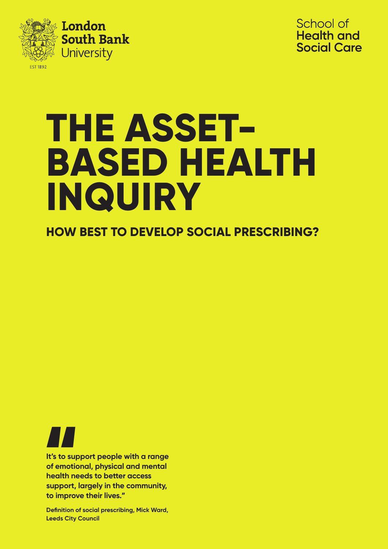



# **THE ASSET-BASED HEALTH INQUIRY**

**HOW BEST TO DEVELOP SOCIAL PRESCRIBING?**

**It's to support people with a range of emotional, physical and mental health needs to better access support, largely in the community, to improve their lives."** It's to sup<br>of emotion

**Definition of social prescribing, Mick Ward, Leeds City Council**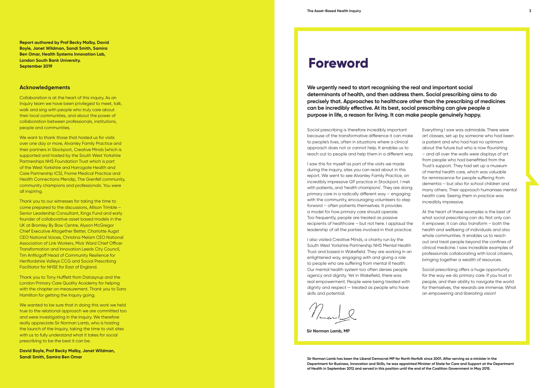**We urgently need to start recognising the real and important social determinants of health, and then address them. Social prescribing aims to do precisely that. Approaches to healthcare other than the prescribing of medicines can be incredibly effective. At its best, social prescribing can give people a purpose in life, a reason for living. It can make people genuinely happy.** 

### **Foreword**

#### **Acknowledgements**

Collaboration is at the heart of this inquiry. As an Inquiry team we have been privileged to meet, talk, walk and sing with people who truly care about their local communities, and about the power of collaboration between professionals, institutions, people and communities.

We want to thank those that hosted us for visits over one day or more, Alvanley Family Practice and their partners in Stockport, Creative Minds (which is supported and hosted by the South West Yorkshire Partnerships NHS Foundation Trust which is part of the West Yorkshire and Harrogate Health and Care Partnership ICS), Frome Medical Practice and Health Connections Mendip, The Grenfell community, community champions and professionals. You were all inspiring.

We wanted to be sure that in doing this work we held true to the relational approach we are committed too and were investigating in the Inquiry. We therefore really appreciate Sir Norman Lamb, who is hosting the launch of the Inquiry, taking the time to visit sites with us to fully understand what it takes for social prescribing to be the best it can be.

Thank you to our witnesses for taking the time to come prepared to the discussions, Allison Trimble – Senior Leadership Consultant, Kings Fund and early founder of collaborative asset based models in the UK at Bromley By Bow Centre, Alyson McGregor Chief Executive Altogether Better, Charlotte Augst CEO National Voices, Christina Melam CEO National Association of Link Workers, Mick Ward Chief Officer Transformation and Innovation Leeds City Council, Tim Anfilogoff Head of Community Resilience for Hertfordshire Valleys CCG and Social Prescribing Facilitator for NHSE for East of England.

Thank you to Tony Hufflett from Datasyrup and the London Primary Care Quality Academy for helping with the chapter on measurement. Thank you to Sara Hamilton for getting the Inquiry going.

**David Boyle, Prof Becky Malby, Janet Wildman, Sandi Smith, Samira Ben Omar**

Everything I saw was admirable. There were art classes, set up by someone who had been a patient and who had had no optimism about the future but who is now flourishing – and all over the walls were displays of art from people who had benefitted from the Trust's support. They had set up a museum of mental health care, which was valuable for reminiscence for people suffering from dementia – but also for school children and many others. Their approach humanises mental health care. Seeing them in practice was incredibly impressive.

At the heart of these examples is the best of what social prescribing can do. Not only can it empower, it can also transform – both the health and wellbeing of individuals and also whole communities. It enables us to reach out and treat people beyond the confines of clinical medicine. I saw incredible examples of professionals collaborating with local citizens, bringing together a wealth of resources.

Social prescribing offers a huge opportunity for the way we do primary care. If you trust in people, and their ability to navigate the world for themselves, the rewards are immense. What an empowering and liberating vision!

**Sir Norman Lamb, MP**

Social prescribing is therefore incredibly important because of the transformative difference it can make to people's lives, often in situations where a clinical approach does not or cannot help. It enables us to reach out to people and help them in a different way.

I saw this for myself as part of the visits we made during the inquiry, sites you can read about in this report. We went to see Alvanley Family Practice, an incredibly impressive GP practice in Stockport. I met with patients, and 'health champions'. They are doing primary care in a radically different way – engaging with the community, encouraging volunteers to step forward – often patients themselves. It provides a model for how primary care should operate. Too frequently, people are treated as passive recipients of healthcare – but not here. I applaud the leadership of all the parties involved in that practice.

I also visited Creative Minds, a charity run by the South West Yorkshire Partnership NHS Mental Health Trust and based in Wakefield. They are working in an enlightened way, engaging with and giving a role to people who are suffering from mental ill health. Our mental health system too often denies people agency and dignity. Yet in Wakefield, there was real empowerment. People were being treated with dignity and respect — treated as people who have skills and potential.

**Sir Norman Lamb has been the Liberal Democrat MP for North Norfolk since 2001. After serving as a minister in the Department for Business, Innovation and Skills, he was appointed Minister of State for Care and Support at the Department of Health in September 2012 and served in this position until the end of the Coalition Government in May 2015.**

**Report authored by Prof Becky Malby, David Boyle, Janet Wildman, Sandi Smith, Samira Ben Omar, Health Systems Innovation Lab, London South Bank University. September 2019**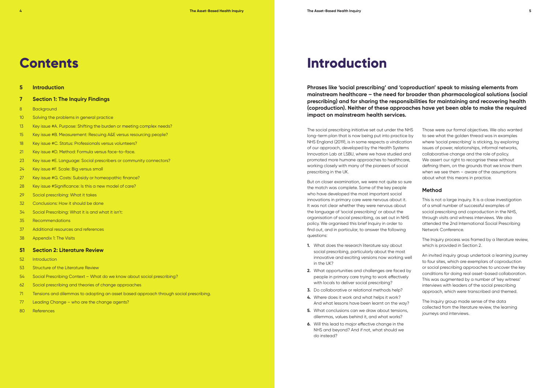#### **5 Introduction**

- **7 Section 1: The Inquiry Findings**
- 8 Background
- 10 Solving the problems in general practice
- 13 Key issue #A. Purpose: Shifting the burden or meeting complex needs?
- 15 Key issue #B. Measurement: Rescuing A&E versus resourcing people?
- 18 Key issue #C. Status: Professionals versus volunteers?
- 21 Key issue #D. Method: Formula versus face-to-face.
- 23 Key issue #E. Language: Social prescribers or community connectors?
- 24 Key issue #F. Scale: Big versus small
- 27 Key issue #G. Costs: Subsidy or homeopathic finance?
- 28 Key issue #Significance: Is this a new model of care?
- 29 Social prescribing: What it takes
- 32 Conclusions: How it should be done
- 34 Social Prescribing: What it is and what it isn't:
- 35 Recommendations
- 37 Additional resources and references
- 38 Appendix 1: The Visits

#### **51 Section 2: Literature Review**

- 52 Introduction
- 53 Structure of the Literature Review
- 54 Social Prescribing Context What do we know about social prescribing?
- 62 Social prescribing and theories of change approaches
- 71 Tensions and dilemmas to adopting an asset based approach through social prescribing.
- 77 Leading Change who are the change agents?
- 80 References

### **Phrases like 'social prescribing' and 'coproduction' speak to missing elements from mainstream healthcare – the need for broader than pharmacological solutions (social prescribing) and for sharing the responsibilities for maintaining and recovering health (coproduction). Neither of these approaches have yet been able to make the required**

**impact on mainstream health services.** 

Those were our formal objectives. We also wanted to see what the golden thread was in examples where 'social prescribing' is sticking, by exploring issues of power, relationships, informal networks, collaborative change and the role of policy. We assert our right to recognise these without defining them, on the grounds that we know them when we see them - aware of the assumptions about what this means in practice.

### **Method**

This is not a large inquiry. It is a close investigation of a small number of successful examples of social prescribing and coproduction in the NHS, through visits and witness interviews. We also attended the 2nd International Social Prescribing Network Conference.

The Inquiry process was framed by a literature review, which is provided in Section 2.

An invited inquiry group undertook a learning journey to four sites, which are exemplars of coproduction or social prescribing approaches to uncover the key conditions for doing real asset-based collaboration. This was augmented by a number of 'key witness' interviews with leaders of the social prescribing approach, which were transcribed and themed.

The Inquiry group made sense of the data collected from the literature review, the learning journeys and interviews.

### **Introduction**

The social prescribing initiative set out under the NHS long-term plan that is now being put into practice by NHS England (2019), is in some respects a vindication of our approach, developed by the Health Systems Innovation Lab at LSBU, where we have studied and promoted more humane approaches to healthcare, working closely with many of the pioneers of social prescribing in the UK.

But on closer examination, we were not quite so sure the match was complete. Some of the key people who have developed the most important social innovations in primary care were nervous about it. It was not clear whether they were nervous about the language of 'social prescribing' or about the organisation of social prescribing, as set out in NHS policy. We organised this brief Inquiry in order to find out, and in particular, to answer the following questions:

- **1.** What does the research literature say about social prescribing, particularly about the most innovative and exciting versions now working well in the UK?
- **2.** What opportunities and challenges are faced by people in primary care trying to work effectively with locals to deliver social prescribing?
- **3.** Do collaborative or relational methods help?
- **4.** Where does it work and what helps it work? And what lessons have been learnt on the way?
- **5.** What conclusions can we draw about tensions, dilemmas, values behind it, and what works?
- **6.** Will this lead to major effective change in the NHS and beyond? And if not, what should we do instead?

### **Contents**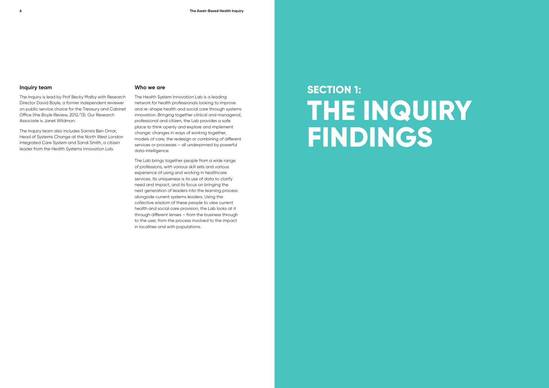#### **Inquiry team**

The Inquiry is lead by Prof Becky Malby with Research Director David Boyle, a former independent reviewer on public service choice for the Treasury and Cabinet Office (the Boyle Review, 2012/13). Our Research Associate is Janet Wildman.

The Inquiry team also includes Samira Ben Omar, Head of Systems Change at the North West London Integrated Care System and Sandi Smith, a citizen leader from the Health Systems Innovation Lab.

#### **Who we are**

The Health System Innovation Lab is a leading network for health professionals looking to improve and re-shape health and social care through systems innovation. Bringing together clinical and managerial, professional and citizen, the Lab provides a safe place to think openly and explore and implement change: changes in ways of working together, models of care, the redesign or combining of different services or processes – all underpinned by powerful data intelligence.

The Lab brings together people from a wide range of professions, with various skill sets and various experience of using and working in healthcare services. Its uniqueness is its use of data to clarify need and impact, and its focus on bringing the next generation of leaders into the learning process alongside current systems leaders. Using the collective wisdom of these people to view current health and social care provision, the Lab looks at it through different lenses – from the business through to the user, from the process involved to the impact in localities and with populations.

# **SECTION 1: THE INQUIRY FINDINGS**

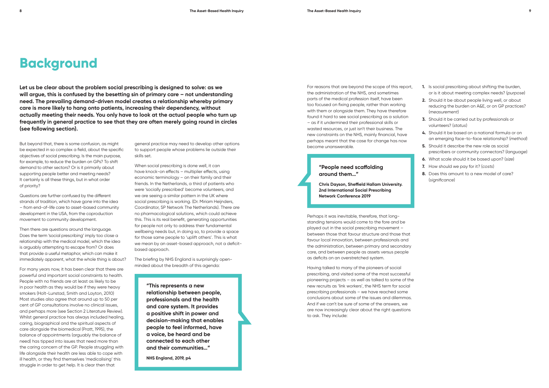general practice may need to develop other options to support people whose problems lie outside their skills set.

When social prescribing is done well, it can have knock-on effects – multiplier effects, using economic terminology – on their family and their friends. In the Netherlands, a third of patients who were 'socially prescribed' become volunteers, and we are seeing a similar pattern in the UK where social prescribing is working. (Dr. Miriam Heijnders, Coordinator, SP Network The Netherlands). There are no pharmacological solutions, which could achieve this. This is its real benefit, generating opportunities for people not only to address their fundamental wellbeing needs but, in doing so, to provide a space for those same people to 'uplift others'. This is what we mean by an asset-based approach, not a deficitbased approach.

The briefing by NHS England is surprisingly openminded about the breadth of this agenda:

> **"This represents a new relationship between people, professionals and the health and care system. It provides a positive shift in power and decision-making that enables people to feel informed, have a voice, be heard and be connected to each other and their communities…"**

**NHS England, 2019, p4**

**Let us be clear about the problem social prescribing is designed to solve: as we will argue, this is confused by the besetting sin of primary care – not understanding need. The prevailing demand-driven model creates a relationship whereby primary care is more likely to hang onto patients, increasing their dependency, without actually meeting their needs. You only have to look at the actual people who turn up frequently in general practice to see that they are often merely going round in circles (see following section).**

But beyond that, there is some confusion, as might be expected in so complex a field, about the specific objectives of social prescribing. Is the main purpose, for example, to reduce the burden on GPs? To shift demand to other sectors? Or is it primarily about supporting people better and meeting needs? It certainly is all these things, but in what order of priority?

Questions are further confused by the different strands of tradition, which have gone into the idea – from end-of-life care to asset-based community development in the USA, from the coproduction movement to community development.

Then there are questions around the language. Does the term 'social prescribing' imply too close a relationship with the medical model, which the idea is arguably attempting to escape from? Or does that provide a useful metaphor, which can make it immediately apparent, what the whole thing is about?

For many years now, it has been clear that there are powerful and important social constraints to health. People with no friends are at least as likely to be in poor health as they would be if they were heavy smokers (Holt-Lunstad, Smith and Layton, 2010) Most studies also agree that around up to 50 per cent of GP consultations involve no clinical issues, and perhaps more (see Section 2 Literature Review). Whilst general practice has always included healing, caring, biographical and the spiritual aspects of care alongside the biomedical (Pratt, 1995), the balance of appointments (arguably the balance of need) has tipped into issues that need more than the caring concern of the GP. People struggling with life alongside their health are less able to cope with ill health, or they find themselves 'medicalising' this struggle in order to get help. It is clear then that

- **1.** Is social prescribing about shifting the burden, or is it about meeting complex needs? (*purpose*)
- **2.** Should it be about people living well, or about reducing the burden on A&E, or on GP practices? (*measurement*)
- **3.** Should it be carried out by professionals or volunteers? (*status*)
- **4.** Should it be based on a national formula or on an emerging face-to-face relationship? (*method*)
- **5.** Should it describe the new role as social prescribers or community connectors? (*language*)
- **6.** What scale should it be based upon? (*size*)
- **7.** How should we pay for it? (*costs*)
- **8.** Does this amount to a new model of care? (*significance*)

### **Background**

For reasons that are beyond the scope of this report, the administration of the NHS, and sometimes parts of the medical profession itself, have been too focused on fixing people, rather than working with them or alongside them. They have therefore found it hard to see social prescribing as a solution – as if it undermined their professional skills or wasted resources, or just isn't their business. The new constraints on the NHS, mainly financial, have perhaps meant that the case for change has now become unanswerable.

#### **"People need scaffolding around them…"**

**Chris Dayson, Sheffield Hallam University. 2nd International Social Prescribing Network Conference 2019**

Perhaps it was inevitable, therefore, that longstanding tensions would come to the fore and be played out in the social prescribing movement – between those that favour structure and those that favour local innovation, between professionals and the administration, between primary and secondary care, and between people as assets versus people as deficits on an overstretched system.

Having talked to many of the pioneers of social prescribing, and visited some of the most successful pioneering projects – as well as talked to some of the new recruits as 'link workers', the NHS term for social prescribing professionals – we have reached some conclusions about some of the issues and dilemmas. And if we can't be sure of some of the answers, we are now increasingly clear about the right questions to ask. They include: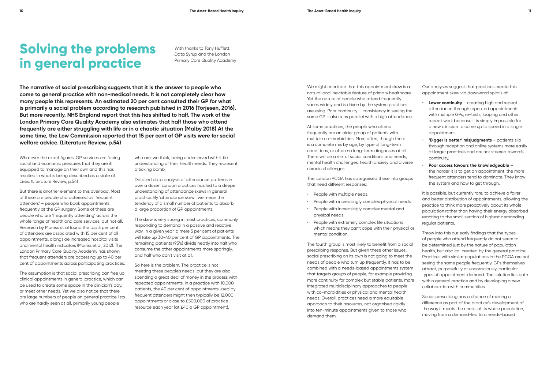**The narrative of social prescribing suggests that it is the answer to people who come to general practice with non-medical needs. It is not completely clear how many people this represents. An estimated 20 per cent consulted their GP for what is primarily a social problem according to research published in 2016 (Torjesen, 2016). But more recently, NHS England report that this has shifted to half. The work of the London Primary Care Quality Academy also estimates that half those who attend frequently are either struggling with life or in a chaotic situation (Malby 2018) At the same time, the Low Commission reported that 15 per cent of GP visits were for social welfare advice. (Literature Review, p.54)**

> who are, we think, being underserved with little understanding of their health needs. They represent a ticking bomb.

> Detailed data analysis of attendance patterns in over a dozen London practices has led to a deeper understanding of attendance skews in general practice. By 'attendance skew', we mean the tendency of a small number of patients to absorb a large proportion of GP appointments.

We might conclude that this appointment skew is a natural and inevitable feature of primary healthcare. Yet the nature of people who attend frequently varies widely and is driven by the system practices are using. Poor continuity – consistency in seeing the same GP – also runs parallel with a high attendance.

The skew is very strong in most practices, commonly responding to demand in a passive and reactive way. In a given year, a mere 5 per cent of patients will take up 30-40 per cent of GP appointments. The remaining patients (95%) divide neatly into half who consume the other appointments more sparingly, and half who don't visit at all.

So here is the problem. The practice is not meeting these people's needs, but they are also spending a great deal of money in the process with repeated appointments. In a practice with 10,000 patients, the 40 per cent of appointments used by frequent attenders might then typically be 12,000 appointments or close to £500,000 of practice resource each year (at £40 a GP appointment),

- **Lower continuity** creating high and repeat attendance through repeated appointments with multiple GPs, re-tests, looping and other repeat work because it is simply impossible for a new clinician to come up to speed in a single appointment.
- **'Bigger is better' misjudgments** patients slip through reception and online systems more easily at larger practices and are not steered towards continuity.
- **Poor access favours the knowledgeable**  the harder it is to get an appointment, the more frequent attenders tend to dominate. They know the system and how to get through.

At some practices, the people who attend frequently are an older group of patients with multiple co-morbidities. More often, though there is a complete mix by age, by type of long-term conditions, or often no long-term diagnoses at all. There will be a mix of social conditions and needs; mental health challenges, health anxiety and diverse chronic challenges.

The London PCQA has categorised these into groups that need different responses:

- People with multiple needs.
- People with increasingly complex physical needs.
- People with increasingly complex mental and physical needs.
- People with extremely complex life situations which means they can't cope with their physical or mental condition.

The fourth group is most likely to benefit from a social prescribing response. But given these other issues, social prescribing on its own is not going to meet the needs of people who turn up frequently. It has to be combined with a needs-based appointments system that targets groups of people, for example providing more continuity for complex but stable patients, more integrated multidisciplinary approaches to people with co-morbidities or physical and mental health needs. Overall, practices need a more equitable approach to their resources, not organised rigidly into ten-minute appointments given to those who demand them.

Our analyses suggest that practices create this appointment skew via downward spirals of:

It is possible, but currently rare, to achieve a fairer and better distribution of appointments, allowing the practice to think more proactively about its whole population rather than having their energy absorbed reacting to the small section of highest demanding regular patients.

Throw into this our early findings that the types of people who attend frequently do not seem to be determined just by the nature of population health, but also co-created by the general practice. Practices with similar populations in the PCQA are not seeing the same people frequently. GPs themselves attract, purposefully or unconsciously, particular types of appointment demand. The solution lies both within general practice and by developing a new collaboration with communities.

Social prescribing has a chance of making a difference as part of the practice's development of the way it meets the needs of its whole population, moving from a demand-led to a needs-based

## **Solving the problems in general practice**

With thanks to Tony Hufflett, Data Syrup and the London Primary Care Quality Academy

Whatever the exact figures, GP services are facing social and economic pressures that they are ill equipped to manage on their own and this has resulted in what is being described as a state of crisis. (Literature Review, p.54)

But there is another element to this overload. Most of these are people characterised as 'frequent attenders' – people who book appointments frequently at the GP surgery. Some of these are people who are 'frequently attending' across the whole range of health and care services, but not all. Research by Morriss et al found the top 3 per cent of attenders are associated with 15 per cent of all appointments, alongside increased hospital visits and mental health indicators (Morriss et al, 2012). The London Primary Care Quality Academy has shown that frequent attenders are accessing up to 40 per cent of appointments across participating practices.

The assumption is that social prescribing can free up clinical appointments in general practice, which can be used to create some space in the clinician's day, or meet other needs. Yet we also notice that there are large numbers of people on general practice lists who are hardly seen at all, primarily young people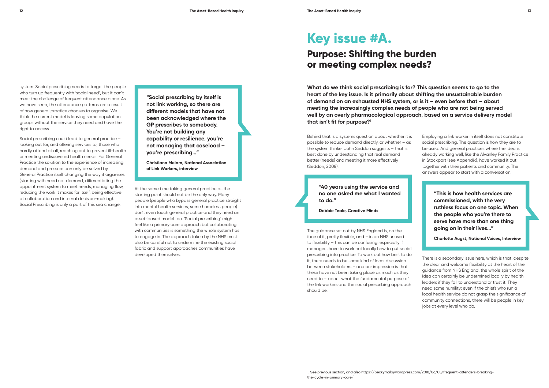system. Social prescribing needs to target the people who turn up frequently with 'social need', but it can't meet the challenge of frequent attendance alone. As we have seen, the attendance patterns are a result of how general practice chooses to organise. We think the current model is leaving some population groups without the service they need and have the right to access.

Social prescribing could lead to general practice – looking out for, and offering services to, those who hardly attend at all, reaching out to prevent ill-health or meeting undiscovered health needs. For General Practice the solution to the experience of increasing demand and pressure can only be solved by General Practice itself changing the way it organises (starting with need not demand, differentiating the appointment system to meet needs, managing flow, reducing the work it makes for itself, being effective at collaboration and internal decision-making). Social Prescribing is only a part of this sea change.

**"Social prescribing by itself is not link working, so there are different models that have not been acknowledged where the GP prescribes to somebody. You're not building any capability or resilience, you're not managing that caseload – you're prescribing…"**

**Christiana Melam, National Association of Link Workers, interview**

At the same time taking general practice as the starting point should not be the only way. Many people (people who bypass general practice straight into mental health services; some homeless people) don't even touch general practice and they need an asset-based model too. 'Social prescribing' might feel like a primary care approach but collaborating with communities is something the whole system has to engage in. The approach taken by the NHS must also be careful not to undermine the existing social fabric and support approaches communities have developed themselves.

**What do we think social prescribing is for? This question seems to go to the heart of the key issue. Is it primarily about shifting the unsustainable burden of demand on an exhausted NHS system, or is it – even before that – about meeting the increasingly complex needs of people who are not being served well by an overly pharmacological approach, based on a service delivery model that isn't fit for purpose?1**

### **Key issue #A.**

### **Purpose: Shifting the burden or meeting complex needs?**

Employing a link worker in itself does not constitute social prescribing. The question is how they are to be used. And general practices where the idea is already working well, like the Alvanley Family Practice in Stockport (see Appendix), have worked it out together with their patients and community. The answers appear to start with a conversation.

> **"This is how health services are commissioned, with the very ruthless focus on one topic. When the people who you're there to serve have more than one thing going on in their lives…"**

**Charlotte Augst, National Voices, Interview**

There is a secondary issue here, which is that, despite the clear and welcome flexibility at the heart of the guidance from NHS England, the whole spirit of the idea can certainly be undermined locally by health leaders if they fail to understand or trust it. They need some humility: even if the chiefs who run a local health service do not grasp the significance of community connections, there will be people in key jobs at every level who do.

Behind that is a systems question about whether it is possible to reduce demand directly, or whether – as the system thinker John Seddon suggests – that is best done by understanding that real demand better (needs) and meeting it more effectively (Seddon, 2008).

> **"40 years using the service and no one asked me what I wanted to do."**

**Debbie Teale, Creative Minds**

The guidance set out by NHS England is, on the face of it, pretty flexible, and – in an NHS unused to flexibility – this can be confusing, especially if managers have to work out locally how to put social prescribing into practice. To work out how best to do it, there needs to be some kind of local discussion between stakeholders – and our impression is that these have not been taking place as much as they need to – about what the fundamental purpose of the link workers and the social prescribing approach should be.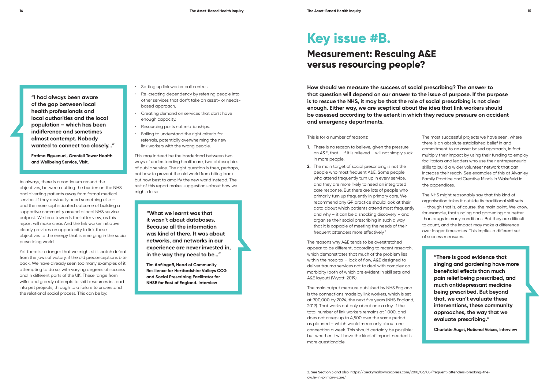**"I had always been aware of the gap between local health professionals and local authorities and the local population – which has been indifference and sometimes almost contempt. Nobody wanted to connect too closely…"**

**Fatima Elguenuni, Grenfell Tower Health and Wellbeing Service, Visit.**

As always, there is a continuum around the objectives, between cutting the burden on the NHS and diverting patients away from formal medical services if they obviously need something else – and the more sophisticated outcome of building a supportive community around a local NHS service outpost. We tend towards the latter view, as this report will make clear. And the link worker initiative clearly provides an opportunity to link these objectives to the energy that is emerging in the social prescribing world.

Yet there is a danger that we might still snatch defeat from the jaws of victory, if the old preconceptions bite back. We have already seen too many examples of it attempting to do so, with varying degrees of success and in different parts of the UK. These range from wilful and greedy attempts to shift resources instead into pet projects, through to a failure to understand the relational social process. This can be by:

- Setting up link worker call centres.
- Re-creating dependency by referring people into other services that don't take an asset- or needsbased approach.
- Creating demand on services that don't have enough capacity.
- Resourcing posts not relationships.
- Failing to understand the right criteria for referrals, potentially overwhelming the new link workers with the wrong people.

**How should we measure the success of social prescribing? The answer to that question will depend on our answer to the issue of purpose. If the purpose is to rescue the NHS, it may be that the role of social prescribing is not clear enough. Either way, we are sceptical about the idea that link workers should be assessed according to the extent in which they reduce pressure on accident and emergency departments.** 

> The most successful projects we have seen, where there is an absolute established belief in and commitment to an asset based approach, in fact multiply their impact by using their funding to employ facilitators and leaders who use their entrepreneurial skills to build a wider volunteer network that can increase their reach. See examples of this at Alvanley Family Practice and Creative Minds in Wakefield in the appendices.

### **Key issue #B.**

### **Measurement: Rescuing A&E versus resourcing people?**

- **1.** There is no reason to believe, given the pressure on A&E, that – if it is relieved – will not simply suck in more people.
- **2.** The main target of social prescribing is not the people who most frequent A&E. Some people who attend frequently turn up in every service, and they are more likely to need an integrated care response. But there are lots of people who primarily turn up frequently in primary care. We recommend any GP practice should look at their data about which patients attend most frequently and why – it can be a shocking discovery – and organise their social prescribing in such a way that it is capable of meeting the needs of their frequent attenders more effectively.<sup>2</sup>

This may indeed be the borderland between two ways of understanding healthcare, two philosophies of public service. The right question is then, perhaps, not how to prevent the old world from biting back, but how best to amplify the new world instead. The rest of this report makes suggestions about how we might do so.

> **"What we learnt was that it wasn't about databases. Because all the information was kind of there. It was about networks, and networks in our experience are never invested in, in the way they need to be…"**

**Tim Anfilogoff, Head of Community Resilience for Hertfordshire Valleys CCG and Social Prescribing Facilitator for NHSE for East of England. Interview**

The NHS might reasonably say that this kind of organisation takes it outside its traditional skill sets – though that is, of course, the main point. We know, for example, that singing and gardening are better than drugs in many conditions. But they are difficult to count, and the impact may make a difference over longer timescales. This implies a different set of success measures.

> **"There is good evidence that singing and gardening have more beneficial effects than much pain relief being prescribed, and much antidepressant medicine being prescribed. But beyond that, we can't evaluate these interventions, these community approaches, the way that we evaluate prescribing."**

**Charlotte Augst, National Voices, Interview**

This is for a number of reasons:

The reasons why A&E tends to be overstretched appear to be different, according to recent research, which demonstrates that much of the problem lies within the hospital – lack of flow, A&E designed to deliver trauma services not to deal with complex comorbidity (both of which are evident in skill sets and A&E layout) (Wyatt, 2019).

The main output measure published by NHS England is the connections made by link workers, which is set at 900,000 by 2024, the next five years (NHS England, 2019). That works out only about one a day, if the total number of link workers remains at 1,000, and does not creep up to 4,500 over the same period as planned – which would mean only about one connection a week. This should certainly be possible; but whether it will have the kind of impact needed is more questionable.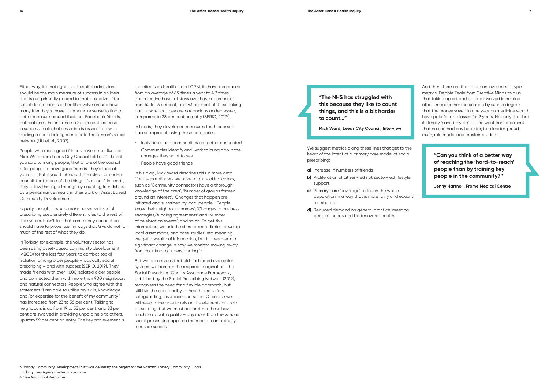Either way, it is not right that hospital admissions should be the main measure of success in an idea that is not primarily geared to that objective. If the social determinants of health revolve around how many friends you have, it may make sense to find a better measure around that: not Facebook friends, but real ones. For instance a 27 per cent increase in success in alcohol cessation is associated with adding a non-drinking member to the person's social network (Litt et al., 2007).

People who make good friends have better lives, as Mick Ward from Leeds City Council told us: "I think if you said to many people, that a role of the council is for people to have good friends, they'd look at you daft. But if you think about the role of a modern council, that is one of the things it's about." In Leeds, they follow this logic through by counting friendships as a performance metric in their work on Asset Based Community Development.

Equally though, it would make no sense if social prescribing used entirely different rules to the rest of the system. It isn't fair that community connection should have to prove itself in ways that GPs do not for much of the rest of what they do.

In Torbay, for example, the voluntary sector has been using asset-based community development (ABCD) for the last four years to combat social isolation among older people – basically social prescribing – and with success (SERIO, 2019). They made friends with over 1,600 isolated older people and connected them with more than 900 neighbours and natural connectors. People who agree with the statement "I am able to utilise my skills, knowledge and/or expertise for the benefit of my community" has increased from 23 to 56 per cent. Talking to neighbours is up from 19 to 35 per cent, and 83 per cent are involved in providing unpaid help to others, up from 59 per cent on entry. The key achievement is

We suggest metrics along these lines that get to the heart of the intent of a primary care model of social prescribing:

the effects on health – and GP visits have decreased from an average of 6.9 times a year to 4.7 times. Non-elective hospital stays over have decreased from 42 to 16 percent, and 53 per cent of those taking part now report they are *not* anxious or depressed, compared to 28 per cent on entry (SERIO, 20193 ).

In Leeds, they developed measures for their assetbased approach using these categories:

- Individuals and communities are better connected
- Communities identify and work to bring about the changes they want to see
- People have good friends.

In his blog, Mick Ward describes this in more detail "for the pathfinders we have a range of indicators, such as 'Community connectors have a thorough knowledge of the area', 'Number of groups formed around an interest', 'Changes that happen are initiated and sustained by local people', 'People know their neighbours' names', 'Changes to business strategies/funding agreements' and 'Number of celebration events', and so on. To get this information, we ask the sites to keep diaries, develop local asset maps, and case studies, etc. meaning we get a wealth of information, but it does mean a significant change in how we monitor, moving away from counting to understanding."4

But we are nervous that old-fashioned evaluation systems will hamper the required imagination. The Social Prescribing Quality Assurance Framework, published by the Social Prescribing Network (2019), recognises the need for a flexible approach, but still lists the old standbys – health and safety, safeguarding, insurance and so on. Of course we will need to be able to rely on the elements of social prescribing, but we must not pretend these have much to do with quality – any more than the various social prescribing apps on the market can actually measure success.

**"The NHS has struggled with this because they like to count things, and this is a bit harder to count…"**

**Mick Ward, Leeds City Council, Interview**

- **a)** Increase in numbers of friends
- **b)** Proliferation of citizen-led not sector-led lifestyle support.
- **c)** Primary care 'coverage' to touch the whole population in a way that is more fairly and equally distributed.
- **d)** Reduced demand on general practice, meeting people's needs and better overall health.

And then there are the 'return on investment' type metrics. Debbie Teale from Creative Minds told us that taking up art and getting involved in helping others reduced her medication by such a degree that the money saved in one year on medicine would have paid for art classes for 2 years. Not only that but it literally "saved my life" as she went from a patient that no one had any hope for, to a leader, proud mum, role model and masters student.

> **"Can you think of a better way of reaching the 'hard-to-reach' people than by training key people in the community?"**

**Jenny Hartnoll, Frome Medical Centre**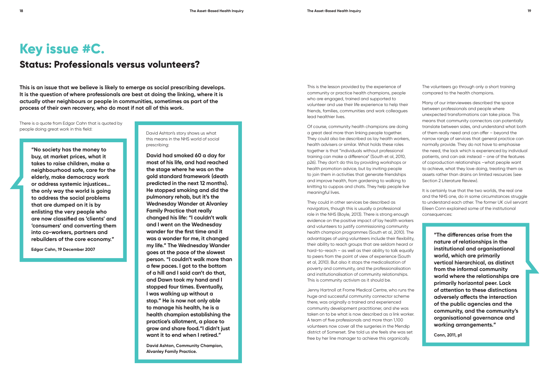**This is an issue that we believe is likely to emerge as social prescribing develops. It is the question of where professionals are best at doing the linking, where it is actually other neighbours or people in communities, sometimes as part of the process of their own recovery, who do most if not all of this work.**

> David Ashton's story shows us what this means in the NHS world of social prescribing:

**David had smoked 60 a day for most of his life, and had reached the stage where he was on the gold standard framework (death predicted in the next 12 months). He stopped smoking and did the pulmonary rehab, but it's the Wednesday Wander at Alvanley Family Practice that really changed his life: "I couldn't walk and I went on the Wednesday wander for the first time and it was a wonder for me, it changed my life." The Wednesday Wander goes at the pace of the slowest person. "I couldn't walk more than a few paces. I got to the bottom of a hill and I said can't do that, and Dawn took my hand and I stopped four times. Eventually, I was walking up without a stop." He is now not only able to manage his health, he is a health champion establishing the practice's allotment, a place to grow and share food."I didn't just want it to end when I retired."** 

**David Ashton, Community Champion, Alvanley Family Practice.**

This is the lesson provided by the experience of community or practice health champions, people who are engaged, trained and supported to volunteer and use their life experience to help their friends, families, communities and work colleagues lead healthier lives.

Of course, community health champions are doing a great deal more than linking people together. They could also be described as lay health workers, health advisers or similar. What holds these roles together is that "individuals without professional training can make a difference" (South et al, 2010, p26). They don't do this by providing workshops or health promotion advice, but by inviting people to join them in activities that generate friendships and improve health, from gardening to walking to knitting to cuppas and chats. They help people live meaningful lives.

It is certainly true that the two worlds, the real one and the NHS one, do in some circumstances struggle to understand each other. The former UK civil servant Eileen Conn explained some of the institutional consequences:

They could in other services be described as navigators, though this is usually a professional role in the NHS (Boyle, 2013). There is strong enough evidence on the positive impact of lay health workers and volunteers to justify commissioning community health champion programmes (South et al, 2010). The advantages of using volunteers include their flexibility, their ability to reach groups that are seldom heard or hard-to-reach – as well as their ability to talk equally to peers from the point of view of experience (South et al, 2010). But also it stops the medicalisation of poverty and community, and the professionalisation and institutionalisation of community relationships. This is community activism as it should be.

Jenny Hartnoll at Frome Medical Centre, who runs the huge and successful community connector scheme there, was originally a trained and experienced community development practitioner, and she was taken on to be what is now described as a link worker. A team of five professionals and more than 1,100 volunteers now cover all the surgeries in the Mendip district of Somerset. She told us she feels she was set free by her line manager to achieve this organically.

The volunteers go through only a short training compared to the health champions.

Many of our interviewees described the space between professionals and people where unexpected transformations can take place. This means that community connectors can potentially translate between sides, and understand what both of them really need and can offer – beyond the narrow range of services that general practice can normally provide. They do not have to emphasise the need, the lack which is experienced by individual patients, and can ask instead – one of the features of coproduction relationships –what people want to achieve, what they love doing, treating them as assets rather than drains on limited resources (see Section 2 Literature Review).

> **"The differences arise from the nature of relationships in the institutional and organisational world, which are primarily vertical hierarchical, as distinct from the informal community world where the relationships are primarily horizontal peer. Lack of attention to these distinctions adversely affects the interaction of the public agencies and the community, and the community's organisational governance and working arrangements."**

**Conn, 2011, p1**

### **Key issue #C.**

### **Status: Professionals versus volunteers?**

There is a quote from Edgar Cahn that is quoted by people doing great work in this field:

> **"No society has the money to buy, at market prices, what it takes to raise children, make a neighbourhood safe, care for the elderly, make democracy work or address systemic injustices… the only way the world is going to address the social problems that are dumped on it is by enlisting the very people who are now classified as 'clients' and 'consumers' and converting them into co-workers, partners and rebuilders of the core economy."**

**Edgar Cahn, 19 December 2007**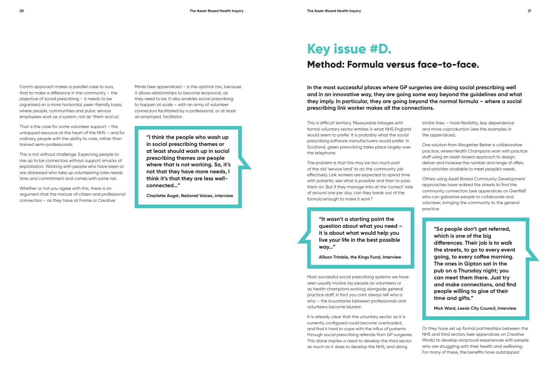Conn's approach makes a parallel case to ours, that to make a difference in the community – the objective of social prescribing – it needs to be organised on a more horizontal, peer-friendly basis, where people, communities and pubic service employees work as a system, not as 'them and us'.

That is the case for some volunteer support – the untapped resource at the heart of the NHS – and for ordinary people with the ability to care, rather than trained semi-professionals.

This is not without challenge. Expecting people to rise up to be connectors without support smacks of exploitation. Working with people who have been or are distressed who take up volunteering roles needs time and commitment and comes with some risk.

Whether or not you agree with this, there is an argument that the mixture of citizen and professional connectors – as they have at Frome or Creative

Minds (see appendices) – is the optimal mix, because it allows relationships to become reciprocal, as they need to be. It also enables social prescribing to happen at scale – with an army of volunteer connectors facilitated by a professional, or at least an employed, facilitator.

> **"I think the people who wash up in social prescribing themes or at least should wash up in social prescribing themes are people where that is not working. So, it's not that they have more needs, I think it's that they are less wellconnected…"**

**Charlotte Augst, National Voices, interview**

**In the most successful places where GP surgeries are doing social prescribing well and in an innovative way, they are going some way beyond the guidelines and what they imply. In particular, they are going beyond the normal formula – where a social prescribing link worker makes all the connections.** 

> similar lines – more flexibility, less dependence and more coproduction (see the examples in the appendices).

One solution from Altogether Better is *collaborative practice*, where Health Champions work with practice staff using an asset-based approach to design, deliver and increase the number and range of offers and activities available to meet people's needs.

Others using Asset Based Community Development approaches have walked the streets to find the community connectors (see appendices on Grenfell) who can galvanise people to collaborate and volunteer, bringing the community to the general practice.

> **"So people don't get referred, which is one of the big differences. Their job is to walk the streets, to go to every event going, to every coffee morning. The ones in Gipton sat in the pub on a Thursday night; you can meet them there. Just try and make connections, and find people willing to give of their time and gifts."**

> **Mick Ward, Leeds City Council, Interview**

Or they have set up formal partnerships between the NHS and third sectors (see appendices on Creative Minds) to develop reciprocal experiences with people who are struggling with their health and wellbeing. For many of these, the benefits have outstripped

### **Key issue #D. Method: Formula versus face-to-face.**

This is difficult territory. Measurable linkages with formal voluntary sector entities is what NHS England would seem to prefer. It is probably what the social prescribing software manufacturers would prefer. In Scotland, green prescribing takes place largely over the telephone.

The problem is that this may be too much part of the old 'service land' to do the community job effectively. Link workers are expected to spend time with patients, see what is possible and then to pass them on. But if they manage links at the 'correct' rate of around one per day, can they break out of the formula enough to make it work?

> **"It wasn't a starting point the question about what you need – it is about what would help you live your life in the best possible way…"**

> **Allison Trimble, the Kings Fund, Interview**

Most successful social prescribing systems we have seen usually involve lay people as volunteers or as health champions working alongside general practice staff, in fact you cant always tell who is who – the boundaries between professionals and volunteers become blurred.

It is already clear that the voluntary sector as it is currently configured could become overloaded, and find it hard to cope with the influx of patients through social prescribing referrals from GP surgeries. This alone implies a need to develop the third sector as much as it does to develop the NHS, and along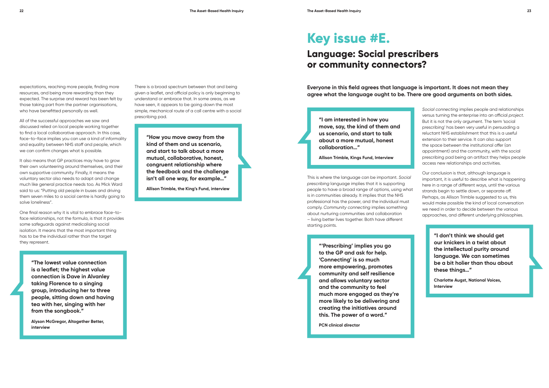expectations, reaching more people, finding more resources, and being more rewarding than they expected. The surprise and reward has been felt by those taking part from the partner organisations, who have benefitted personally as well.

All of the successful approaches we saw and discussed relied on local people working together to find a local collaborative approach. In this case, face-to-face implies you can use a kind of informality and equality between NHS staff and people, which we can confirm changes what is possible.

It also means that GP practices may have to grow their own volunteering around themselves, and their own supportive community. Finally, it means the voluntary sector also needs to adapt and change much like general practice needs too. As Mick Ward said to us: "Putting old people in buses and driving them seven miles to a social centre is hardly going to solve loneliness".

One final reason why it is vital to embrace face-toface relationships, not the formula, is that it provides some safeguards against medicalising social isolation. It means that the most important thing has to be the individual rather than the target they represent.

> **"The lowest value connection is a leaflet; the highest value connection is Dave in Alvanley taking Florence to a singing group, introducing her to three people, sitting down and having tea with her, singing with her from the songbook."**

**Alyson McGregor, Altogether Better, interview**

There is a broad spectrum between that and being given a leaflet, and official policy is only beginning to understand or embrace that. In some areas, as we have seen, it appears to be going down the most simple, mechanical route of a call centre with a social prescribing pad.

> **"How you move away from the kind of them and us scenario, and start to talk about a more mutual, collaborative, honest, congruent relationship where the feedback and the challenge isn't all one way, for example…"**

**Allison Trimble, the King's Fund, interview**

**Everyone in this field agrees that language is important. It does not mean they agree what the language ought to be. There are good arguments on both sides.**

> *Social connecting* implies people and relationships versus turning the enterprise into an official *project*. But it is not the only argument. The term 'social prescribing' has been very useful in persuading a reluctant NHS establishment that this is a useful extension to their service. It can also support the space between the institutional offer (an appointment) and the community, with the social prescribing pad being an artifact they helps people access new relationships and activities.

> Our conclusion is that, although language is important, it is useful to describe what is happening here in a range of different ways, until the various strands begin to settle down, or separate off. Perhaps, as Allison Trimble suggested to us, this would make possible the kind of local conversation we need in order to decide between the various approaches, and different underlying philosophies.

> > **"I don't think we should get our knickers in a twist about the intellectual purity around language. We can sometimes be a bit holier than thou about these things…"**

**Charlotte Augst, National Voices, Interview**

### **Key issue #E.**

### **Language: Social prescribers or community connectors?**

**"I am interested in how you move, say, the kind of them and us scenario, and start to talk about a more mutual, honest collaboration…"**

**Allison Trimble, Kings Fund, Interview**

This is where the language can be important. *Social prescribing* language implies that it is supporting people to have a broad range of options, using what is in communities already. It implies that the NHS professional has the power, and the individual must comply. *Community connecting* implies something about nurturing communities and collaboration – living better lives together. Both have different starting points.

> **"'Prescribing' implies you go to the GP and ask for help. 'Connecting' is so much more empowering, promotes community and self resilience and allows voluntary sector and the community to feel much more engaged as they're more likely to be delivering and creating the initiatives around this. The power of a word."**

**PCN clinical director**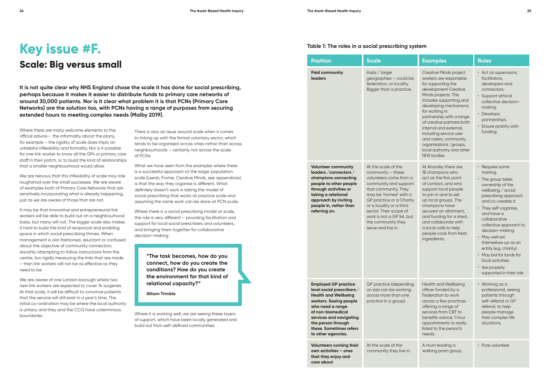**It is not quite clear why NHS England chose the scale it has done for social prescribing, perhaps because it makes it easier to distribute funds to primary care networks of around 30,000 patients. Nor is it clear what problem it is that PCNs (Primary Care Networks) are the solution too, with PCNs having a range of purposes from securing extended hours to meeting complex needs (Malby 2019).**

> There is also an issue around scale when it comes to linking up with the formal voluntary sector, which tends to be organised across cities rather than across neighbourhoods – certainly not across the scale of PCNs.

> What we have seen from the examples where there is a successful approach at the larger population scale (Leeds, Frome, Creative Minds, see appendices) is that the way they organise is different. What definitely doesn't work is taking the model of social prescribing that works at practice scale and assuming the same work can be done at PCN scale.

We are nervous that this inflexibility of scale may ride roughshod over the small successes. We are aware of examples both of Primary Care Networks that are sensitively incorporating what is already happening, just as we are aware of those that are not.

> Where there is a social prescribing model at scale, the role is very different – providing facilitation and support for local social prescribers and volunteers, and bringing them together for collaborative decision-making.

**"The task becomes, how do you connect, how do you create the conditions? How do you create the environment for that kind of relational capacity?"** 

**Allison Trimble**

Where it is working well, we are seeing these layers of support, which have been locally generated and build out from self-defined communities:

## **Key issue #F.**

### **Scale: Big versus small**

Where there are many welcome elements to the official advice – the informality about the plans, for example – the rigidity of scale does imply an unhelpful inflexibility and formality. Nor is it possible for one link worker to know all the GPs or primary care staff in their patch, or to build the kind of relationships that a smaller neighbourhood would allow.

It may be that innovative and entrepreneurial link workers will be able to build out on a neighbourhood basis, but many will not. The bigger scale also makes it hard to build the kind of reciprocal and enabling space in which social prescribing thrives. When management is old-fashioned, reluctant or confused about the objective of community connection, slavishly attempting to follow instructions from the centre, too rigidly measuring the links that are made – then link workers will not be as effective as they need to be.

We are aware of one London borough where two new link workers are expected to cover 14 surgeries. At that scale, it will be difficult to convince patients that the service will still exist in a year's time. The initial co-ordination may be where the local authority is unitary and they and the CCG have coterminous boundaries.

| <b>Position</b>                                                                                                                                                                                                                                              | <b>Scale</b>                                                                                                                                                                                                                                                                                               | <b>Examples</b>                                                                                                                                                                                                                                                                                                                                                                                                   | <b>Roles</b>                                                                                                                                                                                                                                                                                                                                                                                                    |
|--------------------------------------------------------------------------------------------------------------------------------------------------------------------------------------------------------------------------------------------------------------|------------------------------------------------------------------------------------------------------------------------------------------------------------------------------------------------------------------------------------------------------------------------------------------------------------|-------------------------------------------------------------------------------------------------------------------------------------------------------------------------------------------------------------------------------------------------------------------------------------------------------------------------------------------------------------------------------------------------------------------|-----------------------------------------------------------------------------------------------------------------------------------------------------------------------------------------------------------------------------------------------------------------------------------------------------------------------------------------------------------------------------------------------------------------|
| <b>Paid community</b><br><b>leaders</b>                                                                                                                                                                                                                      | Hubs / larger<br>geographies - could be<br>federation, or locality.<br>Bigger than a practice.                                                                                                                                                                                                             | <b>Creative Minds project</b><br>workers are responsible<br>for supporting the<br>development Creative<br>Minds projects. This<br>includes supporting and<br>developing mechanisms<br>for working in<br>partnership with a range<br>of creative partners both<br>internal and external,<br>including service user<br>and carers, community<br>organisations / groups,<br>local authority and other<br>NHS bodies. | • Act as supervisors,<br>facilitators,<br>developers and<br>connectors.<br>· Support ethical<br>collective decision-<br>making.<br>Develops<br>partnerships.<br>• Ensure probity with<br>funding.                                                                                                                                                                                                               |
| <b>Volunteer community</b><br>leaders / connectors /<br>champions connecting<br>people to other people<br>through activities or<br>taking a relational<br>approach by inviting<br>people in, rather than<br>referring on.                                    | At the scale of the<br>$community - these$<br>volunteers come from a<br>community and support<br>that community. They<br>may be 'homed' with a<br>GP practice or a Charity<br>or a locality or a third<br>sector. Their scope of<br>work is not a GP list, but<br>the community they<br>serve and live in. | At Alvanley there are<br>18 champions who<br>act as the first point<br>of contact, and who<br>support local people<br>to join in and to set<br>up local groups. The<br>champions have<br>secured an allotment,<br>and funding for a shed,<br>and collaborate with<br>a local café to help<br>people cook from fresh<br>ingredients.                                                                               | • Requires some<br>training.<br>• The group takes<br>ownership of the<br>wellbeing / social<br>prescribing approach<br>and co-creates it.<br>• They self-organise,<br>and have a<br>collaborative<br>collective approach to<br>decision-making.<br>• May well set<br>themselves up as an<br>entity (e.g. charity).<br>• May bid for funds for<br>local activities.<br>• Are properly<br>supported in their role |
| <b>Employed GP practice</b><br>level social prescribers/<br><b>Health and Wellbeing</b><br>workers. Seeing people<br>who need a range<br>of non-biomedical<br>services and navigating<br>the person through<br>these. Sometimes refers<br>to other agencies. | <b>GP</b> practice (depending<br>on size can be working<br>across more than one<br>practice in a group).                                                                                                                                                                                                   | <b>Health and Wellbeing</b><br>officer funded by a<br>Federation to work<br>across a few practices<br>offering a range of<br>services from CBT to<br>benefits advice. 1 hour<br>appointments to really<br>listed to the person's<br>needs.                                                                                                                                                                        | • Working as a<br>professional, seeing<br>patients through<br>self-referral or GP<br>referral, to help<br>people manage<br>their complex life<br>situations.                                                                                                                                                                                                                                                    |
| Volunteers running their<br>own activities - ones<br>that they enjoy and<br>care about                                                                                                                                                                       | At the scale of the<br>community they live in.                                                                                                                                                                                                                                                             | A mum leading a<br>walking pram group.                                                                                                                                                                                                                                                                                                                                                                            | • Pure volunteer                                                                                                                                                                                                                                                                                                                                                                                                |

#### **Table 1: The roles in a social prescribing system**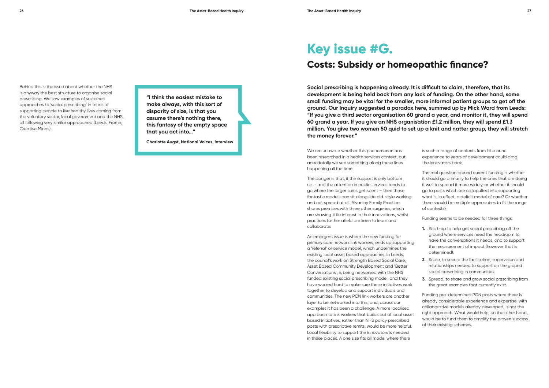Behind this is the issue about whether the NHS is anyway the best structure to organise social prescribing. We saw examples of sustained approaches to 'social prescribing' in terms of supporting people to live healthy lives coming from the voluntary sector, local government and the NHS, all following very similar approached (Leeds, Frome, Creative Minds).

**"I think the easiest mistake to make always, with this sort of disparity of size, is that you assume there's nothing there, this fantasy of the empty space that you act into…"**

**Charlotte Augst, National Voices, interview**

**Social prescribing is happening already. It is difficult to claim, therefore, that its development is being held back from any lack of funding. On the other hand, some small funding may be vital for the smaller, more informal patient groups to get off the ground. Our Inquiry suggested a paradox here, summed up by Mick Ward from Leeds: "If you give a third sector organisation 60 grand a year, and monitor it, they will spend 60 grand a year. If you give an NHS organisation £1.2 million, they will spend £1.3 million. You give two women 50 quid to set up a knit and natter group, they will stretch the money forever."**

> is such a range of contexts from little or no experience to years of development could drag the innovators back.

The real question around current funding is whether it should go primarily to help the ones that are doing it well to spread it more widely, or whether it should go to posts which are catapulted into supporting what is, in effect, a deficit model of care? Or whether there should be multiple approaches to fit the range of contexts?

Funding seems to be needed for three things:

- **1.** Start-up to help get social prescribing off the ground where services need the headroom to have the conversations it needs, and to support the measurement of impact (however that is determined).
- **2.** Scale, to secure the facilitation, supervision and relationships needed to support on the ground social prescribing in communities.
- **3.** Spread, to share and grow social prescribing from the great examples that currently exist.

Funding pre-determined PCN posts where there is already considerable experience and expertise, with collaborative models already developed, is not the right approach. What would help, on the other hand, would be to fund them to amplify the proven success of their existing schemes.

### **Key issue #G. Costs: Subsidy or homeopathic finance?**

We are unaware whether this phenomenon has been researched in a health services context, but anecdotally we see something along these lines happening all the time.

The danger is that, if the support is only bottom up – and the attention in public services tends to go where the larger sums get spent – then these fantastic models can sit alongside old-style working and not spread at all. Alvanley Family Practice shares premises with three other surgeries, which are showing little interest in their innovations, whilst practices further afield are keen to learn and collaborate.

An emergent issue is where the new funding for primary care network link workers, ends up supporting a 'referral' or service model, which undermines the existing local asset based approaches. In Leeds, the council's work on Strength Based Social Care, Asset Based Community Development and 'Better Conversations', is being networked with the NHS funded existing social prescribing model, and they have worked hard to make sure these initiatives work together to develop and support individuals and communities. The new PCN link workers are another layer to be networked into this, and, across our examples it has been a challenge. A more localised approach to link workers that builds out of local asset based initiatives, rather than NHS policy prescribed posts with prescriptive remits, would be more helpful. Local flexibility to support the innovators is needed in these places. A one size fits all model where there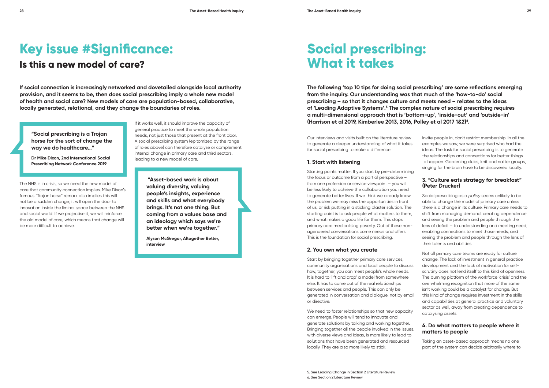**If social connection is increasingly networked and dovetailed alongside local authority provision, and it seems to be, then does social prescribing imply a whole new model of health and social care? New models of care are population-based, collaborative, locally generated, relational, and they change the boundaries of roles.**

> If it works well, it should improve the capacity of general practice to meet the whole population needs, not just those that present at the front door. A social prescribing system (epitomized by the range of roles above) can therefore catalyse or complement internal change in primary care and third sectors, leading to a new model of care.

> > **"Asset-based work is about valuing diversity, valuing people's insights, experience and skills and what everybody brings. It's not one thing. But coming from a values base and an ideology which says we're better when we're together."**

**Alyson McGregor, Altogether Better, interview** 

**The following 'top 10 tips for doing social prescribing' are some reflections emerging from the inquiry. Our understanding was that much of the 'how-to-do' social prescribing – so that it changes culture and meets need – relates to the ideas of 'Leading Adaptive Systems'.5 The complex nature of social prescribing requires a multi-dimensional approach that is 'bottom-up', 'inside-out' and 'outside-in' (Harrison et al 2019, Kimberlee 2013, 2016, Polley et al 2017 1&2)6 .** 

> Invite people in, don't restrict membership. In all the examples we saw, we were surprised who had the ideas. The task for social prescribing is to generate the relationships and connections for better things to happen. Gardening clubs, knit and natter groups, singing for the brain have to be discovered locally.

### **3. "Culture eats strategy for breakfast" (Peter Drucker)**

Social prescribing as a *policy* seems unlikely to be able to change the model of primary care unless there is a change in its culture. Primary care needs to shift from managing demand, creating dependence and seeing the problem and people through the lens of deficit – to understanding and meeting need, enabling connections to meet those needs, and seeing the problem and people through the lens of their talents and abilities.

Not all primary care teams are ready for culture change. The lack of investment in general practice development and the lack of motivation for selfscrutiny does not lend itself to this kind of openness. The burning platform of the workforce 'crisis' and the overwhelming recognition that more of the same isn't working could be a catalyst for change. But this kind of change requires investment in the skills and capabilities at general practice and voluntary sector as well, away from creating dependence to catalysing assets.

### **4. Do what matters to people where it matters to people**

Taking an asset-based approach means no one part of the system can decide arbitrarily where to

# **Key issue #Significance:**

### **Is this a new model of care?**

**"Social prescribing is a Trojan horse for the sort of change the way we do healthcare…"**

**Dr Mike Dixon, 2nd International Social Prescribing Network Conference 2019**

The NHS is in crisis, so we need the new model of care that community connection implies. Mike Dixon's famous "Trojan horse" remark also implies this will not be a sudden change; it will open the door to innovation inside the liminal space between the NHS and social world. If we projectise it, we will reinforce the old model of care, which means that change will be more difficult to achieve.

## **Social prescribing: What it takes**

Our interviews and visits built on the literature review to generate a deeper understanding of what it takes for social prescribing to make a difference:

#### **1. Start with listening**

Starting points matter. If you start by pre-determining the focus or outcome from a partial perspective – from one profession or service viewpoint – you will be less likely to achieve the collaboration you need to generate better lives. If we think we already know the problem we may miss the opportunities in front of us, or risk putting in a sticking plaster solution. The starting point is to ask people what matters to them, and what makes a good life for them. This stops primary care medicalising poverty. Out of these nonagendered conversations come needs and offers. This is the foundation for social prescribing.

#### **2. You own what you create**

Start by bringing together primary care services, community organisations and local people to discuss how, together, you can meet people's whole needs. It is hard to 'lift and drop' a model from somewhere else. It has to come out of the real relationships between services and people. This can only be generated in conversation and dialogue, not by email or directive.

We need to foster relationships so that new capacity can emerge. People will tend to innovate and generate solutions by talking and working together. Bringing together all the people involved in the issues, with diverse views and ideas, is more likely to lead to solutions that have been generated and resourced locally. They are also more likely to stick.

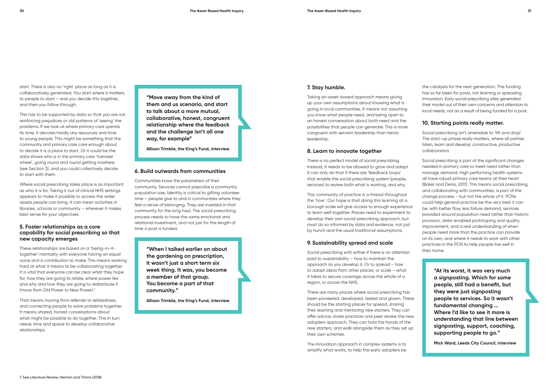start. There is also no 'right' place as long as it is collaboratively generated. You start where it matters to people to start – and you decide this together, and then you follow through.

This has to be supported by data so that you are not reinforcing prejudices or old patterns of 'seeing' the problems. If we look at where primary care spends its time, it devotes hardly any resources and time to young people. This might be something that the community and primary care care enough about to decide it is a place to start. Or it could be the data shows who is in the primary care 'hamster wheel', going round and round getting nowhere (see Section 3), and you could collectively decide to start with them.

*Where* social prescribing takes place is as important as *who* it is for. Taking it out of clinical NHS settings appears to make it possible to access the wider assets people can bring. It can mean activities in libraries, schools or community – wherever it makes best sense for your objectives.

#### **5. Foster relationships as a core capability for social prescribing so that new capacity emerges**

These relationships are based on a 'being-in-ittogether' mentality with everyone having an equal voice and a contribution to make. This means working hard at what it means to be collaborating together. It is vital that everyone can be clear what they hope for, how they are going to relate, where power lies and why and how they are going to redistribute it (move from Old Power to New Power).7

That means moving from referrals to relatedness, and connecting people to solve problems together. It means shared, honest conversations about what might be possible to do together. This in turn needs time and space to develop collaborative relationships.

**"Move away from the kind of them and us scenario, and start to talk about a more mutual, collaborative, honest, congruent relationship where the feedback and the challenge isn't all one way, for example"** 

**Allison Trimble, the King's Fund, interview**

#### **6. Build outwards from communities**

Communities know the parameters of their community. Services cannot prescribe a community population size. Identity is critical to gifting volunteer time – people give to and in communities where they feel a sense of belonging. They are invested in that community for the long haul. The social prescribing process needs to have the same emotional and relational investment, and not just for the length of time a post is funded.

> **"When I talked earlier on about the gardening on prescription, it wasn't just a short term six week thing. It was, you become a member of that group. You become a part of that community."**

**Allison Trimble, the King's Fund, interview**

#### **7. Stay humble.**

Taking an asset-based approach means giving up your own assumptions about knowing what is going in local communities. It means not assuming you know what people need, and being open to an honest conversation about both need and the possibilities that people can generate. This is more congruent with servant leadership than heroic leadership.

#### **8. Learn to innovate together**

There is no perfect model of social prescribing. Instead, it needs to be allowed to grow and adapt. It can only do that if there are 'feedback loops' that enable the social prescribing system (people, services) to review both what is working, and why.

This community of practice is a thread throughout the 'how'. Our hope is that doing this learning at a borough scale will give access to enough experience to learn well together. Places need to experiment to develop their own social prescribing approach, but must do so informed by data and evidence, not just by hunch and the usual traditional assumptions.

#### **9. Sustainability spread and scale**

Social prescribing with wither if there is no attention paid to sustainability – how to maintain the approach as you develop it. Or to spread – how to adopt ideas from other places; or scale – what it takes to secure coverage across the whole of a region, or across the NHS.

There are many places where social prescribing has been pioneered, developed, tested and grown. These should be the starting places for spread, sharing their learning and mentoring new starters. They can offer advice, share practices and peer review the new adopters approach. They can hold the hands of the new starters, and walk alongside them as they set up their own schemes.

The innovation approach in complex systems is to amplify what works, to help the early adopters be

the catalysts for the next generation. The funding has so far been for posts, not learning or spreading innovation. Early social prescribing sites generated their model out of their own concerns and attention to local needs, not as a result of being funded for a post.

### **10. Starting points really matter.**

Social prescribing isn't amenable to 'lift and drop'. The start-up phase really matters, where all parties listen, learn and develop constructive, productive collaboration.

Social prescribing is part of the significant changes needed in primary care to meet need rather than manage demand. High performing health systems all have robust primary care teams at their heart (Baker and Denis, 2011). This means social prescribing, and collaborating with communities, is part of the change process – but not the whole of it. PCNs could help general practice be the very best it can be, with better flow, less failure demand, services provided around population need rather than historic provision, data-enabled prototyping and quality improvement, and a real understanding of when people need more than the practice can provide on its own, and where it needs to work with other practices in the PCN to help people live well in their home.

> **"At its worst, it was very much a signposting. Which for some people, still had a benefit, but they were just signposting people to services. So it wasn't fundamental changing … Where I'd like to see it more is understanding that line between signposting, support, coaching, supporting people to go."**

**Mick Ward, Leeds City Council, interview**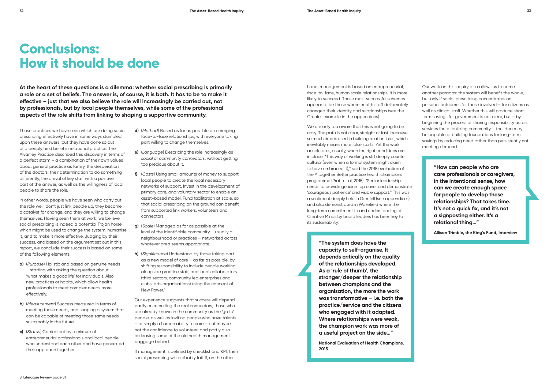- **d)** (*Method*) Based as far as possible on emerging face-to-face relationships, with everyone taking part willing to change themselves.
- **e)** (*Language*) Describing the role increasingly as *social* or *community connectors*, without getting too precious about it.
- **f)** (*Costs*) Using small amounts of money to support local people to create the local necessary networks of support. Invest in the development of primary care, and voluntary sector to enable an asset-based model. Fund facilitation at scale, so that social prescribing on the ground can benefit from supported link workers, volunteers and connectors.
- **g)** (*Scale*) Managed as far as possible at the level of the identifiable community – usually a neighbourhood or practices – networked across whatever area seems appropriate.
- **h)** (*Significance*) Understood by those taking part as a new model of care – as far as possible, by shifting responsibility to include people working alongside practice staff, and local collaborators (third sectors, community led enterprises and clubs, arts organisations) using the concept of New Power.<sup>8</sup>

**At the heart of these questions is a dilemma: whether social prescribing is primarily a role or a set of beliefs. The answer is, of course, it is both. It has to be to make it effective – just that we also believe the role will increasingly be carried out, not by professionals, but by local people themselves, while some of the professional aspects of the role shifts from linking to shaping a supportive community.**

> We are only too aware that this is not going to be easy. The path is not clear, straight or fast, because so much time is used in building relationships, which inevitably means more false starts. Yet the work accelerates, usually, when the right conditions are in place. "This way of working is still deeply counter cultural (even when a formal system might claim to have embraced it)," said the 2015 evaluation of the Altogether Better practice health champions programme (Pratt et al, 2015). "Senior leadership needs to provide genuine top cover and demonstrate 'courageous patience' and visible support." This was a sentiment deeply held in Grenfell (see appendices), and also demonstrated in Wakefield where the long-term commitment to and understanding of Creative Minds by board leaders has been key to its sustainability.

Our experience suggests that success will depend partly on recruiting the real connectors, those who are already known in the community as the 'go to' people, as well as inviting people who have talents – or simply a human ability to care – but maybe not the confidence to volunteer; and partly also on leaving some of the old health management baggage behind.

If management is defined by checklist and KPI, then social prescribing will probably fail. If, on the other

hand, management is based on entrepreneurial, face-to-face, human scale relationships, it is more likely to succeed. Those most successful schemes appear to be those where health staff deliberately changed their identity and relationships (see the Grenfell example in the appendices).

> **"The system does have the capacity to self-organise. It depends critically on the quality of the relationships developed. As a 'rule of thumb', the stronger/deeper the relationship between champions and the organisation, the more the work was transformative – i.e. both the practice/service and the citizens who engaged with it adapted. Where relationships were weak, the champion work was more of a useful project on the side…"**

> **National Evaluation of Health Champions, 2015**

Our work on this inquiry also allows us to name another paradox: the system will benefit the whole, but only if social prescribing concentrates on personal outcomes for those involved – for citizens as well as clinical staff. Whether this will produce shortterm savings for government is not clear, but – by beginning the process of sharing responsibility across services for re-building community – the idea may be capable of building foundations for long-term savings by reducing need rather than persistently not meeting demand.

> **"How can people who are care professionals or caregivers, in the intentional sense, how can we create enough space for people to develop those relationships? That takes time. It's not a quick fix, and it's not a signposting either. It's a relational thing…"**

**Allison Trimble, the King's Fund, Interview**

### **Conclusions: How it should be done**

Those practices we have seen which are doing social prescribing effectively have in some ways stumbled upon these answers, but they have done so out of a deeply held belief in relational practice. The Alvanley Practice described this discovery in terms of a perfect storm – a combination of their own values about general practice as family, the desperation of the doctors, their determination to do something differently, the arrival of key staff with a positive part of the answer, as well as the willingness of local people to share the role.

In other words, people we have seen who carry out the role well, don't just link people up, they become a catalyst for change, and they are willing to change themselves. Having seen them at work, we believe social prescribing is indeed a potential Trojan horse, which might be used to change the system, humanise it, and to make it more effective. Judging by their success, and based on the argument set out in this report, we conclude their success is based on some of the following elements:

- **a)** (*Purpose*) Holistic and based on genuine needs – starting with asking the question about 'what makes a good life' for individuals. Also new practices or habits, which allow health professionals to meet complex needs more effectively.
- **b)** (*Measurement*) Success measured in terms of meeting those needs, and shaping a system that can be capable of meeting those same needs sustainably in the future.
- **c)** (*Status*) Carried out by a mixture of entrepreneurial professionals and local people who understand each other and have generated their approach together.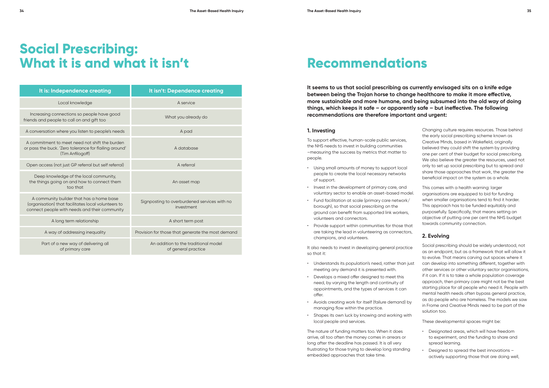**It seems to us that social prescribing as currently envisaged sits on a knife edge between being the Trojan horse to change healthcare to make it more effective, more sustainable and more humane, and being subsumed into the old way of doing things, which keeps it safe – or apparently safe – but ineffective. The following recommendations are therefore important and urgent:** 

#### **1. Investing**

To support effective, human-scale public services, the NHS needs to invest in building communities –measuring the success by metrics that matter to people.

- Using small amounts of money to support local people to create the local necessary networks of support.
- Invest in the development of primary care, and voluntary sector to enable an asset-based model.
- Fund facilitation at scale (primary care network/ borough), so that social prescribing on the ground can benefit from supported link workers, volunteers and connectors.
- Provide support within communities for those that are taking the lead in volunteering as connectors, champions, and volunteers.

## **Social Prescribing: What it is and what it isn't the commendations**

It also needs to invest in developing general practice so that it:

- Understands its population's need, rather than just meeting any demand it is presented with.
- Develops a mixed offer designed to meet this need, by varying the length and continuity of appointments, and the types of services it can offer.
- Avoids creating work for itself (failure demand) by managing flow within the practice.
- Shapes its own luck by knowing and working with local people and services.

The nature of funding matters too. When it does arrive, all too often the money comes in arrears or long after the deadline has passed. It is all very frustrating for those trying to develop long standing embedded approaches that take time.

| It is: Independence creating                                                                                                                     | It isn't: Dependence creating                               |  |
|--------------------------------------------------------------------------------------------------------------------------------------------------|-------------------------------------------------------------|--|
| Local knowledge                                                                                                                                  | A service                                                   |  |
| Increasing connections so people have good<br>friends and people to call on and gift too                                                         | What you already do                                         |  |
| A conversation where you listen to people's needs                                                                                                | A pad                                                       |  |
| A commitment to meet need not shift the burden<br>or pass the buck. 'Zero tolerance for flailing around'<br>(Tim Anfilogoff)                     | A database                                                  |  |
| Open access (not just GP referral but self referral)                                                                                             | A referral                                                  |  |
| Deep knowledge of the local community,<br>the things going on and how to connect them<br>too that                                                | An asset map                                                |  |
| A community builder that has a home base<br>(organisation) that facilitates local volunteers to<br>connect people with needs and their community | Signposting to overburdened services with no<br>investment  |  |
| A long term relationship                                                                                                                         | A short term post                                           |  |
| A way of addressing inequality                                                                                                                   | Provision for those that generate the most demand           |  |
| Part of a new way of delivering all<br>of primary care                                                                                           | An addition to the traditional model<br>of general practice |  |

Changing culture requires resources. Those behind the early social prescribing scheme known as Creative Minds, based in Wakefield, originally believed they could shift the system by providing one per cent of their budget for social prescribing. We also believe the greater the resources, used not only to set up social prescribing but to spread and share those approaches that work, the greater the beneficial impact on the system as a whole.

This comes with a health warning: larger organisations are equipped to bid for funding when smaller organisations tend to find it harder. This approach has to be funded equitably and purposefully. Specifically, that means setting an objective of putting one per cent the NHS budget towards community connection.

### **2. Evolving**

Social prescribing should be widely understood, not as an endpoint, but as a framework that will allow it to evolve. That means carving out spaces where it can develop into something different, together with other services or other voluntary sector organisations, if it can. If it is to take a whole population coverage approach, then primary care might not be the best starting place for all people who need it. People with mental health needs often bypass general practice, as do people who are homeless. The models we saw in Frome and Creative Minds need to be part of the solution too.

These developmental spaces might be:

- Designated areas, which will have freedom to experiment, and the funding to share and spread learning.
- Designed to spread the best innovations actively supporting those that are doing well,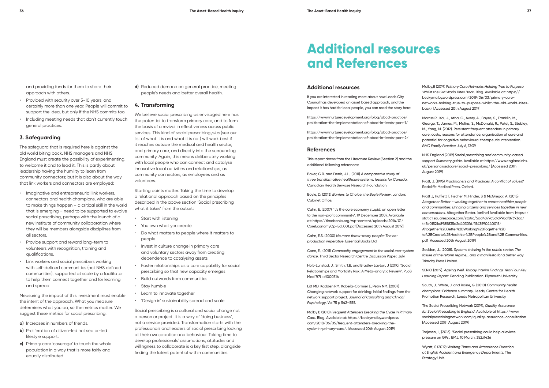and providing funds for them to share their approach with others.

- Provided with security over 5-10 years, and certainly more than one year. People will commit to support the idea, but only if the NHS commits too.
- Including meeting needs that don't currently touch general practices.

#### **3. Safeguarding**

The safeguard that is required here is against the old world biting back. NHS managers and NHS England must create the possibility of experimenting, to welcome it and to lead it. This is partly about leadership having the humility to learn from community connectors; but it is also about the way that link workers and connectors are employed:

- Imaginative and entrepreneurial link workers, connectors and health champions, who are able to make things happen – a critical skill in the world that is emerging – need to be supported to evolve social prescribing, perhaps with the launch of a new institute of community collaboration where they will be members alongside disciplines from all sectors.
- Provide support and reward long-term to volunteers with recognition, training and qualifications.
- Link workers and social prescribers working with self-defined communities (not NHS defined communities), supported at scale by a facilitator to help them connect together and for learning and spread

Measuring the impact of this investment must enable the intent of the approach. What you measure determines what you do, so the metrics matter. We suggest these metrics for social prescribing:

- **a)** Increases in numbers of friends.
- **b)** Proliferation of citizen-led not sector-led lifestyle support.
- **c)** Primary care 'coverage' to touch the whole population in a way that is more fairly and equally distributed.

**d)** Reduced demand on general practice, meeting people's needs and better overall health.

#### **4. Transforming**

We believe social prescribing as envisaged here has the potential to transform primary care, and to form the basis of a revival in effectiveness across public services. This kind of social prescribing *plus* (see our list of what it is and what it is not) will work best if it reaches outside the medical and health sector, and primary care, and directly into the surrounding community. Again, this means deliberately working with local people who can connect and catalyse innovative local activities and relationships, as community connectors, as employees and as volunteers.

Starting points matter. Taking the time to develop a relational approach based on the principles described in the above section 'Social prescribing what it takes' from the outset:

- Start with listening
- You own what you create
- Do what matters to people where it matters to people
- Invest in culture change in primary care and voluntary sectors away from creating dependence to catalysing assets
- Foster relationships as a core capability for social prescribing so that new capacity emerges
- Build outwards from communities
- Stay humble
- Learn to innovate together
- 'Design in' sustainability spread and scale

Social prescribing is a cultural and social change not a person or project. It is a way of 'doing business', not a service provided. Transformation starts with the professionals and leaders of social prescribing looking at their own practice and behaviour. Taking time to develop professionals' assumptions, attitudes and willingness to collaborate is a key first step, alongside finding the latent potential within communities.

#### **Additional resources**

If you are interested in reading more about how Leeds City Council has developed an asset based approach, and the impact it has had for local people, you can read the story here:

https://www.nurturedevelopment.org/blog/abcd-practice/ proliferation-the-implementation-of-abcd-in-leeds-part-1/

https://www.nurturedevelopment.org/blog/abcd-practice/ proliferation-the-implementation-of-abcd-in-leeds-part-2/

#### **References**

This report draws from the Literature Review (Section 2) and the additional following references:

Baker, G.R. and Denis, J.L., (2011) *A comparative study of three transformative healthcare systems: lessons for Canada*. Canadian Health Services Research Foundation.

Boyle, D. (2013) *Barriers to Choice: the Boyle Review*. London: Cabinet Office.

Cahn, E. (2007) 'It's the core economy stupid: an open letter to the non-profit community'. 19 December 2007. Available at: https://timebanks.org/wp-content/uploads/2014/01/ CoreEconomyOp-Ed\_001.pdf [Accessed 20th August 2019]

Cahn, E.S. (2000) *No more throw-away people: The coproduction imperative*. Essential Books Ltd

Conn, E., (2011) *Community engagement in the social eco-system dance*. Third Sector Research Centre Discussion Paper, July.

Holt-Lunstad, J., Smith, T.B, and Bradley Layton, J (2010) 'Social Relationships and Mortality Risk: A Meta-analytic Review'. PLoS Med 7(7) : e1000316.

Litt MD, Kadden RM, Kabela-Cormier E, Petry NM. (2007) Changing network support for drinking: initial findings from the network support project. *Journal of Consulting and Clinical Psychology*. Vol 75 p 542–555.

Malby B (2018) *Frequent Attenders Breaking the Cycle in Primary Care*. Blog. Available at: https://beckymalby.wordpress. com/2018/06/05/frequent-attenders-breaking-thecycle-in-primary-care/. [Accessed 20th August 2019]



Malby,B (2019) P*rimary Care Networks Holding True to Purpose Whilst the Old World Bites Back*. Blog. Available at: https:// beckymalby.wordpress.com/2019/06/03/primary-carenetworks-holding-true-to-purpose-whilst-the-old-world-bitesback/ [Accessed 20th August 2019]

Morriss,R., Kai, J., Atha, C., Avery, A., Bayes, S., Franklin, M., George, T., James, M., Malins, S., McDonald, R., Patel, S., Stubley, M., Yang, M. (2012). Persistent frequent attenders in primary care: costs, reasons for attendance, organisation of care and potential for cognitive behavioural therapeutic intervention. *BMC Family Practice* July 6, 13:39.

NHS England (2019) *Social prescribing and community-based support Summary guide*. Available at https://www.england.nhs. uk/personalisedcare/social-prescribing/ [Accessed 20th August 2019]

Pratt, J. (1995) *Practitioners and Practices. A conflict of values?* Radcliffe Medical Press. Oxford.

Pratt J, Hufflett T, Fischer M, Hinder, S & McGregor, A. (2015) *Altogether Better – working together to create healthier people and communities. Bringing citizens and services together in new conversations*. Altogether Better. [online] Available from: https:// static1.squarespace.com/static/5ad4879c5cfd798df87393cd/ t/5c01521a8985835d2d403016/1543590440015/ Altogether%2BBetter%2BWorking%2BTogether%2B to%2BCreate%2BHealthier%2BPeople%2Band%2B Communities. pdf [Accessed 20th August 2019]

Seddon, J., (2008). *Systems thinking in the public sector: The failure of the reform regime... and a manifesto for a better way*. Triarchy Press Limited.

SERIO (2019). *Ageing Well. Torbay Interim Findings Year Four Key Learning Report*. Pending Publication. Plymouth University.

South, J., White, J. and Raine, G. (2010) *Community health champions: Evidence summary*. Leeds, Centre for Health Promotion Research, Leeds Metropolitan University.

The Social Prescribing Network (2019), *Quality Assurance for Social Prescribing In England*. Available at https://www. socialprescribingnetwork.com/quality-assurance-consultation [Accessed 20th August 2019]

Torjesen, I., (2016). 'Social prescribing could help alleviate pressure on GPs'. BMJ. 10 March. 352:i1436

Wyatt, S (2019) *Waiting Times and Attendance Duration at English Accident and Emergency Departments*. The Strategy Unit.

### **Additional resources and References**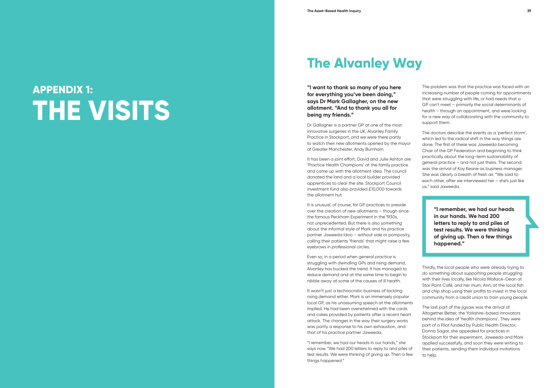The problem was that the practice was faced with an increasing number of people coming for appointments that were struggling with life, or had needs that a GP can't meet – primarily the social determinants of health – through an appointment, and were looking for a new way of collaborating with the community to support them.

The doctors describe the events as a 'perfect storm', which led to the radical shift in the way things are done. The first of these was Jaweeda becoming Chair of the GP Federation and beginning to think practically about the long-term sustainability of general practice – and not just theirs. The second was the arrival of Kay Keane as business manager. She was clearly a breath of fresh air. "We said to each other, after we interviewed her – she's just like us," said Jaweeda.

# **APPENDIX 1: THE VISITS**

## **The Alvanley Way**

**"I want to thank so many of you here for everything you've been doing," says Dr Mark Gallagher, on the new allotment. "And to thank you all for being my friends."**

Dr Gallagher is a partner GP at one of the most innovative surgeries in the UK, Alvanley Family Practice in Stockport, and we were there partly to watch their new allotments opened by the mayor of Greater Manchester, Andy Burnham.

It wasn't just a technocratic business of tackling rising demand either. Mark is an immensely popular local GP, as his unassuming speech at the allotments implied. He had been overwhelmed with the cards and cakes provided by patients after a recent heart attack. The changes in the way their surgery works was partly a response to his own exhaustion, and that of his practice partner Jaweeda.

It has been a joint effort. David and Julie Ashton are 'Practice Health Champions' at the family practice and came up with the allotment idea. The council donated the land and a local builder provided apprentices to clear the site. Stockport Council investment fund also provided £10,000 towards the allotment hut.

It is unusual, of course, for GP practices to preside over the creation of new allotments – though since the famous Peckham Experiment in the 1930s, not unprecedented. But there is also something about the informal style of Mark and his practice partner Jaweeda Idoo – without side or pomposity, calling their patients 'friends' that might raise a few eyebrows in professional circles.

Even so, in a period when general practice is struggling with dwindling GPs and rising demand, Alvanley has bucked the trend. It has managed to reduce demand and at the same time to begin to nibble away at some of the causes of ill health.

"I remember, we had our heads in our hands," she says now. "We had 200 letters to reply to and piles of test results. We were thinking of giving up. Then a few things happened."



**"I remember, we had our heads in our hands. We had 200 letters to reply to and piles of test results. We were thinking of giving up. Then a few things happened."**

Thirdly, the local people who were already trying to do something about supporting people struggling with their lives locally, like Nicola Wallace-Dean at Star Point Café, and her mum, Ann, at the local fish and chip shop using their profits to invest in the local community from a credit union to train young people.

The last part of the jigsaw was the arrival of Altogether Better, the Yorkshire-based innovators behind the idea of 'health champions'. They were part of a Pilot funded by Public Health Director, Donna Sagar, she appealed for practices in Stockport for their experiment, Jaweeda and Mark applied successfully, and soon they were writing to their patients, sending them individual invitations to help.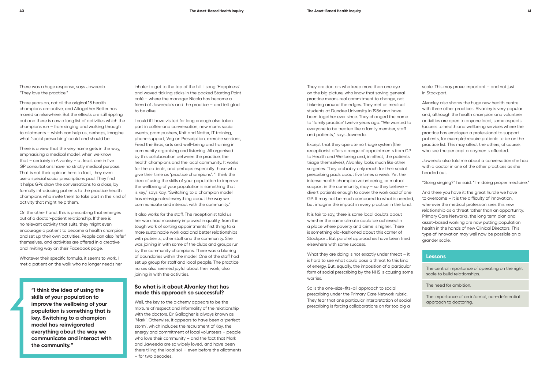There was a huge response, says Jaweeda. "They love the practice."

Three years on, not all the original 18 health champions are active, and Altogether Better has moved on elsewhere. But the effects are still rippling out and there is now a long list of activities which the champions run – from singing and walking through to allotments – which can help us, perhaps, imagine what 'social prescribing' could and should be.

There is a view that the very name gets in the way, emphasising a medical model, when we know that – certainly in Alvanley – at least one in five GP consultations have no strictly medical purpose. That is not their opinion here. In fact, they even use a special social prescriptions pad. They find it helps GPs draw the conversations to a close, by formally introducing patients to the practice health champions who invite them to take part in the kind of activity that might help them.

On the other hand, this is prescribing that emerges out of a doctor-patient relationship. If there is no relevant activity that suits, they might even encourage a patient to become a health champion and set up their own activities. People can also 'refer' themselves, and activities are offered in a creative and inviting way on their Facebook page.

Whatever their specific formula, it seems to work. I met a patient on the walk who no longer needs her

inhaler to get to the top of the hill. I sang 'Happiness' and waved tickling sticks in the packed Starting Point café – where the manager Nicola has become a friend of Jaweeda's and the practice – and felt glad to be alive.

I could if I have visited for long enough also taken part in coffee and conversation, new mums social events, pram pushers, Knit and Natter, IT training, phone support, Veg on Prescription, exercise sessions, Feed the Birds, arts and well-being and training in community organising and listening. All organised by this collaboration between the practice, the health champions and the local community. It works for the patients, and perhaps especially those who give their time as 'practice champions'. "I think the idea of using the skills of your population to improve the wellbeing of your population is something that is key," says Kay. "Switching to a champion model has reinvigorated everything about the way we communicate and interact with the community."

> It is fair to say, there is some local doubts about whether the same climate could be achieved in a place where poverty and crime is higher. There is something old-fashioned about this corner of Stockport. But parallel approaches have been tried elsewhere with some success.

What they are doing is not exactly under threat - it is hard to see what could pose a threat to this kind of energy. But, equally, the imposition of a particular form of social prescribing by the NHS is causing some worries.

It also works for the staff. The receptionist told us her work had massively improved in quality, from the tough work of sorting appointments first thing to a more sustainable workload and better relationships with patients, other staff and the community. She was joining in with some of the clubs and groups run by the community champions. There was a blurring of boundaries within the model. One of the staff had set up group for staff and local people. The practice nurses also seemed joyful about their work, also joining in with the activities.

#### **So what is it about Alvanley that has made this approach so successful?**

Well, the key to the alchemy appears to be the mixture of respect and informality of the relationship with the doctors. Dr Gallagher is always known as 'Mark'. Otherwise, it appears to have been a 'perfect storm', which includes the recruitment of Kay, the energy and commitment of local volunteers – people who love their community – and the fact that Mark and Jaweeda are so widely loved, and have been there tilling the local soil – even before the allotments – for two decades,

They are doctors who keep more than one eye on the big picture, who know that saving general practice means real commitment to change, not tinkering around the edges. They met as medical students at Dundee University in 1986 and have been together ever since. They changed the name to 'family practice' twelve years ago. "We wanted to everyone to be treated like a family member, staff and patients," says Jaweeda.

Except that they operate no triage system (the receptionist offers a range of appointments from GP to Health and Wellbeing and, in effect, the patients triage themselves), Alvanley looks much like other surgeries. They probably only reach for their social prescribing pads about five times a week. Yet the intense health champion volunteering, or mutual support in the community, may – so they believe – divert patients enough to cover the workload of one GP. It may not be much compared to what is needed, but imagine the impact in every practice in the land.

So is the one-size-fits-all approach to social prescribing under the Primary Care Network rubric. They fear that one particular interpretation of social prescribing is forcing collaborations on far too big a

scale. This may prove important – and not just in Stockport.

Alvanley also shares the huge new health centre with three other practices. Alvanley is very popular and, although the health champion and volunteer activities are open to anyone local, some aspects (access to health and wellbeing services where the practice has employed a professional to support patients, for example) require patients to be on the practice list. This may affect the others, of course, who see the per capita payments affected.

Jaweeda also told me about a conversation she had with a doctor in one of the other practices as she headed out.

"Going singing?" he said. "I'm doing proper medicine."

And there you have it: the great hurdle we have to overcome – it is the difficulty of innovation, wherever the medical profession sees this new relationship as a threat rather than an opportunity. Primary Care Networks, the long term plan and asset-based working are now putting population health in the hands of new Clinical Directors. This type of innovation may well now be possible on a grander scale.

#### **Lessons**

The central importance of operating on the right scale to build relationships.

The need for ambition.

The importance of an informal, non-deferential approach to doctoring.

**"I think the idea of using the skills of your population to improve the wellbeing of your population is something that is key. Switching to a champion model has reinvigorated everything about the way we communicate and interact with the community."**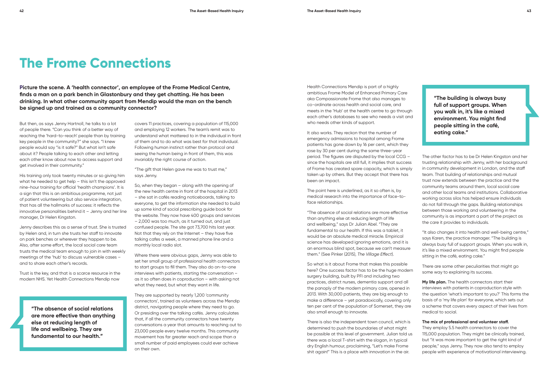**Picture the scene. A 'health connector', an employee of the Frome Medical Centre, finds a man on a park bench in Glastonbury and they get chatting. He has been drinking. In what other community apart from Mendip would the man on the bench be signed up and trained as a community connector?**

> covers 11 practices, covering a population of 115,000 and employing 12 workers. The team's remit was to understand what mattered to in the individual in front of them and to do what was best for that individual. Following human instinct rather than protocol and seeing the human being in front of them, this was invariably the right course of action.

Where there were obvious gaps, Jenny was able to set her small group of professional health connectors to start groups to fill them. They also do on-to-one interviews with patients, starting the conversation – as it so often does in coproduction – with asking not what they need, but what they want in life.

"The gift that Helen gave me was to trust me," says Jenny.

So, when they began – along with the opening of the new health centre in front of the hospital in 2013 – she sat in cafés reading noticeboards, talking to everyone, to get the information she needed to build up some kind of social prescribing guide book for the website. They now have 400 groups and services – 2,000 was too much, as it turned out, and just confused people. The site got 73,700 hits last year. Not that they rely on the Internet – they have five talking cafes a week, a manned phone line and a monthly local radio slot.

They are supported by nearly 1,200 'community connectors', trained as volunteers across the Mendip district, navigating people where they need to go. Or presiding over the talking cafés. Jenny calculates that, if all the community connectors have twenty conversations a year that amounts to reaching out to 23,000 people every twelve months. This community movement has far greater reach and scope than a small number of paid employees could ever achieve on their own.

Health Connections Mendip is part of a highly ambitious Frome Model of Enhanced Primary Care aka Compassionate Frome that also manages to co-ordinate across health and social care, and meets in the 'Hub' at the health centre to go through each other's databases to see who needs a visit and who needs other kinds of support.

It also works. They reckon that the number of emergency admissions to hospital among Frome patients has gone down by 16 per cent, which they rose by 30 per cent during the same three-year period. The figures are disputed by the local CCG – since the hospitals are still full, it implies that success of Frome has created spare capacity, which is simply taken up by others. But they accept that there has been an impact.

The point here is underlined, as it so often is, by medical research into the importance of face-toface relationships.

"The absence of social relations are more effective than anything else at reducing length of life and wellbeing," says Dr Julian Abel. "They are fundamental to our health. If this was a tablet, it would be an absolute medical miracle. Empirical science has developed ignoring emotions, and it is an enormous blind spot, because we can't measure them." (See Pinker (2015), *The Village Effect*).

So what is it about Frome that makes this possible here? One success factor has to be the huge modern surgery building, built by PFI and including two practices, district nurses, dementia support and all the panoply of the modern primary care, opened in 2013. With 30,000 patients, they are big enough to make a difference – yet paradoxically, covering only ten per cent of the population of Somerset, they are also small enough to innovate.

There is also the independent town council, which is determined to push the boundaries of what might be possible at this level of government. Julian told us there was a local T-shirt with the slogan, in typical dry English humour, proclaiming, "Let's make Frome shit again!" This is a place with innovation in the air.

The other factor has to be Dr Helen Kingston and her trusting relationship with Jenny, with her background in community development in London, and the staff team. That building of relationships and mutual trust now extends between the practice and the community teams around them, local social care and other local teams and institutions. Collaborative working across silos has helped ensure individuals do not fall through the gaps. Building relationships between those working and volunteering in the community is as important a part of the project as the care it provides to individuals.

"It also changes it into health and well-being centre," says Karen, the practice manager. "The building is always busy full of support groups. When you walk in, it's like a mixed environment. You might find people sitting in the café, eating cake."

There are some other peculiarities that might go some way to explaining its success.

**My life plan.** The health connectors start their interviews with patients in coproduction style with the question 'what's important to you?' This forms the basis of a 'my life plan' for everyone, which sets out a scheme that covers every aspect of their lives from medical to social.

#### **The mix of professional and volunteer staff.**

They employ 5.5 health connectors to cover the 115,000 population. They might be clinically trained, but "it was more important to get the right kind of people," says Jenny. They now also tend to employ people with experience of motivational interviewing.

### **The Frome Connections**

But then, as says Jenny Hartnoll, he talks to a lot of people there. "Can you think of a better way of reaching the 'hard-to-reach' people than by training key people in the community?" she says. "I knew people would say "is it safe?" But what isn't safe about it? People talking to each other and letting each other know about now to access support and get involved in their community."

His training only took twenty minutes or so giving him what he needed to get help – this isn't the approved nine-hour training for official 'health champions'. It is a sign that this is an ambitious programme, not just of patient volunteering but also service integration, that has all the hallmarks of success: it reflects the innovative personalities behind it  $-$  Jenny and her line manager, Dr Helen Kingston.

Jenny describes this as a sense of trust. She is trusted by Helen and, in turn she trusts her staff to innovate on park benches or wherever they happen to be. Also, after some effort, the local social care team trusts the medical team enough to join in with weekly meetings of the 'hub' to discuss vulnerable cases – and to share each other's records.

Trust is the key, and that is a scarce resource in the modern NHS. Yet Health Connections Mendip now

> **"The absence of social relations are more effective than anything else at reducing length of life and wellbeing. They are fundamental to our health."**

**"The building is always busy full of support groups. When you walk in, it's like a mixed environment. You might find people sitting in the café, eating cake."**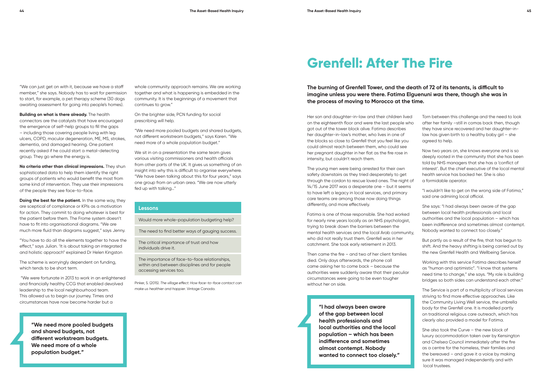"We can just get on with it, because we have a staff member," she says. Nobody has to wait for permission to start, for example, a pet therapy scheme (30 dogs awaiting assessment for going into people's homes).

**Building on what is there already.** The health connectors are the catalysts that have encouraged the emergence of self-help groups to fill the gaps – including those covering people living with leg ulcers, COPD, macular degeneration, ME, MS, strokes, dementia, and damaged hearing. One patient recently asked if he could start a metal-detecting group. They go where the energy is.

**No criteria other than clinical impressions.** They shun sophisticated data to help them identify the right groups of patients who would benefit the most from some kind of intervention. They use their impressions of the people they see face-to-face.

**Doing the best for the patient.** In the same way, they are sceptical of compliance or KPIs as a motivation for action. They commit to doing whatever is best for the patient before them. The Frome system doesn't have to fit into organisational diagrams. "We are much more fluid than diagrams suggest," says Jenny.

We sit in on a presentation the same team gives various visiting commissioners and health officials from other parts of the UK. It gives us something of an insight into why this is difficult to organise everywhere. "We have been talking about this for four years," says one group from an urban area. "We are now utterly fed up with talking…"

"You have to do all the elements together to have the effect," says Julian. 'It is about taking an integrated and holistic approach" explained Dr Helen Kingston

The scheme is worryingly dependent on funding, which tends to be short term.

 "We were fortunate in 2013 to work in an enlightened and financially healthy CCG that enabled devolved leadership to the local neighbourhood team. This allowed us to begin our journey. Times and circumstances have now become harder but a

whole community approach remains. We are working together and what is happening is embedded in the community. It is the beginnings of a movement that continues to grow."

On the brighter side, PCN funding for social prescribing will help.

"We need more pooled budgets and shared budgets, not different workstream budgets," says Karen. "We need more of a whole population budget."

#### **Lessons**

Would more whole-population budgeting help?

The need to find better ways of gauging success.

The critical importance of trust and how individuals drive it.

The importance of face-to-face relationships, within and between disciplines and for people accessing services too.

Pinker, S. (2015). *The village effect: How face-to-face contact can make us healthier and happier*. Vintage Canada.

**The burning of Grenfell Tower, and the death of 72 of its tenants, is difficult to imagine unless you were there. Fatima Elguenuni** *was* **there, though she was in the process of moving to Morocco at the time.** 

> Torn between this challenge and the need to look after her family –still in comas back then, though they have since recovered and her daughter-inlaw has given birth to a healthy baby girl – she agreed to help.

Now two years on, she knows everyone and is so deeply rooted in the community that she has been told by NHS managers that she has a 'conflict of interest'. But the chief executive of the local mental health service has backed her. She is also a formidable operator.

"I wouldn't like to get on the wrong side of Fatima," said one admiring local official.

She says: "I had always been aware of the gap between local health professionals and local authorities and the local population – which has been indifference and sometimes almost contempt. Nobody wanted to connect too closely."

But partly as a result of the fire, that has begun to shift. And the heavy shifting is being carried out by the new Grenfell Health and Wellbeing Service.

Working with this service Fatima describes herself as "human and optimistic". "I know that systems need time to change," she says. "My role is building bridges so both sides can understand each other."

The Service is part of a multiplicity of local services striving to find more effective approaches. Like the Community Living Well service, the umbrella body for the Grenfell one. It is modelled partly on traditional religious care outreach, which has clearly also provided a model for Fatima.

She also took the Curve – the new block of luxury accommodation taken over by Kensington and Chelsea Council immediately after the fire as a centre for the homeless, their families and the bereaved – and gave it a voice by making sure it was managed independently and with local trustees.

**"We need more pooled budgets and shared budgets, not different workstream budgets. We need more of a whole population budget."**

## **Grenfell: After The Fire**

Her son and daughter-in-law and their children lived on the eighteenth floor and were the last people who got out of the tower block alive. Fatima describes her daughter-in-law's mother, who lives in one of the blocks so close to Grenfell that you feel like you could almost reach between them, who could see her pregnant daughter in her flat as the fire rose in intensity, but couldn't reach them.

The young men were being arrested for their own safety downstairs as they tried desperately to get through the cordon to rescue loved ones. The night of 14/15 June 2017 was a desperate one – but it seems to have left a legacy in local services, and primary care teams are among those now doing things differently, and more effectively.

Fatima is one of those responsible. She had worked for nearly nine years locally as an NHS psychologist, trying to break down the barriers between the mental health services and the local Arab community, who did not really trust them. Grenfell was in her catchment. She took early retirement in 2013.

Then came the fire – and two of her client families died. Only days afterwards, the phone call came asking her to come back – because the authorities were suddenly aware that their peculiar circumstances were going to be even tougher without her on side.

> **"I had always been aware of the gap between local health professionals and local authorities and the local population – which has been indifference and sometimes almost contempt. Nobody wanted to connect too closely."**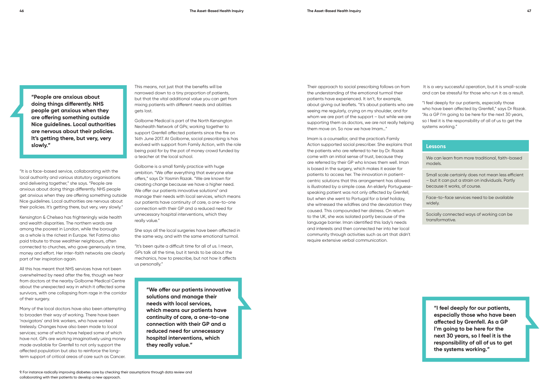"It is a face-based service, collaborating with the local authority and various statutory organisations and delivering together," she says. "People are anxious about doing things differently. NHS people get anxious when they are offering something outside Nice guidelines. Local authorities are nervous about their policies. It's getting there, but very, very slowly."

Kensington & Chelsea has frighteningly wide health and wealth disparities. The northern wards are among the poorest in London, while the borough as a whole is the richest in Europe. Yet Fatima also paid tribute to those wealthier neighbours, often connected to churches, who gave generously in time, money and effort. Her inter-faith networks are clearly part of her inspiration again.

All this has meant that NHS services have not been overwhelmed by need after the fire, though we hear from doctors at the nearby Golborne Medical Centre about the unexpected way in which it affected some survivors, with one collapsing from rage in the corridor of their surgery.

Many of the local doctors have also been attempting to broaden their way of working. There have been 'navigators' and link workers, who have worked tirelessly. Changes have also been made to local services; some of which have helped some of which have not. GPs are working imaginatively using money made available for Grenfell to not only support the affected population but also to reinforce the longterm support of critical areas of care such as Cancer.

This means, not just that the benefits will be narrowed down to a tiny proportion of patients, but that the vital additional value you can get from mixing patients with different needs and abilities gets lost.

Golborne Medical is part of the North Kensington Neohealth Network of GPs; working together to support Grenfell affected patients since the fire on 14th June 2017. At Golborne, social prescribing is has evolved with support from Family Action, with the role being paid for by the pot of money crowd funded by a teacher at the local school.

Golborne is a small family practice with huge ambition. "We offer everything that everyone else offers," says Dr Yasmin Razak. "We are known for creating change because we have a higher need. We offer our patients innovative solutions<sup>9</sup> and manage their needs with local services, which means our patients have continuity of care, a one-to-one connection with their GP and a reduced need for unnecessary hospital interventions, which they really value."

She says all the local surgeries have been affected in the same way, and with the same emotional turmoil.

"It's been quite a difficult time for all of us. I mean, GPs talk all the time, but it tends to be about the mechanics, how to prescribe, but not how it affects us personally."

Their approach to social prescribing follows on from the understanding of the emotional turmoil their patients have experienced. It isn't, for example, about giving out leaflets. "It's about patients who are seeing me regularly, crying on my shoulder, and for whom we are part of the support – but while we are supporting them as doctors, we are not really helping them move on. So now we have Imam…"

Imam is a counsellor, and the practice's Family Action supported social prescriber. She explains that the patients who are referred to her by Dr. Razak come with an initial sense of trust, because they are referred by their GP who knows them well. Iman is based in the surgery, which makes it easier for patients to access her. The innovation in patientcentric solutions that this arrangement has allowed is illustrated by a simple case. An elderly Portuguesespeaking patient was not only affected by Grenfell, but when she went to Portugal for a brief holiday, she witnessed the wildfires and the devastation they caused. This compounded her distress. On return to the UK, she was isolated partly because of the language barrier. Iman identified this lady's needs and interests and then connected her into her local community through activities such as art that didn't require extensive verbal communication.

 It is a very successful operation, but it is small-scale and can be stressful for those who run it as a result.

"I feel deeply for our patients, especially those who have been affected by Grenfell," says Dr Razak. "As a GP I'm going to be here for the next 30 years, so I feel it is the responsibility of all of us to get the systems working."

#### **Lessons**

We can learn from more traditional, faith-based models.

Small scale certainly does not mean less efficient – but it can put a strain on individuals. Partly because it works, of course.

Face-to-face services need to be available widely.

Socially connected ways of working can be transformative.

**"We offer our patients innovative solutions and manage their needs with local services, which means our patients have continuity of care, a one-to-one connection with their GP and a reduced need for unnecessary hospital interventions, which they really value."**

**"I feel deeply for our patients, especially those who have been affected by Grenfell. As a GP I'm going to be here for the next 30 years, so I feel it is the responsibility of all of us to get the systems working."**

**"People are anxious about doing things differently. NHS people get anxious when they are offering something outside Nice guidelines. Local authorities are nervous about their policies. It's getting there, but very, very slowly."**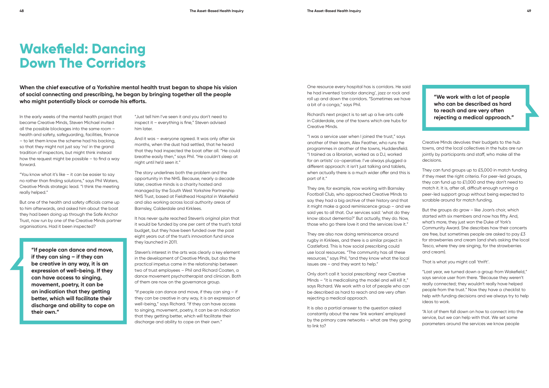**When the chief executive of a Yorkshire mental health trust began to shape his vision of social connecting and prescribing, he began by bringing together all the people who might potentially block or corrode his efforts.**

> "Just tell him I've seen it and you don't need to inspect it – everything is fine," Steven advised him later.

And it was – everyone agreed. It was only after six months, when the dust had settled, that he heard that they had inspected the boat after all. "He could breathe easily then," says Phil. "He couldn't sleep at night until he'd seen it."

The story underlines both the problem and the opportunity in the NHS. Because, nearly a decade later, creative minds is a charity hosted and managed by the South West Yorkshire Partnership NHS Trust, based at Fieldhead Hospital in Wakefield and also working across local authority areas of Barnsley, Calderdale and Kirklees.

It has never quite reached Steven's original plan that it would be funded by one per cent of the trust's total budget, but they have been funded over the past eight years out of the trust's innovation fund since they launched in 2011.

Steven's interest in the arts was clearly a key element in the development of Creative Minds, but also the practical impetus came in the relationship between two of trust employees – Phil and Richard Coaten, a dance movement psychotherapist and clinician. Both of them are now on the governance group.

"If people can dance and move, if they can sing – if they can be creative in any way, it is an expression of well-being," says Richard. "If they can have access to singing, movement, poetry, it can be an indication that they getting better, which will facilitate their discharge and ability to cope on their own."

One resource every hospital has is corridors. He said he had invented 'corridor dancing', jazz or rock and roll up and down the corridors. "Sometimes we have a bit of a conga," says Phil.

Richard's next project is to set up a live arts café in Calderdale, one of the towns which are hubs for Creative Minds.

"I was a service user when I joined the trust," says another of their team, Alex Feather, who runs the programmes in another of the towns, Huddersfield. "I trained as a librarian, worked as a DJ, worked for an artists' co-operative. I've always plugged a different approach: it isn't just talking and tablets, when actually there is a much wider offer and this is part of it."

They are, for example, now working with Barnsley Football Club, who approached Creative Minds to say they had a big archive of their history and that it might make a good reminiscence group – and we said yes to all that. Our services said: 'what do they know about dementia?' But actually, they do. Now, those who go there love it and the services love it."

They are also now doing reminiscence around rugby in Kirklees, and there is a similar project in Castleford. This is how social prescribing could use local resources. "The community has all these resources," says Phil, "and they know what the local issues are – and they want to help."

Only don't call it 'social prescribing' near Creative Minds – "it is medicalising the model and will kill it," says Richard. We work with a lot of people who can be described as hard to reach and are very often rejecting a medical approach.

It is also a partial answer to the question asked constantly about the new 'link workers' employed by the primary care networks – what are they going to link to?

Creative Minds devolves their budgets to the hub towns, and the local collectives in the hubs are run jointly by participants and staff, who make all the decisions.

They can fund groups up to £5,000 in match funding if they meet the right criteria. For peer-led groups, they can fund up to £1,000 and they don't need to match it. It is, after all, difficult enough running a peer-led support group without being expected to scrabble around for match funding.

But the groups do grow – like Joan's choir, which started with six members and now has fifty. And, what's more, they just won the Duke of York's Community Award. She describes how their concerts are free, but sometimes people are asked to pay £3 for strawberries and cream (and she's asking the local Tesco, where they are singing, for the strawberries and cream).

That is what you might call 'thrift'.

"Last year, we turned down a group from Wakefield," says service user from there. "Because they weren't really connected; they wouldn't really have helped people from the trust." Now they have a checklist to help with funding decisions and we always try to help ideas to work.

"A lot of them fall down on how to connect into the service, but we can help with that. We set some parameters around the services we know people

## **Wakefield: Dancing Down The Corridors**

In the early weeks of the mental health project that became Creative Minds, Steven Michael invited all the possible blockages into the same room – health and safety, safeguarding, facilities, finance – to let them know the scheme had his backing, so that they might not just say 'no' in the grand tradition of inspectors, but might think instead how the request might be possible – to find a way forward.

"You know what it's like – it can be easier to say no rather than finding solutions," says Phil Waters, Creative Minds strategic lead. "I think the meeting really helped."

But one of the health and safety officials came up to him afterwards, and asked him about the boat they had been doing up through the Safe Anchor Trust, now run by one of the Creative Minds partner organisations. Had it been inspected?

> **"If people can dance and move, if they can sing – if they can be creative in any way, it is an expression of well-being. If they can have access to singing, movement, poetry, it can be an indication that they getting better, which will facilitate their discharge and ability to cope on their own."**

**"We work with a lot of people who can be described as hard to reach and are very often rejecting a medical approach."**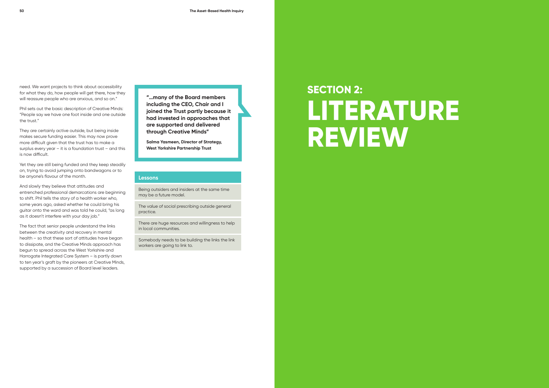# **SECTION 2: LITERATURE REVIEW**



need. We want projects to think about accessibility for what they do, how people will get there, how they will reassure people who are anxious, and so on."

Phil sets out the basic description of Creative Minds: "People say we have one foot inside and one outside the trust."

They are certainly active outside, but being inside makes secure funding easier. This may now prove more difficult given that the trust has to make a surplus every year – it is a foundation trust – and this is now difficult.

Yet they are still being funded and they keep steadily on, trying to avoid jumping onto bandwagons or to be anyone's flavour of the month.

And slowly they believe that attitudes and entrenched professional demarcations are beginning to shift. Phil tells the story of a health worker who, some years ago, asked whether he could bring his guitar onto the ward and was told he could, "as long as it doesn't interfere with your day job."

The fact that senior people understand the links between the creativity and recovery in mental health – so that these sort of attitudes have began to dissipate, and the Creative Minds approach has begun to spread across the West Yorkshire and Harrogate Integrated Care System – is partly down to ten year's graft by the pioneers at Creative Minds, supported by a succession of Board level leaders.

**"…many of the Board members including the CEO, Chair and I joined the Trust partly because it had invested in approaches that are supported and delivered through Creative Minds"** 

**Salma Yasmeen, Director of Strategy, West Yorkshire Partnership Trust**

#### **Lessons**

Being outsiders and insiders at the same time may be a future model.

The value of social prescribing outside general practice.

There are huge resources and willingness to help in local communities.

Somebody needs to be building the links the link workers are going to link to.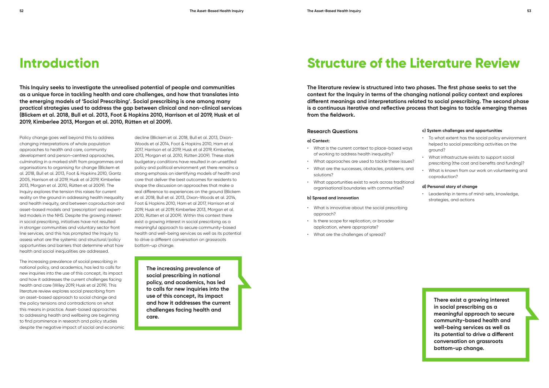**This Inquiry seeks to investigate the unrealised potential of people and communities as a unique force in tackling health and care challenges, and how that translates into the emerging models of 'Social Prescribing'. Social prescribing is one among many practical strategies used to address the gap between clinical and non-clinical services (Blickem et al. 2018, Bull et al. 2013, Foot & Hopkins 2010, Harrison et al 2019, Husk et al 2019, Kimberlee 2013, Morgan et al. 2010, Rütten et al 2009).** 

> decline (Blickem et al. 2018, Bull et al. 2013, Dixon-Woods et al 2014, Foot & Hopkins 2010, Ham et al 2017, Harrison et al 2019, Husk et al 2019, Kimberlee, 2013, Morgan et al. 2010, Rütten 2009). These stark budgetary conditions have resulted in an unsettled policy and political environment yet there remains a strong emphasis on identifying models of health and care that deliver the best outcomes for residents to shape the discussion on approaches that make a real difference to experiences on the ground (Blickem et al. 2018, Bull et al. 2013, Dixon-Woods et al. 2014, Foot & Hopkins 2010, Ham et al 2017, Harrison et al 2019, Husk et al 2019, Kimberlee 2013, Morgan et al. 2010, Rütten et al 2009). Within this context there exist a growing interest in social prescribing as a meaningful approach to secure community-based health and well-being services as well as its potential to drive a different conversation on grassroots bottom-up change.

### **Introduction**

Policy change goes well beyond this to address changing interpretations of whole population approaches to health and care, community development and person-centred approaches, culminating in a marked shift from programmes and organisations to organising for change (Blickem et al. 2018, Bull et al. 2013, Foot & Hopkins 2010, Gantz 2005, Harrison et al 2019, Husk et al 2019, Kimberlee 2013, Morgan et al. 2010, Rütten et al 2009). The Inquiry explores the tension this raises for current reality on the ground in addressing health inequality and health inequity, and between coproduction and asset-based models and 'prescription' and expertled models in the NHS. Despite the growing interest in social prescribing, initiatives have not resulted in stronger communities and voluntary sector front line services, and this has prompted the Inquiry to assess what are the systemic and structural/policy opportunities and barriers that determine what how health and social inequalities are addressed.

The increasing prevalence of social prescribing in national policy, and academics, has led to calls for new inquiries into the use of this concept, its impact and how it addresses the current challenges facing health and care (Wiley 2019, Husk et al 2019). This literature review explores social prescribing from an asset-based approach to social change and the policy tensions and contradictions on what this means in practice. Asset-based approaches to addressing health and wellbeing are beginning to find prominence in research and policy studies despite the negative impact of social and economic

**The literature review is structured into two phases. The first phase seeks to set the context for the Inquiry in terms of the changing national policy context and explores different meanings and interpretations related to social prescribing. The second phase is a continuous iterative and reflective process that begins to tackle emerging themes from the fieldwork.** 

#### **Research Questions**

#### **a) Context:**

- What is the current context to place-based ways of working to address health inequality?
- What approaches are used to tackle these issues?
- What are the successes, obstacles, problems, and solutions?
- What opportunities exist to work across traditional organisational boundaries with communities?

#### **b) Spread and innovation**

- What is innovative about the social prescribing approach?
- Is there scope for replication, or broader application, where appropriate?
- What are the challenges of spread?

**The increasing prevalence of social prescribing in national policy, and academics, has led to calls for new inquiries into the use of this concept, its impact and how it addresses the current challenges facing health and care.** 

**There exist a growing interest in social prescribing as a meaningful approach to secure community-based health and well-being services as well as its potential to drive a different conversation on grassroots bottom-up change.** 

## **Structure of the Literature Review**

#### **c) System challenges and opportunities**

- To what extent has the social policy environment helped to social prescribing activities on the ground?
- What infrastructure exists to support social prescribing (the cost and benefits and funding)?
- What is known from our work on volunteering and coproduction?

#### **d) Personal story of change**

• Leadership in terms of mind-sets, knowledge, strategies, and actions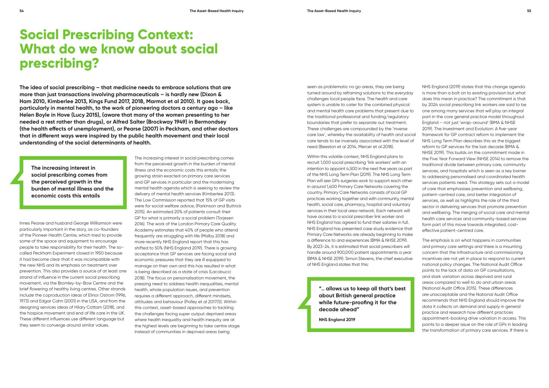**The idea of social prescribing – that medicine needs to embrace solutions that are more than just transactions involving pharmaceuticals – is hardly new (Dixon & Ham 2010, Kimberlee 2013, Kings Fund 2017, 2018, Marmot et al 2010). It goes back, particularly in mental health, to the work of pioneering doctors a century ago – like Helen Boyle in Hove (Lucy 2015), (aware that many of the women presenting to her needed a rest rather than drugs), or Alfred Salter (Brockway 1949) in Bermondsey (the health effects of unemployment), or Pearse (2007) in Peckham, and other doctors that in different ways were inspired by the public health movement and their local understanding of the social determinants of health.**

Innes Pearse and husband George Williamson were particularly important in the story, as co-founders of the Pioneer Health Centre, which tried to provide some of the space and equipment to encourage people to take responsibility for their health. The socalled Peckham Experiment closed in 1950 because it had become clear that it was incompatible with the new NHS and its emphasis on treatment over prevention. This also provides a source of at least one strand of influence in the current social prescribing movement, via the Bromley-by-Bow Centre and the brief flowering of healthy living centres. Other strands include the coproduction ideas of Elinor Ostrom (1996, 1973) and Edgar Cahn (2001) in the USA, and from the designing services ideas of Hilary Cottam (2018), and the hospice movement and end of life care in the UK. These different influences use different language but they seem to converge around similar values.

seen as problematic no go areas, they are being turned around by reframing solutions to the everyday challenges local people face. The health and care system is unable to cater for the combined physical and mental health care problems that present due to the traditional professional and funding/regulatory boundaries that prefer to separate out treatment. These challenges are compounded by the 'inverse care law', whereby the availability of health and social care tends to be inversely associated with the level of need (Beeston et al 2014, Mercer et al 2018).

Within this volatile context, NHS England plans to recruit 1,000 social prescribing 'link workers' with an intention to appoint 4,500 in the next five years as part of the NHS Long Term Plan (2019). The NHS Long Term Plan will see GPs surgeries work to support each other in around 1,400 Primary Care Networks covering the country. Primary Care Networks consists of local GP practices working together and with community, mental health, social care, pharmacy, hospital and voluntary services in their local area network. Each network will have access to a social prescriber link worker and NHS England has agreed to fund their salaries in full. NHS England has presented case study evidence that Primary Care Networks are already beginning to make a difference to and experiences (BMA & NHSE 2019). By 2023-24, it is estimated that social prescribers will handle around 900,000 patient appointments a year (BMA & NHSE 2019). Simon Stevens, the chief executive of NHS England states that this:

> **".. allows us to keep all that's best about British general practice while future-proofing it for the decade ahead"**

**NHS England 2019**

NHS England (2019) states that this change agenda is more than a bolt on to existing provision but what does this mean in practice? The commitment is that by 2024 social prescribing link workers are said to be one among many services that will play an integral part in the core general practice model throughout England – not just 'wrap-around' (BMA & NHSE 2019). The Investment and Evolution: A five-year

framework for GP contract reform to implement the NHS Long Term Plan describes this as the biggest reform to GP services for the last decade (BMA & NHSE 2019). This builds on the commitment made in the Five Year Forward View (NHSE 2014) to remove the traditional divide between primary care, community services, and hospitals which is seen as a key barrier to addressing personalised and coordinated health services patients need. This strategy sets out a model of care that emphasises prevention and wellbeing, patient-centred care, and better integration of services, as well as highlights the role of the third sector in delivering services that promote prevention and wellbeing. The merging of social care and mental health care services and community-based services form part of this move towards integrated, costeffective patient-centred care.

The emphasis is on what happens in communities and primary care settings and there is a mounting concern that the infrastructure and commissioning incentives are not yet in place to respond to current national policy changes. The National Audit Office points to the lack of data on GP consultations, and stark variation across deprived and rural areas compared to well to do and urban areas (National Audit Office 2015). These differences are unacceptable and the National Audit Office recommends that NHS England should improve the data it collects on demand and supply in general practice and research how different practices appointment-booking drive variation in access. This points to a deeper issue on the role of GPs in leading the transformation of primary care services. If there is

## **Social Prescribing Context: What do we know about social prescribing?**

The increasing interest in social prescribing comes from the perceived growth in the burden of mental illness and the economic costs this entails; the growing strain exacted on primary care services and GP services in particular and the modernising mental health agenda which is seeking to review the delivery of mental health services (Kimberlee 2013). The Low Commission reported that 15% of GP visits were for social welfare advice, (Parkinson and Buttrick 2015). An estimated 20% of patients consult their GP for what is primarily a social problem (Torjesen 2016). The work of the London Primary Care Quality Academy estimates that 40% of people who attend frequently are struggling with life (Malby 2018) and more recently NHS England report that this has shifted to 50% (NHS England 2019). There is growing acceptance that GP services are facing social and economic pressures that they are ill equipped to manage on their own and this has resulted in what is being described as a state of crisis (Lacobucci 2018). The focus on personalisation movement, the pressing need to address health inequalities, mental health, whole population issues, and prevention requires a different approach, different mindsets, attitudes and behaviour (Polley et al 2017(1)). Within this context, asset-based approaches to tackling the challenges facing super output deprived areas where health inequality and health inequity are at the highest levels are beginning to take centre stage. Instead of communities in deprived areas being

**The increasing interest in social prescribing comes from the perceived growth in the burden of mental illness and the economic costs this entails**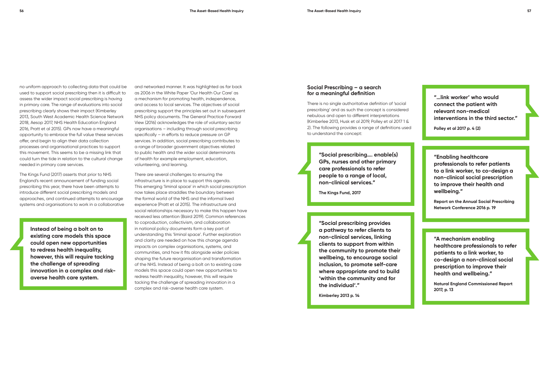no uniform approach to collecting data that could be used to support social prescribing then it is difficult to assess the wider impact social prescribing is having in primary care. The range of evaluations into social prescribing clearly shows their impact (Kimberley 2013, South West Academic Health Science Network 2018, Aesop 2017, NHS Health Education England 2016, Pratt et al 2015). GPs now have a meaningful opportunity to embrace the full value these services offer, and begin to align their data collection processes and organisational practices to support this movement. This seems to be a missing link that could turn the tide in relation to the cultural change needed in primary care services.

The Kings Fund (2017) asserts that prior to NHS England's recent announcement of funding social prescribing this year, there have been attempts to introduce different social prescribing models and approaches, and continued attempts to encourage systems and organisations to work in a collaborative and networked manner. It was highlighted as far back as 2006 in the White Paper 'Our Health Our Care' as a mechanism for promoting health, independence, and access to local services. The objectives of social prescribing support the principles set out in subsequent NHS policy documents. The General Practice Forward View (2016) acknowledges the role of voluntary sector organisations – including through social prescribing specifically – in efforts to reduce pressure on GP services. In addition, social prescribing contributes to a range of broader government objectives related to public health and the wider social determinants of health for example employment, education, volunteering, and learning.

There are several challenges to ensuring the infrastructure is in place to support this agenda. This emerging 'liminal space' in which social prescription now takes place straddles the boundary between the formal world of the NHS and the informal lived experience (Pratt et al 2015). The infrastructure and social relationships necessary to make this happen have received less attention (Baird 2019). Common references to coproduction, collectivism, and collaboration in national policy documents form a key part of understanding this 'liminal space'. Further exploration and clarity are needed on how this change agenda impacts on complex organisations, systems, and communities, and how it fits alongside wider policies shaping the future reorganisation and transformation of the NHS. Instead of being a bolt on to existing care models this space could open new opportunities to redress health inequality, however, this will require tacking the challenge of spreading innovation in a complex and risk-averse health care system.

**"…link worker' who would connect the patient with relevant non-medical interventions in the third sector."** 

**Polley et al 2017 p. 4 (2)**

**"Enabling healthcare professionals to refer patients to a link worker, to co-design a non-clinical social prescription to improve their health and wellbeing."** 

**Report on the Annual Social Prescribing Network Conference 2016 p. 19**

**"A mechanism enabling healthcare professionals to refer patients to a link worker, to co-design a non-clinical social prescription to improve their health and wellbeing."** 

**Natural England Commissioned Report 2017, p. 13**

#### **Social Prescribing – a search for a meaningful definition**

There is no single authoritative definition of 'social prescribing' and as such the concept is considered nebulous and open to different interpretations (Kimberlee 2013, Husk et al 2019, Polley et al 2017 1 & 2). The following provides a range of definitions used to understand the concept:

> **"Social prescribing…. enable(s) GPs, nurses and other primary care professionals to refer people to a range of local, non-clinical services."**

**The Kings Fund, 2017**

**"Social prescribing provides a pathway to refer clients to non-clinical services, linking clients to support from within the community to promote their wellbeing, to encourage social inclusion, to promote self-care where appropriate and to build 'within the community and for the individual'."** 

**Kimberley 2013 p. 14**

**Instead of being a bolt on to existing care models this space could open new opportunities to redress health inequality, however, this will require tacking the challenge of spreading innovation in a complex and riskaverse health care system.**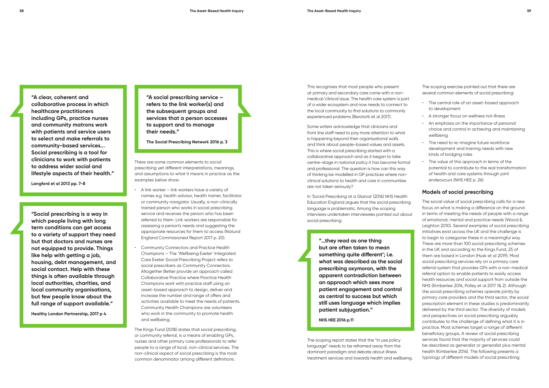**"A clear, coherent and collaborative process in which healthcare practitioners including GPs, practice nurses and community matrons work with patients and service users to select and make referrals to community-based services... Social prescribing is a tool for clinicians to work with patients to address wider social and lifestyle aspects of their health."** 

**Langford et al 2013 pp. 7-8**

**"Social prescribing is a way in which people living with long term conditions can get access to a variety of support they need but that doctors and nurses are not equipped to provide. Things like help with getting a job, housing, debt management, and social contact. Help with these things is often available through local authorities, charities, and local community organisations, but few people know about the full range of support available."** 

**Healthy London Partnership, 2017 p 4**

**"A social prescribing service – refers to the link worker(s) and the subsequent groups and services that a person accesses to support and to manage their needs."** 

**The Social Prescribing Network 2016 p. 3**

There are some common elements to social prescribing yet different interpretations, meanings, and assumptions to what it means in practice as the examples below show:

- A link worker link workers have a variety of names e.g. health advisor, health trainer, facilitator or community navigator. Usually, a non-clinically trained person who works in social prescribing service and receives the person who has been referred to them. Link workers are responsible for assessing a person's needs and suggesting the appropriate resources for them to access (Natural England Commissioned Report 2017 p. 20).
- Community Connectors and Practice Health Champions – The 'Wellbeing Exeter' Integrated Care Exeter Social Prescribing Project refers to social prescribers as Community Connectors. Altogether Better provide an approach called Collaborative Practice where Practice Health Champions work with practice staff using an asset-based approach to design, deliver and increase the number and range of offers and activities available to meet the needs of patients. Community Health Champions are volunteers who work in the community to promote health and wellbeing.

The Kings Fund (2018) states that social prescribing, or community referral, is a means of enabling GPs, nurses and other primary care professionals to refer people to a range of local, non-clinical services. The non-clinical aspect of social prescribing is the most common denominator among different definitions.

This recognises that most people who present at primary and secondary care come with a nonmedical/clinical issue. The health care system is part of a wider ecosystem and now needs to connect to the local community to find solutions to commonly experienced problems (Berototti et al 2017).

Some writers acknowledge that clinicians and front line staff need to pay more attention to what is happening beyond their organisational walls and think about people-based values and assets. This is where social prescribing started with a collaborative approach and as it began to take centre-stage in national policy it has become formal and professional. The question is how can this way of thinking be modelled in GP practices where nonclinical solutions to health and care in communities are not taken seriously?

In 'Social Prescribing at a Glance' (2016) NHS Health Education England argues that the social prescribing language is problematic. Among the scoping interviews undertaken interviewees pointed out about social prescribing:

> **"…they read as one thing but are often taken to mean something quite different'; i.e. what was described as the social prescribing oxymoron, with the apparent contradiction between an approach which sees more patient engagement and control as central to success but which still uses language which implies patient subjugation."**

**NHS HEE 2016 p.11**

The scoping report states that the "in use policy language" needs to be reframed away from the dominant paradigm and debate about illness treatment services and towards health and wellbeing. The scoping exercise pointed out that there are several common elements of social prescribing:

- The central role of an asset-based approach to development
- A stronger focus on wellness not illness
- An emphasis on the importance of personal choice and control in achieving and maintaining wellbeing
- The need to re-imagine future workforce development and training needs with new kinds of bridging roles
- The value of this approach in terms of the potential to contribute to the real transformation of health and care systems through joint endeavours (NHS HEE p. 26).

#### **Models of social prescribing**

The social value of social prescribing calls for a new focus on what is making a difference on the ground in terms of meeting the needs of people with a range of emotional, mental and practice needs (Wood & Leighton 2010). Several examples of social prescribing initiatives exist across the UK and the challenge is to begin to categorise these in a meaningful way. There are more than 100 social prescribing schemes in the UK and according to the Kings Fund, 25 of them are based in London (Husk et al 2019). Most social prescribing services rely on a primary care referral system that provides GPs with a non-medical referral option to enable patients to easily access health resources and social support from outside the NHS (Kimberlee 2016, Polley et al 2017 1& 2). Although the social prescribing schemes operate jointly by primary care providers and the third sector, the social prescription element in these studies is predominantly delivered by the third sector. The diversity of models and perspectives on social prescribing arguably contributes to the challenge of defining what it is in practice. Most schemes target a range of different beneficiary groups. A review of social prescribing services found that the majority of services could be described as generalist or generalist plus mental health (Kimberlee 2016). The following presents a typology of different models of social prescribing.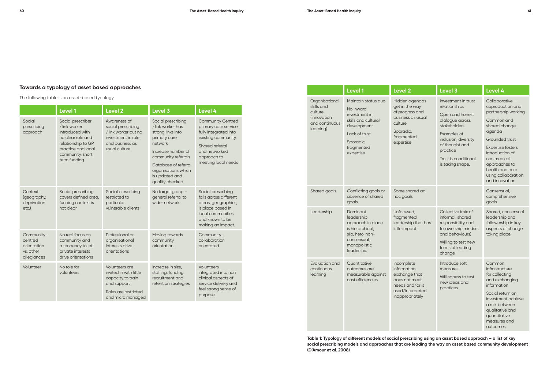### **Towards a typology of asset based approaches**

The following table is an asset-based typology

**Level 1 Level 2 Level 3 Level 4** Organisational nd culture ation antinuous ig) Maintain status quo No inward investment in skills and cultural development Lack of trust Sporadic, fragmented expertise Hidden age get in the w of progress business as culture Sporadic, fragmented expertise d goals Conflicting goals or absence of shared goals Some share hoc goals rship Dominant leadership approach in place is hierarchical, silo, hero, nonconsensual, monopolistic leadership Unfocused, fragmented leadership t little impact ition and uous  $\overline{q}$ **Quantitative** outcomes are measurable against cost efficiencies Incomplete information exchange t does not me needs and/ used/interp inappropria

|                                                                  | Level 1                                                                                                                                                   | <b>Level 2</b>                                                                                                            | Level 3                                                                                                                                                                                                                 | Level 4                                                                                                                                                                    |
|------------------------------------------------------------------|-----------------------------------------------------------------------------------------------------------------------------------------------------------|---------------------------------------------------------------------------------------------------------------------------|-------------------------------------------------------------------------------------------------------------------------------------------------------------------------------------------------------------------------|----------------------------------------------------------------------------------------------------------------------------------------------------------------------------|
| Social<br>prescribing<br>approach                                | Social prescriber<br>/link worker<br>introduced with<br>no clear role and<br>relationship to GP<br>practice and local<br>community, short<br>term funding | Awareness of<br>social prescribing<br>/link worker but no<br>investment in role<br>and business as<br>usual culture       | Social prescribing<br>/link worker has<br>strong links into<br>primary care<br>network<br>Increase number of<br>community referrals<br>Database of referral<br>organisations which<br>is updated and<br>quality checked | <b>Community Centred</b><br>primary care service<br>fully integrated into<br>existing community.<br>Shared referral<br>and networked<br>approach to<br>meeting local needs |
| Context<br>(geography,<br>deprivation<br>$etc.$ )                | Social prescribing<br>covers defined area,<br>funding context is<br>not clear                                                                             | Social prescribing<br>restricted to<br>particular<br>vulnerable clients                                                   | No target group -<br>general referral to<br>wider network                                                                                                                                                               | Social prescribing<br>falls across different<br>areas, geographies,<br>is place based in<br>local communities<br>and known to be<br>making an impact.                      |
| Community-<br>centred<br>orientation<br>vs. other<br>allegiances | No real focus on<br>community and<br>a tendency to let<br>private interests<br>drive orientations                                                         | Professional or<br>organisational<br>interests drive<br>orientations                                                      | Moving towards<br>community<br>orientation                                                                                                                                                                              | Community-<br>collaboration<br>orientated                                                                                                                                  |
| Volunteer                                                        | No role for<br>volunteers                                                                                                                                 | Volunteers are<br>invited in with little<br>capacity to train<br>and support<br>Roles are restricted<br>and micro managed | Increase in size,<br>staffing, funding,<br>recruitment and<br>retention strategies                                                                                                                                      | Volunteers<br>integrated into non<br>clinical aspects of<br>service delivery and<br>feel strong sense of<br>purpose                                                        |

|                                                | Level 3                                                                                                                                                                                                      | Level 4                                                                                                                                                                                                                                                         |
|------------------------------------------------|--------------------------------------------------------------------------------------------------------------------------------------------------------------------------------------------------------------|-----------------------------------------------------------------------------------------------------------------------------------------------------------------------------------------------------------------------------------------------------------------|
| endas<br><b>JON</b><br>and<br>usual<br>J       | Investment in trust<br>relationships<br>Open and honest<br>dialogue across<br>stakeholders<br>Examples of<br>inclusion, diversity<br>of thought and<br>practice<br>Trust is conditional,<br>is taking shape. | Collaborative-<br>coproduction and<br>partnership working<br>Common and<br>shared change<br>agenda<br>Grounded trust<br><b>Expertise fosters</b><br>introduction of<br>non medical<br>approaches to<br>health and care<br>using collaboration<br>and innovation |
| ed ad                                          |                                                                                                                                                                                                              | Consensual,<br>comprehensive<br>goals                                                                                                                                                                                                                           |
| that has<br>t                                  | Collective (mix of<br>informal, shared<br>responsibility and<br>followership mindset<br>and behaviours)<br>Willing to test new<br>forms of leading<br>change                                                 | Shared, consensual<br>leadership and<br>followership in key<br>aspects of change<br>taking place.                                                                                                                                                               |
| hat<br>eet<br>$\sigma$ r is<br>oreted<br>ıtely | Introduce soft<br>measures<br>Willingness to test<br>new ideas and<br>practices                                                                                                                              | Common<br>infrastructure<br>for collecting<br>and exchanging<br>information<br>Social return on<br>investment achieve<br>a mix between<br>qualitative and<br>quantitative<br>measures and<br>outcomes                                                           |

 **Table 1: Typology of different models of social prescribing using an asset based approach – a list of key social prescribing models and approaches that are leading the way on asset based community development (D'Amour et al. 2008)**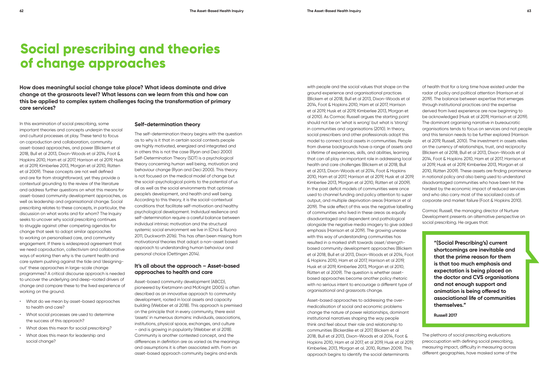**How does meaningful social change take place? What ideas dominate and drive change at the grassroots level? What lessons can we learn from this and how can this be applied to complex system challenges facing the transformation of primary care services?** 

#### **Self-determination theory**

The self-determination theory begins with the question as to why is it that in certain social contexts people are highly motivated, energized and integrated and in others this is not the case (Ryan and Deci 2000) Self-Determination Theory (SDT) is a psychological theory concerning human well being, motivation and behaviour change (Ryan and Deci 2000). This theory is not focused on the medical model of change but the social-psychological points to the potential of us all as well as the social environments that optimise people's development, and health and well being. According to this theory, it is the social-contextual conditions that facilitate self-motivation and healthy psychological development. Individual resilience and self-determination require a careful balance between individual intrinsic motivation and the structural systemic social environment we live in (Choi & Ruona 2011, Duckworth 2016). This has often been missing from motivational theories that adopt a non-asset based approach to understanding human behaviour and personal choice (Oettingen 2014).

#### **It's all about the approach – Asset-based approaches to health and care**

Asset-based community development (ABCD), pioneered by Kretzmann and McKnight (2005) is often described as an innovative approach to community development, rooted in local assets and capacity building (Webber et al 2018). This approach is premised on the principle that in every community, there exist 'assets' in numerous domains: individuals, associations, institutions, physical space, exchanges, and culture – and is growing in popularity (Webber et al 2018). Community is another contested concept, and the differences in definition are as varied as the meanings and assumptions it is often associated with. From an asset-based approach community begins and ends

with people and the social values that shape on the ground experience and organisational practices (Blickem et al 2018, Bull et al 2013, Dixon-Woods et al 2014, Foot & Hopkins 2010, Ham et al 2017, Harrison et al 2019, Husk et al 2019, Kimberlee 2013, Morgan et al 2010). As Cormac Russell argues the starting point should not be on 'what is wrong' but what is 'strong' in communities and organisations (2010). In theory, social prescribers and other professionals adopt this model to connect local assets in communities. People from diverse backgrounds have a range of assets and a lifetime of experiences, skills, and abilities, learning that can all play an important role in addressing local health and care challenges (Blickem et al 2018, Bull et al 2013, Dixon-Woods et al 2014, Foot & Hopkins 2010, Ham et al 2017, Harrison et al 2019, Husk et al 2019, Kimberlee 2013, Morgan et al 2010, Rütten et al 2009). In the past deficit models of communities were once used to channel funding and policy attention to super output, and multiple deprivation areas (Harrison et al 2019). The side effect of this was the negative labelling of communities who lived in these areas as equally disadvantaged and dependent and pathological alongside the negative media imagery to give added emphasis (Harrison et al 2019). The growing unease with this way of understanding communities has resulted in a marked shift towards asset/strengthbased community development approaches (Blickem et al 2018, Bull et al 2013, Dixon-Woods et al 2014, Foot & Hopkins 2010, Ham et al 2017, Harrison et al 2019, Husk et al 2019, Kimberlee 2013, Morgan et al 2010, Rütten et al 2009). The question is whether assetbased approaches become another policy rhetoric with no serious intent to encourage a different type of organisational and grassroots change.

Asset-based approaches to addressing the overmedicalisation of social and economic problems change the nature of power relationships, dominant institutional narratives shaping the way people think and feel about their role and relationship to communities (Bickerdike et al 2017, Blickem et al 2018, Bull et al 2013, Dixon-Woods et al 2014, Foot & Hopkins 2010, Ham et al 2017, et al 2019, Husk et al 2019, Kimberlee, 2013, Morgan et al. 2010, Rütten 2009). This approach begins to identify the social determinants

of health that for a long time have existed under the radar of policy and political attention (Harrison et al 2019). The balance between expertise that emerges through institutional practices and the expertise derived from lived experience are now beginning to be acknowledged (Husk et al 2019, Harrison et al 2019). The dominant organising narrative in bureaucratic organisations tends to focus on services and not people and this tension needs to be further explored (Harrison et al 2019, Russell, 2010). The investment in assets relies on the currency of relationships, trust, and reciprocity (Blickem et al 2018, Bull et al 2013, Dixon-Woods et al 2014, Foot & Hopkins 2010, Ham et al 2017, Harrison et al 2019, Husk et al 2019, Kimberlee 2013, Morgan et al 2010, Rütten 2009). These assets are finding prominence in national policy and also being used to understand disadvantaged communities who have been hit the hardest by the economic impact of reduced services and who also carry most of the socialized costs of corporate and market failure (Foot & Hopkins 2010).

Cormac Russell, the managing director of Nurture Development presents an alternative perspective on social prescribing. He argues that:

> **"(Social Prescribing's) current shortcomings are inevitable and that the prime reason for them is that too much emphasis and expectation is being placed on the doctor and CVS organisations and not enough support and animation is being offered to associational life of communities themselves."**

**Russell 2017**

The plethora of social prescribing evaluations preoccupation with defining social prescribing, measuring impact, difficulty in measuring across different geographies, have masked some of the

## **Social prescribing and theories of change approaches**

In this examination of social prescribing, some important theories and concepts underpin the social and cultural processes at play. These tend to focus on coproduction and collaboration, community asset-based approaches, and power (Blickem et al 2018, Bull et al 2013, Dixon-Woods et al 2014, Foot & Hopkins 2010, Ham et al 2017, Harrison et al 2019, Husk et al 2019, Kimberlee 2013, Morgan et al 2010, Rütten et al 2009). These concepts are not well defined and are far from straightforward, yet they provide a contextual grounding to the review of the literature and address further questions on what this means for asset-based community development approaches, as well as leadership and organisational change. Social prescribing relates to these concepts, in particular, the discussion on what works and for whom? The Inquiry seeks to uncover why social prescribing continues to struggle against other competing agendas for change that seek to adopt similar approaches to working on personalised care, and community engagement. If there is widespread agreement that we need coproduction, collectivism and collaborative ways of working then why is the current health and care system pushing against the tide and 'designingout' these approaches in large-scale change programmes? A critical discourse approach is needed to uncover the underlying and deep-rooted drivers of change and compare these to the lived experience of working on the ground.

- What do we mean by asset-based approaches to health and care?
- What social processes are used to determine the success of this approach?
- What does this mean for social prescribing?
- What does this mean for leadership and social change?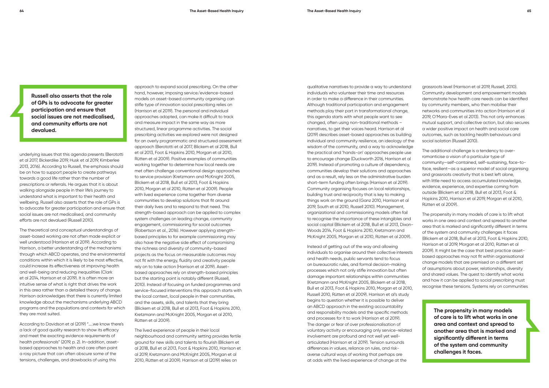underlying issues that this agenda presents (Berototti et al 2017, Bickerdike 2019, Husk et al 2019, Kimberlee 2013, 2016). According to Russell, the emphasis should be on how to support people to create pathways towards a good life rather than the number of prescriptions or referrals. He argues that it is about walking alongside people in their life's journey to understand what is important to their health and wellbeing. Russell also asserts that the role of GPs is to advocate for greater participation and ensure that social issues are not medicalised, and community efforts are not devalued (Russell 2010).

The theoretical and conceptual understandings of asset-based working are not often made explicit or well understood (Harrison et al 2019). According to Harrison, a better understanding of the mechanisms through which ABCD operates, and the environmental conditions within which it is likely to be most effective, could increase its effectiveness at improving health and well-being and reducing inequalities (Clark et al 2014, Harrison et al 2019). It is often more an intuitive sense of what is right that drives the work in this area rather than a detailed theory of change. Harrison acknowledges that there is currently limited knowledge about the mechanisms underlying ABCD programs and the populations and contexts for which they are most suited.

According to Davidson et al (2019) "…..we know there's a lack of good quality research to show its efficacy and meet the exacting evidence requirements of health professionals" (2019, p. 2). In-addition, assetbased approaches to health and care often paint a rosy picture that can often obscure some of the tensions, challenges, and drawbacks of using this

approach to expand social prescribing. On the other hand, however, imposing service/evidence-based models on asset-based community organising can stifle type of innovation social prescribing relies on (Harrison et al 2019). The personal and individual approaches adopted, can make it difficult to track and measure impact in the same way as more structured, linear programme activities. The social prescribing activities we explored were not designed for an overly programmatic and structured assessment approach (Berototti et al 2017, Blickem et al 2018, Bull et al 2013, Foot & Hopkins 2010, Morgan et al 2010, Rütten et al 2009). Positive examples of communities working together to determine how local needs are met often challenge conventional design approaches to service provision (Kretzmann and McKnight 2005, Blickem et al 2018, Bull et al 2013, Foot & Hopkins 2010, Morgan et al 2010, Rütten et al 2009). People with lived experience come together from diverse communities to develop solutions that fit around their daily lives and to respond to that need. This strength-based approach can be applied to complex system challenges on leading change, community engagement, commissioning for social outcomes (Robertson et al., 2016). However applying strengthbased principles to for example commissioning may also have the negative side effect of compromising the richness and diversity of community-based projects as the focus on measurable outcomes may not fit with the energy, fluidity and creativity people rely on to take action (Harrison et al 2019). Assetbased approaches rely on strength-based principles but the starting point is notably different (Russell, 2010). Instead of focusing on funded programmes and service-focused interventions this approach starts with the local context, local people in their communities, and the assets, skills, and talents that they bring (Blickem et al 2018, Bull et al 2013, Foot & Hopkins 2010, Kretzmann and McKnight 2005, Morgan et al 2010, Rütten et al 2009).

The lived experience of people in their local neighbourhood and community setting provides fertile ground for new skills and talents to flourish (Blickem et al 2018, Bull et al 2013, Foot & Hopkins 2010, Harrison et al 2019, Kretzmann and McKnight 2005, Morgan et al 2010, Rütten et al 2009). Harrison et al (2019) relies on

qualitative narratives to provide a way to understand individuals who volunteer their time and resources in order to make a difference in their communities. Although traditional participation and engagement methods play their part in transformational change, this agenda starts with what people want to see changed, often using non-traditional methods – narratives, to get their voices heard. Harrison et al (2019) describes asset-based approaches as building individual and community resilience, an ideology of the wisdom of the community, and a way to acknowledge the practical and 'hands-on' approaches people use to encourage change (Duckworth 2016, Harrison et al 2019). Instead of promoting a culture of dependency, communities develop their solutions and approaches and as a result, rely less on the administrative burden short-term funding often brings (Harrison et al 2019). Community organising focuses on local relationships, building trust and reciprocity that is key to making things work on the ground (Ganz 2010, Harrison et al 2019, South et al 2010, Russell 2010). Management, organizational and commissioning models often fail to recognise the importance of these intangibles and social capital (Blickem et al 2018, Bull et al 2013, Dixon-Woods 2014, Foot & Hopkins 2010, Kretzmann and McKnight 2005, Morgan et al 2010, Rütten et al 2009).

Instead of getting out of the way and allowing individuals to organise around their collective interests and health needs, public servants tend to focus on bureaucratic rules, and formal decision-making processes which not only stifle innovation but often damage important relationships within communities (Kretzmann and McKnight 2005, Blickem et al 2018, Bull et al 2013, Foot & Hopkins 2010, Morgan et al 2010, Russell 2010, Rütten et al 2009). Harrison et al's study begins to question whether it is possible to deliver an ABCD approach in the existing accountability and responsibility models and the specific methods and processes for it to work (Harrison et al 2019). The danger or fear of over professionalisation of voluntary activity or encouraging only service-related involvement are profound and not well yet wellarticulated (Harrison et al 2019). Tension surrounds differences in values, reliance on rules, and riskaverse cultural ways of working that perhaps are at odds with the lived experience of change at the

grassroots level (Harrison et al 2019, Russell, 2010). Community development and empowerment models demonstrate how health care needs can be identified by community members, who then mobilise their networks and communities into action (Harrison et al 2019, O'Mara-Eves et al 2013). This not only enhances mutual support, and collective action, but also secures a wider positive impact on health and social care outcomes, such as tackling health behaviours and social isolation (Russell 2010).

The additional challenge is a tendency to overromanticise a vision of a particular type of community—self-contained, self-sustaining, face-toface, resilient—as a superior model of social organising and grassroots creativity that is best left alone, with little need to access accumulated knowledge, evidence, experience, and expertise coming from outside (Blickem et al 2018, Bull et al 2013, Foot & Hopkins 2010, Harrison et al 2019, Morgan et al 2010, Rütten et al 2009).

The propensity in many models of care is to lift what works in one area and context and spread to another area that is marked and significantly different in terms of the system and community challenges it faces (Blickem et al 2018, Bull et al 2013, Foot & Hopkins 2010, Harrison et al 2019, Morgan et al 2010, Rütten et al 2009). It might be the case that best practice assetbased approaches may not fit within organisational change models that are premised on a different set of assumptions about power, relationships, diversity and shared values. The quest to identify what works and how it can be applied to social prescribing must recognise these tensions. Systems rely on communities

**Russell also asserts that the role of GPs is to advocate for greater participation and ensure that social issues are not medicalised, and community efforts are not devalued.**

> **The propensity in many models of care is to lift what works in one area and context and spread to another area that is marked and significantly different in terms of the system and community challenges it faces.**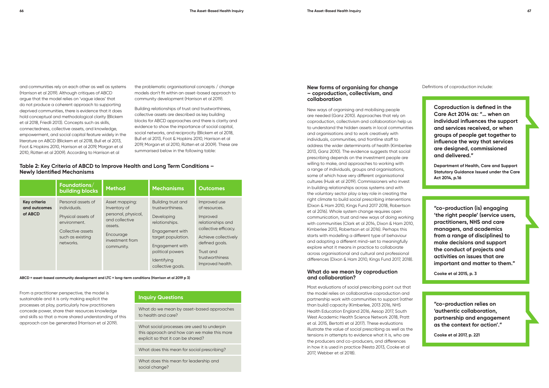and communities rely on each other as well as systems (Harrison et al 2019). Although critiques of ABCD argue that the model relies on 'vague ideas' that do not produce a coherent approach to supporting deprived communities, there is evidence that it does hold conceptual and methodological clarity (Blickem et al 2018, Friedli 2013). Concepts such as skills, connectedness, collective assets, and knowledge, empowerment, and social capital feature widely in the literature on ABCD (Blickem et al 2018, Bull et al 2013, Foot & Hopkins 2010, Harrison et al 2019, Morgan et al 2010, Rütten et al 2009). According to Harrison et al

#### **New forms of organising for change – coproduction, collectivism, and collaboration**

New ways of organising and mobilising people are needed (Ganz 2010). Approaches that rely on coproduction, collectivism and collaboration help us to understand the hidden assets in local communities and organisations and to work creatively with individuals, communities, and frontline staff to address the wider determinants of health (Kimberlee 2013, Ganz 2010). The evidence suggests that social prescribing depends on the investment people are willing to make, and approaches to working with a range of individuals, groups and organisations, some of which have very different organisational cultures (Husk et al 2019). Commissioners who invest in building relationships across systems and with the voluntary sector play a key role in creating the right climate to build social prescribing interventions (Dixon & Ham 2010, Kings Fund 2017 2018, Robertson et al 2016). Whole system change requires open communication, trust and new ways of doing working with communities (Clark et al 2014, Dixon & Ham 2010, Kimberlee 2013, Robertson et al 2016). Perhaps this starts with modelling a different type of behaviour and adopting a different mind-set to meaningfully explore what it means in practice to collaborate across organisational and cultural and professional differences (Dixon & Ham 2010, Kings Fund 2017, 2018).

#### **What do we mean by coproduction and collaboration?**

Most evaluations of social prescribing point out that the model relies on collaborative coproduction and partnership work with communities to support (rather than build) capacity (Kimberlee, 2013 2016, NHS Health Education England 2016, Aesop 2017, South West Academic Health Science Network 2018, Pratt et al. 2015, Bertotti et al 2017). These evaluations illustrate the value of social prescribing as well as the tensions in attempts to evidence what it is, who are the producers and co-producers, and differences in how it is used in practice (Nesta 2013, Cooke et al 2017, Webber et al 2018).

the problematic organisational concepts / change models don't fit within an asset-based approach to community development (Harrison et al 2019).

Building relationships of trust and trustworthiness, collective assets are described as key building blocks for ABCD approaches and there is clarity and evidence to show the importance of social capital, social networks, and reciprocity (Blickem et al 2018, Bull et al 2013, Foot & Hopkins 2010, Harrison et al 2019, Morgan et al 2010, Rütten et al 2009). These are summarised below in the following table:

#### **Table 2: Key Criteria of ABCD to Improve Health and Long Term Conditions – Newly Identified Mechanisms**

|                                                | Foundations/<br><b>building blocks</b>                                                                                         | <b>Method</b>                                                                                                                    | <b>Mechanisms</b>                                                                                                                                                                          | <b>Outcomes</b>                                                                                                                                                                      |
|------------------------------------------------|--------------------------------------------------------------------------------------------------------------------------------|----------------------------------------------------------------------------------------------------------------------------------|--------------------------------------------------------------------------------------------------------------------------------------------------------------------------------------------|--------------------------------------------------------------------------------------------------------------------------------------------------------------------------------------|
| <b>Key criteria</b><br>and outcomes<br>of ABCD | Personal assets of<br>individuals.<br>Physical assets of<br>environment.<br>Collective assets<br>such as existing<br>networks. | Asset mapping:<br>Inventory of<br>personal, physical,<br>and collective<br>assets.<br>Encourage<br>investment from<br>community. | Building trust and<br>trustworthiness.<br>Developing<br>relationships.<br>Engagement with<br>target population.<br>Engagement with<br>political powers<br>Identifying<br>collective goals. | Improved use<br>of resources.<br>Improved<br>relationships and<br>collective efficacy.<br>Achieve collectively<br>defined goals.<br>Trust and<br>trustworthiness<br>Improved health. |

**ABCD = asset-based community development and LTC = long-term conditions (Harrison et al 2019 p 3)**

From a practitioner perspective, the model is sustainable and it is only making explicit the processes at play, particularly how practitioners concede power, share their resources knowledge and skills so that a more shared understanding of this approach can be generated (Harrison et al 2019).

### **Inquiry Questions**

What do we mean by asset-based approaches to health and care?

What social processes are used to underpin this approach and how can we make this more explicit so that it can be shared?

What does this mean for social prescribing?

What does this mean for leadership and social change?

Definitions of coproduction include:

**Coproduction is defined in the Care Act 2014 as: "… when an individual influences the support and services received, or when groups of people get together to influence the way that services are designed, commissioned and delivered."** 

**Department of Health, Care and Support Statutory Guidance Issued under the Care Act 2014, p.16**

**"co-production (is) engaging 'the right people' (service users, practitioners, NHS and care managers, and academics from a range of disciplines) to make decisions and support the conduct of projects and activities on issues that are important and matter to them."** 

**Cooke et al 2015, p. 3**

**"co-production relies on 'authentic collaboration, partnership and engagement as the context for action'."** 

**Cooke et al 2017, p. 221**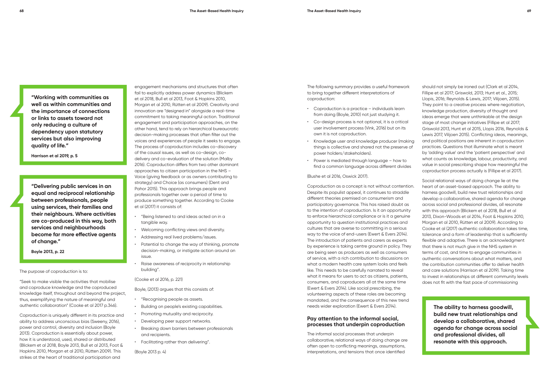**"Working with communities as well as within communities and the importance of connections or links to assets toward not only reducing a culture of dependency upon statutory services but also improving quality of life."** 

**Harrison et al 2019, p. 5**

**"Delivering public services in an equal and reciprocal relationship between professionals, people using services, their families and their neighbours. Where activities are co-produced in this way, both services and neighbourhoods become far more effective agents of change."** 

**Boyle 2013, p. 22**

The purpose of coproduction is to:

"Seek to make visible the activities that mobilise and coproduce knowledge and the coproduced knowledge itself, throughout and beyond the project, thus, exemplifying the nature of meaningful and authentic collaboration" (Cooke et al 2017 p.346).

Coproduction is uniquely different in its practice and ability to address unconscious bias (Sweeny, 2016), power and control, diversity and inclusion (Boyle 2013). Coproduction is essentially about power, how it is understood, used, shared or distributed (Blickem et al 2018, Boyle 2013, Bull et al 2013, Foot & Hopkins 2010, Morgan et al 2010, Rütten 2009). This strikes at the heart of traditional participation and

engagement mechanisms and structures that often fail to explicitly address power dynamics (Blickem et al 2018, Bull et al 2013, Foot & Hopkins 2010, Morgan et al 2010, Rütten et al 2009). Creativity and innovation are "designed in" alongside a real-time commitment to taking meaningful action. Traditional engagement and participation approaches, on the other hand, tend to rely on hierarchical bureaucratic decision-making processes that often filter out the voices and experiences of people it seeks to engage. The process of coproduction includes co-discovery of the causal issues, as well as co-design, codelivery and co-evaluation of the solution (Malby 2016). Coproduction differs from two other dominant approaches to citizen participation in the NHS – Voice (giving feedback or as owners contributing to strategy) and Choice (as consumers) (Dent and Pahor 2015). This approach brings people and professionals together over a period of time to produce something together. According to Cooke et al (2017) it consists of:

- "Being listened to and ideas acted on in a tangible way.
- Welcoming conflicting views and diversity.
- Addressing real lived problems/issues.
- Potential to change the way of thinking, promote decision-making, or instigate action around an issue.
- Raise awareness of reciprocity in relationship building".

#### (Cooke et al 2016, p. 221)

Boyle, (2013) argues that this consists of:

- "Recognising people as assets.
- Building on people's existing capabilities.
- Promoting mutuality and reciprocity.
- Developing peer support networks.
- Breaking down barriers between professionals and recipients.
- Facilitating rather than delivering".

(Boyle 2013 p. 4)

The following summary provides a useful framework to bring together different interpretations of coproduction:

- Coproduction is a practice individuals learn from doing (Boyle, 2010) not just studying it.
- Co-design process is not optional, it is a critical user involvement process (Vink, 2016) but on its own it is not coproduction.
- Knowledge user and knowledge producer (making things is collective and shared not the preserve of power holders/stakeholders).
- Power is mediated through language how to find a common language across different divides

(Bushe et al 2016, Oswick 2017).

Coproduction as a concept is not without contention. Despite its populist appeal, it continues to straddle different theories premised on consumerism and participatory governance. This has raised doubt as to the intention of coproduction. Is it an opportunity to enforce hierarchical compliance or is it a genuine opportunity to question institutional practices and cultures that are averse to committing in a serious way to the voice of end-users (Ewert & Evers 2014). The introduction of patients and carers as experts by experience is taking centre ground in policy. They are being seen as producers as well as consumers of service, with a rich contribution to discussions on what a modern health care system looks and feels like. This needs to be carefully narrated to reveal what it means for users to act as citizens, patients, consumers, and coproducers all at the same time (Ewert & Evers 2014). Like social prescribing, the volunteering aspects of these roles are becoming mandated, and the consequence of this new trend needs wider exploration (Ewert & Evers 2014).

#### **Pay attention to the informal social, processes that underpin coproduction**

The informal social processes that underpin collaborative, relational ways of doing change are often open to conflicting meanings, assumptions, interpretations, and tensions that once identified

should not simply be ironed out (Clark et al 2014, Fillipe et al 2017; Griswold, 2013; Hunt et al., 2015; Llopis, 2016; Reynolds & Lewis, 2017; Vilijoen, 2015). They point to a creative process where negotiation, knowledge production, diversity of thought and ideas emerge that were unthinkable at the design stage of most change initiatives (Fillipe et al 2017; Griswold 2013, Hunt et al 2015, Llopis 2016, Reynolds & Lewis 2017, Vilijoen 2015). Conflicting ideas, meanings, and political positions are inherent in coproduction practices. Questions that illuminate what is meant by 'adding value' and the 'patient perspective' and what counts as knowledge, labour, productivity, and value in social prescribing shape how meaningful the coproduction process actually is (Fillipe et al 2017).

Social relational ways of doing change lie at the heart of an asset-based approach. The ability to harness goodwill, build new trust relationships and develop a collaborative, shared agenda for change across social and professional divides, all resonate with this approach (Blickem et al 2018, Bull et al 2013, Dixon-Woods et al 2014, Foot & Hopkins 2010, Morgan et al 2010, Rütten et al 2009). According to Cooke et al (2017) authentic collaboration takes time, tolerance and a form of leadership that is sufficiently flexible and adaptive. There is an acknowledgment that there is not much give in the NHS system in terms of cost, and time to engage communities in authentic conversations about what matters, and the contribution communities offer to deliver health and care solutions (Harrison et al 2019). Taking time to invest in relationships at different community levels does not fit with the fast pace of commissioning

> **The ability to harness goodwill, build new trust relationships and develop a collaborative, shared agenda for change across social and professional divides, all resonate with this approach.**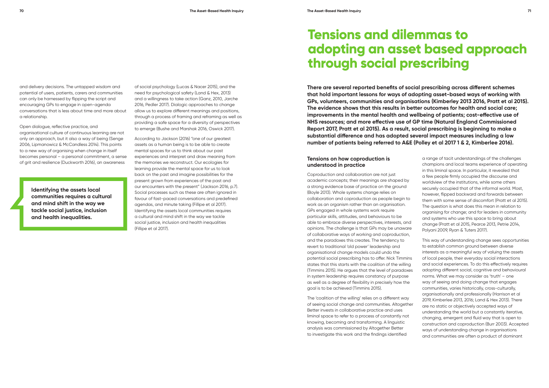and delivery decisions. The untapped wisdom and potential of users, patients, carers and communities can only be harnessed by flipping the script and encouraging GPs to engage in open-agenda conversations that is less about time and more about a relationship.

Open dialogue, reflective practice, and organisational culture of continuous learning are not only an approach, but it also a way of being (Senge 2006, Lipmanowicz & McCandless 2014). This points to a new way of organising when change in itself becomes personal – a personal commitment, a sense of grit and resilience (Duckworth 2016), an awareness

**There are several reported benefits of social prescribing across different schemes that hold important lessons for ways of adopting asset-based ways of working with GPs, volunteers, communities and organisations (Kimberley 2013 2016, Pratt et al 2015). The evidence shows that this results in better outcomes for health and social care; improvements in the mental health and wellbeing of patients; cost-effective use of NHS resources; and more effective use of GP time (Natural England Commissioned Report 2017, Pratt et al 2015). As a result, social prescribing is beginning to make a substantial difference and has adopted several impact measures including a low number of patients being referred to A&E (Polley et al 2017 1 & 2, Kimberlee 2016).**

#### **Tensions on how coproduction is understood in practice**

Coproduction and collaboration are not just academic concepts; their meanings are shaped by a strong evidence base of practice on the ground (Boyle 2013). Whole systems change relies on collaboration and coproduction as people begin to work as an organism rather than an organisation. GPs engaged in whole systems work require particular skills, attitudes, and behaviours to be able to embrace diverse perspectives, interests, and opinions. The challenge is that GPs may be unaware of collaborative ways of working and coproduction, and the paradoxes this creates. The tendency to revert to traditional 'old power' leadership and organisational change models could undo the potential social prescribing has to offer. Nick Timmins states that this starts with the coalition of the willing (Timmins 2015). He argues that the level of paradoxes in system leadership requires constancy of purpose as well as a degree of flexibility in precisely how the goal is to be achieved (Timmins 2015).

The 'coalition of the willing' relies on a different way of seeing social change and communities. Altogether Better invests in collaborative practice and uses liminal space to refer to a process of constantly not knowing, becoming and transforming. A linguistic analysis was commissioned by Altogether Better to investigate this work and the findings identified

### **Tensions and dilemmas to adopting an asset based approach through social prescribing**

a range of tacit understandings of the challenges champions and local teams experience of operating in this liminal space. In particular, it revealed that a few people firmly occupied the discourse and worldview of the institutions, while some others securely occupied that of the informal world. Most, however, flipped backward and forwards between them with some sense of discomfort (Pratt et al 2015). The question is what does this mean in relation to organising for change; and for leaders in community and systems who use this space to bring about change (Pratt et al 2015, Pearce 2013, Petrie 2014, Polyani 2009, Ryan & Tuters 2017).

This way of understanding change sees opportunities to establish common ground between diverse interests as a meaningful way of valuing the assets of local people, their everyday social interactions and social experiences. To do this effectively requires adopting different social, cognitive and behavioural norms. What we may consider as 'truth' – one way of seeing and doing change that engages communities, varies historically, cross-culturally, organisationally and professionally (Harrison et al 2019, Kimberlee 2013, 2016; Land & Hex 2013). There are no static or objectively accepted ways of understanding the world but a constantly iterative, changing, emergent and fluid way that is open to construction and coproduction (Burr 2003). Accepted ways of understanding change in organisations and communities are often a product of dominant

of social psychology (Lucas & Nacer 2015), and the need for psychological safety (Land & Hex, 2013) and a willingness to take action (Ganz, 2010, Jarche 2016, Pedler 2017). Dialogic approaches to change allow us to explore different meanings and positions, through a process of framing and reframing as well as providing a safe space for a diversity of perspectives to emerge (Bushe and Marshak 2016, Oswick 2017).

According to Jackson (2016) "one of our greatest assets as a human being is to be able to create mental spaces for us to think about our past experiences and interpret and draw meaning from the memories we reconstruct. Our ecologies for learning provide the mental space for us to look back on the past and imagine possibilities for the present grown from experiences of the past and our encounters with the present" (Jackson 2016, p.7). Social processes such as these are often ignored in favour of fast-paced conversations and predefined agendas, and minute taking (Fillipe et al 2017). Identifying the assets local communities requires a cultural and mind shift in the way we tackle social justice, inclusion and health inequalities (Fillipe et al 2017).

**Identifying the assets local communities requires a cultural and mind shift in the way we tackle social justice, inclusion and health inequalities.**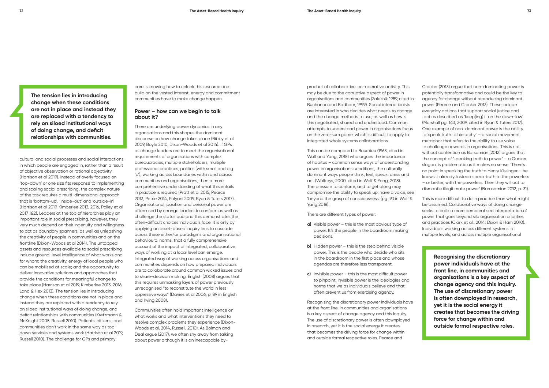cultural and social processes and social interactions in which people are engaged in, rather than a result of objective observation or rational objectivity (Harrison et al 2019). Instead of overly focused on 'top-down' or one size fits response to implementing and scaling social prescribing, the complex nature of the task requires a multi-dimensional approach that is 'bottom-up', 'inside-out' and 'outside-in' (Harrison et al 2019, Kimberlee 2013, 2016, Polley et al 2017 1&2). Leaders at the top of hierarchies play an important role in social prescribing, however, they very much depend on their ingenuity and willingness to act as boundary spanners, as well as unleashing the creativity of people in communities and on the frontline (Dixon-Woods et al 2014). The untapped assets and resources available to social prescribing include ground-level intelligence of what works and for whom; the creativity, energy of local people who can be mobilised at scale; and the opportunity to deliver innovative solutions and approaches that provide the conditions for meaningful change to take place (Harrison et al 2019, Kimberlee 2013, 2016; Land & Hex 2013). The tension lies in introducing change when these conditions are not in place and instead they are replaced with a tendency to rely on siloed institutional ways of doing change, and deficit relationships with communities (Kretzmann & McKnight 2005, Russell 2010). Patients, citizens, and communities don't work in the same way as topdown services and systems work (Harrison et al 2019, Russell 2010). The challenge for GPs and primary

care is knowing how to unlock this resource and build on the vested interest, energy and commitment communities have to make change happen.

#### **Power – how can we begin to talk about it?**

There are underlying power dynamics in any organisations and this shapes the dominant discourse on how change takes place (Bibby et al 2009, Boyle 2010, Dixon-Woods et al 2014). If GPs as change leaders are to meet the organisational requirements of organisations with complex bureaucracies, multiple stakeholders, multiple professional practices, politics (with small and big 'p'); working across boundaries within and across communities and organisations; then a more comprehensive understanding of what this entails in practice is required (Pratt et al 2015, Pearce 2013, Petrie 2014, Polyani 2009, Ryan & Tuters 2017). Organisational, position and personal power are often used by change leaders to conform as well as challenge the status quo and this demonstrates the often-difficult choices individuals face. It is only by applying an asset-based inquiry lens to cascade across these either/or paradigms and organisational behavioural norms, that a fully comprehensive account of the impact of integrated, collaborative ways of working at a local level can emerge. Integrated way of working across organisations and communities depends on how prepared individuals are to collaborate around common wicked issues and to share-decision making. English (2008) argues that this requires unmasking layers of power previously unrecognised "to reconstitute the world in less oppressive ways" (Davies et al 2006, p. 89 in English and Irving 2008).

Communities often hold important intelligence on what works and what interventions they need to resolve complex problems they experience (Dixon-Woods et al. 2014, Russell, 2010). As Bolman and Deal argue (2017), we often shy away from talking about power although it is an inescapable byproduct of collaborative, co-operative activity. This may be due to the corruptive aspect of power in organisations and communities (Zaleznik 1989, cited in Buchanan and Badham, 1999). Social interactionists are interested in who decides what needs to change and the change methods to use, as well as how is this negotiated, shared and understood. Common attempts to understand power in organisations focus on the zero-sum game, which is difficult to apply to integrated whole systems collaborations.

This can be compared to Bourdieu (1963, cited in Wolf and Yang, 2018) who argues the importance of habitus – common sense ways of understanding power in organisations conditions, the culturally dominant ways people think, feel, speak, dress and act (Wolfreys, 2000, cited in Wolf & Yang, 2018). The pressure to conform, and to get along may compromise the ability to speak up, have a voice, see 'beyond the grasp of consciousness' (pg. 93 in Wolf & Yang 2018).

There are different types of power:

- **a)** Visible power this is the most obvious type of power. It's the people in the boardroom making decisions.
- **b)** Hidden power this is the step behind visible power. This is the people who decide who sits in the boardroom in the first place and whose agendas are therefore less transparent.
- **c)** Invisible power this is the most difficult power to pinpoint. Invisible power is the ideologies and norms that we as individuals believe and that often prevent us from exercising agency.

Recognising the discretionary power individuals have at the front line, in communities and organisations is a key aspect of change agency and this Inquiry. The use of discretionary power is often downplayed in research, yet it is the social energy it creates that becomes the driving force for change within and outside formal respective roles. Pearce and

Crocker (2013) argue that non-dominating power is potentially transformative and could be the key to agency for change without reproducing dominant power (Pearce and Crocker 2013). These include everyday actions that support social justice and tactics described as 'keep(ing) it on the down-low' (Marshall pg. 143, 2009, cited in Ryan & Tuters 2017). One example of non-dominant power is the ability to 'speak truth to hierarchy' – a social movement metaphor that refers to the ability to use voice to challenge upwards in organisations. This is not without contention as Barsamian (2012) argues that the concept of 'speaking truth to power' – a Quaker slogan, is problematic as it makes no sense. 'There's no point in speaking the truth to Henry Kissinger – he knows it already. Instead speak truth to the powerless – or better, with the powerless. Then they will act to dismantle illegitimate power' (Barasamian 2012, p. 31).

This is more difficult to do in practice than what might be assumed. Collaborative ways of doing change seeks to build a more democratised interpretation of power that goes beyond silo organisation priorities and practices (Clark et al., 2014; Dixon & Ham 2010). Individuals working across different systems, at multiple levels, and across multiple organisational

> **Recognising the discretionary power individuals have at the front line, in communities and organisations is a key aspect of change agency and this Inquiry. The use of discretionary power is often downplayed in research, yet it is the social energy it creates that becomes the driving force for change within and outside formal respective roles.**

**The tension lies in introducing change when these conditions are not in place and instead they are replaced with a tendency to rely on siloed institutional ways of doing change, and deficit relationships with communities.**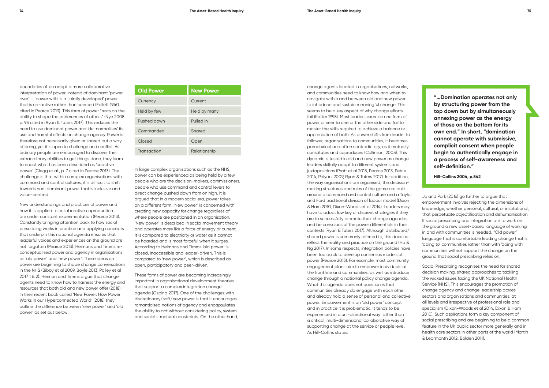boundaries often adopt a more collaborative interpretation of power. Instead of dominant 'power over' – 'power with' is a 'jointly developed' power that is co-active rather than coerced (Follett 1940, cited in Pearce 2013). This form of power "rests on the ability to shape the preferences of others" (Nye 2008 p. 95 cited in Ryan & Tuters 2017). This reduces the need to use dominant power and 'de-normalises' its use and harmful effects on change agency. Power is therefore not necessarily given or shared but a way of being, yet it is open to challenge and conflict. As ordinary people are encouraged to discover their extraordinary abilities to get things done, they learn to enact what has been described as 'coactive power' (Clegg et al., p. 7 cited in Pearce 2013). The challenge is that within complex organisations with command and control cultures, it is difficult to shift towards non-dominant power that is inclusive and value-centred.

New understandings and practices of power and how it is applied to collaborative coproduction are under constant experimentation (Pearce 2013). Constantly bringing attention back to how social prescribing works in practice and applying concepts that underpin this national agenda ensures that leaderful voices and experiences on the ground are not forgotten (Pearce 2013). Heimans and Timms reconceptualised power and agency in organisations as 'old power' and 'new power'. These ideas on power are beginning to shape change conversations in the NHS (Bibby et al 2009, Boyle 2013, Polley et al 2017 1 & 2). Heiman and Timms argue that change agents need to know how to harness the energy and resources that both old and new power offer (2018). In their recent book called 'New Power: How Power Works in our Hyperconnected World' (2018) they outline the difference between 'new power' and 'old power' as set out below:

| <b>Old Power</b> | <b>New Power</b> |
|------------------|------------------|
| Currency         | Current          |
| Held by few      | Held by many     |
| Pushed down      | Pulled in        |
| Commanded        | Shared           |
| Closed           | Open             |
| Transaction      | Relationship     |

In large complex organisations such as the NHS, power can be experienced as being held by a few people who are the decision-makers, commissioners, people who use command and control levers to direct change pushed down from on high. It is argued that in a modern social era, power takes on a different form. 'New power' is concerned with creating new capacity for change regardless of where people are positioned in an organisation. 'New power' is described in social movement theory and operates more like a force of energy or current. It is compared to electricity or water as it cannot be hoarded and is most forceful when it surges. According to Heimans and Timms 'old power' is closed, inaccessible and leader-driven. This is compared to 'new power', which is described as open, participatory and peer-driven.

These forms of power are becoming increasingly important in organisational development theories that support a complex integration change agenda (Ospina 2017). One of the challenges with discretionary/soft/new power is that it encourages romanticised notions of agency and encapsulates the ability to act without considering policy, system and social structural constraints. On the other hand,

change agents located in organisations, networks, and communities need to know how and when to navigate within and between old and new power to introduce and sustain meaningful change. This seems to be a key aspect of why change efforts fail (Kotter 1995). Most leaders exercise one form of power or veer to one or the other side and fail to master the skills required to achieve a balance or appreciation of both. As power shifts from leader to follower, organisations to communities, it becomes paradoxical and often contradictory, as it mutually constitutes and coproduces (Collinson, 2005). This dynamic is tested in old and new power as change leaders skilfully adapt to different systems and juxtapositions (Pratt et al 2015, Pearce 2013, Petrie 2014, Polyani 2009, Ryan & Tuters 2017). In-addition, the way organisations are organised, the decisionmaking structures and rules of the game are built around a command and control culture and a Taylor and Ford traditional division of labour model (Dixon & Ham 2010, Dixon-Woods et al 2014). Leaders may have to adopt low key or discreet strategies if they are to successfully promote their change agendas and be conscious of the power differentials in their contexts (Ryan & Tuters 2017). Although distributed/ shared power is commonly referred to, this does not reflect the reality and practice on the ground (Ho & Ng 2017). In some respects, integration policies have been too quick to develop consensus models of power (Pearce 2013). For example, most community engagement plans aim to empower individuals at the front line and communities, as well as introduce change through a national policy change agenda. What this agenda does not question is that communities already do engage with each other, and already hold a sense of personal and collective power. Empowerment is an 'old power' concept and in practice it is problematic. It tends to be experienced in a uni-directional way rather than a critical, multi-dimensional collaborative way of supporting change at the service or people level. As Hill-Collins states:

**"…Domination operates not only by structuring power from the top down but by simultaneously annexing power as the energy of those on the bottom for its own end." In short, "domination cannot operate with submissive, complicit consent when people begin to authentically engage in a process of self-awareness and self-definition."** 

**Hill-Collins 2004, p.542**

Jo and Park (2016) go further to argue that empowerment involves rejecting the dimensions of knowledge, whether personal, cultural, or institutional, that perpetuate objectification and dehumanisation. If social prescribing and integration are to work on the ground a new asset-based language of working in and with communities is needed. "Old power" language that is comfortable leading change that is 'doing to' communities rather than with 'doing with' communities will not support the change on the ground that social prescribing relies on.

Social Prescribing recognises the need for shared decision making, shared approaches to tackling the wicked issues facing the UK National Health Service (NHS). This encourages the promotion of change agency and change leadership across sectors and organisations and communities, at all levels and irrespective of professional role and specialism (Dixon-Woods et al 2014, Dixon & Ham 2010). Such aspirations form a key component of social prescribing and are beginning to be a common feature in the UK public sector more generally and in health care sectors in other parts of the world (Martin & Learmonth 2012, Bolden 2011).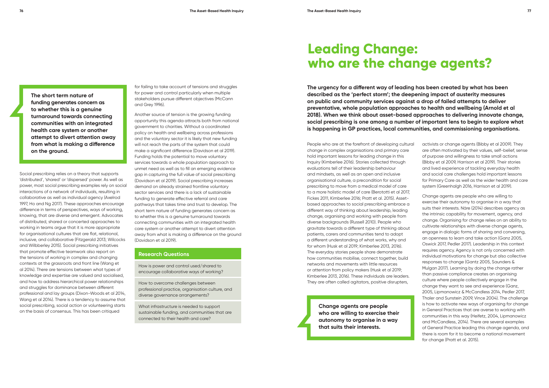Social prescribing relies on a theory that supports 'distributed', 'shared' or 'dispersed' power. As well as power, most social prescribing examples rely on social interactions of a network of individuals, resulting in collaborative as well as individual agency (Axelrod 1997, Ho and Ng 2017). These approaches encourage difference in terms of perspectives, ways of working, knowing, that are diverse and emergent. Advocates of distributed, shared or concerted approaches to working in teams argue that it is more appropriate for organisational cultures that are flat, relational, inclusive, and collaborative (Fitzgerald 2013; Wilcocks and Wilbberley 2015). Social prescribing initiatives that promote effective teamwork also report on the tensions of working in complex and changing contexts at the grassroots and front line (Wang et al 2014). There are tensions between what types of knowledge and expertise are valued and socialised, and how to address hierarchical power relationships and struggles for dominance between different professional and lay groups (Dixon-Woods et al 2014, Wang et al 2014). There is a tendency to assume that social prescribing, social action or volunteering starts on the basis of consensus. This has been critiqued

for failing to take account of tensions and struggles for power and control particularly when multiple stakeholders pursue different objectives (McCann and Grey 1996).

Another source of tension is the growing funding opportunity this agenda attracts both from national government to charities. Without a coordinated policy on health and wellbeing across professions and the voluntary sector it is likely that new funding will not reach the parts of the system that could make a significant difference (Davidson et al 2019). Funding holds the potential to move voluntary services towards a whole population approach to unmet need as well as to fill an emerging evidence gap in capturing the full value of social prescribing (Davidson et al 2019). Social prescribing increases demand on already strained frontline voluntary sector services and there is a lack of sustainable funding to generate effective referral and care pathways that takes time and trust to develop. The short term nature of funding generates concern as to whether this is a genuine turnaround towards connecting communities with an integrated health care system or another attempt to divert attention away from what is making a difference on the ground (Davidson et al 2019).

#### **Research Questions**

How is power and control used/shared to encourage collaborative ways of working?

How to overcome challenges between professional practice, organisation culture, and diverse governance arrangements?

What infrastructure is needed to support sustainable funding, and communities that are connected to their health and care?

**The urgency for a different way of leading has been created by what has been described as the 'perfect storm'; the deepening impact of austerity measures on public and community services against a drop of failed attempts to deliver preventative, whole population approaches to health and wellbeing (Arnold et al 2018). When we think about asset-based approaches to delivering innovate change, social prescribing is one among a number of important lens to begin to explore what is happening in GP practices, local communities, and commissioning organisations.** 

> activists or change agents (Bibby et al 2009). They are often motivated by their values, self-belief, sense of purpose and willingness to take small actions (Bibby et al 2009, Harrison et al 2019). Their stories and lived experience of tackling everyday health and social care challenges hold important lessons for Primary Care as well as the wider health and care system (Greenhalgh 2016, Harrison et al 2019).

> Change agents are people who are willing to exercise their autonomy to organise in a way that suits their interests. Näre (2014) describes agency as the intrinsic capability for movement, agency, and change. Organising for change relies on an ability to cultivate relationships with diverse change agents, engage in dialogic forms of sharing and conversing, an openness to learn and take action (Ganz 2005, Oswick 2017, Pedler 2017). Leadership in this context requires agency. Agency is not only concerned with individual motivations for change but also collective responses to change (Gantz 2005, Saunders & Mulgan 2017). Learning by doing the change rather than passive compliance creates an organising culture where people collectively engage in the change they want to see and experience (Ganz, 2005, Lipmanowicz & McCandless 2014, Pedler 2017, Thaler and Sunstein 2009, Vince 2004). The challenge is how to activate new ways of organising for change in General Practices that are averse to working with communities in this way (Heifetz, 2004, Lipmanowicz and McCandless, 2014). There are several examples of General Practice leading this change agenda, and there is room for it to become a national movement for change (Pratt et al. 2015).

**The short term nature of funding generates concern as to whether this is a genuine turnaround towards connecting communities with an integrated health care system or another attempt to divert attention away from what is making a difference on the ground.**

## **Leading Change: who are the change agents?**

People who are at the forefront of developing cultural change in complex organisations and primary care hold important lessons for leading change in this Inquiry (Kimberlee 2016). Stories collected through evaluations tell of their leadership behaviour and mindsets, as well as an open and inclusive organisational culture, a precondition for social prescribing to move from a medical model of care to a more holistic model of care (Berototti et al 2017, Fickes 2011, Kimberlee 2016; Pratt et al. 2015). Assetbased approaches to social prescribing embrace a different way of thinking about leadership, leading change, organising and working with people from diverse backgrounds (Russell 2010). People who gravitate towards a different type of thinking about patients, carers and communities tend to adopt a different understanding of what works, why and for whom (Husk et al 2019; Kimberlee 2013, 2016). The everyday stories people share demonstrate how communities mobilise, connect together, build networks and movements with little resources or attention from policy makers (Husk et al 2019; Kimberlee 2013, 2016). These individuals are leaders. They are often called agitators, positive disrupters,

> **Change agents are people who are willing to exercise their autonomy to organise in a way that suits their interests.**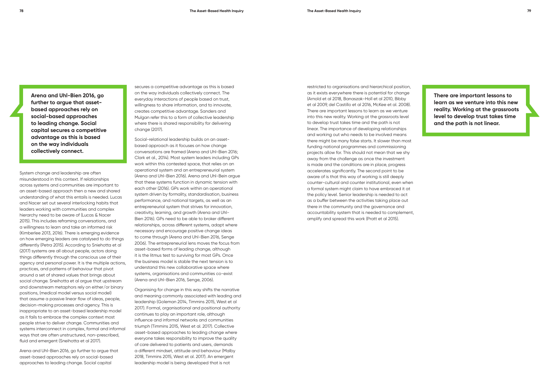System change and leadership are often misunderstood in this context. If relationships across systems and communities are important to an asset-based approach then a new and shared understanding of what this entails is needed. Lucas and Nacer set out several interlocking habits that leaders working with communities and complex hierarchy need to be aware of (Lucas & Nacer 2015). This includes reframing conversations, and a willingness to learn and take an informed risk (Kimberlee 2013, 2016). There is emerging evidence on how emerging leaders are catalysed to do things differently (Petra 2015). According to Sniehotta et al (2017) systems are all about people, actors doing things differently through the conscious use of their agency and personal power. It is the multiple actions, practices, and patterns of behaviour that pivot around a set of shared values that brings about social change. Sneihotta et al argue that upstream and downstream metaphors rely on either/or binary positions, (medical model versus social model) that assume a passive linear flow of ideas, people, decision-making processes and agency. This is inappropriate to an asset-based leadership model as it fails to embrace the complex context most people strive to deliver change. Communities and systems interconnect in complex, formal and informal ways that are often unstructured, non-prescribed, fluid and emergent (Sneihotta et al 2017).

Arena and Uhl-Bien 2016, go further to argue that asset-based approaches rely on social-based approaches to leading change. Social capital

secures a competitive advantage as this is based on the way individuals collectively connect. The everyday interactions of people based on trust, willingness to share information, and to innovate, creates competitive advantage. Sanders and Mulgan refer this to a form of collective leadership where there is shared responsibility for delivering change (2017).

Social-relational leadership builds on an assetbased approach as it focuses on how change conversations are framed (Arena and Uhl-Bien 2016; Clark et al., 2014). Most system leaders including GPs work within this contested space, that relies on an operational system and an entrepreneurial system (Arena and Uhl-Bien 2016). Arena and Uhl-Bein argue that these systems function in dynamic tension with each other (2016). GPs work within an operational system driven by formality, standardisation, business performance, and national targets, as well as an entrepreneurial system that strives for innovation, creativity, learning, and growth (Arena and Uhl-Bien 2016). GPs need to be able to broker different relationships, across different systems, adapt where necessary and encourage positive change ideas to come through (Arena and Uhl-Bien 2016, Senge 2006). The entrepreneurial lens moves the focus from asset-based forms of leading change, although it is the litmus test to surviving for most GPs. Once the business model is stable the next tension is to understand this new collaborative space where systems, organisations and communities co-exist (Arena and Uhl-Bien 2016, Senge, 2006).

Organising for change in this way shifts the narrative and meaning commonly associated with leading and leadership (Goleman 2014, Timmins 2015, West et al 2017). Formal, organisational and positional authority continues to play an important role, although influence and informal networks and communities triumph (Timmins 2015, West et al. 2017). Collective asset-based approaches to leading change where everyone takes responsibility to improve the quality of care delivered to patients and users, demands a different mindset, attitude and behaviour (Malby 2018, Timmins 2015, West et al. 2017). An emergent leadership model is being developed that is not

restricted to organisations and hierarchical position, as it exists everywhere there is potential for change (Arnold et al 2018, Banaszak-Holl et al 2010, Bibby et al 2009, del Castillo et al 2016, McKee et al. 2008). There are important lessons to learn as we venture into this new reality. Working at the grassroots level to develop trust takes time and the path is not linear. The importance of developing relationships and working out who needs to be involved means there might be many false starts. It slower than most funding national programmes and commissioning projects allow for. This should not mean that we shy away from the challenge as once the investment is made and the conditions are in place, progress accelerates significantly. The second point to be aware of is that this way of working is still deeply counter-cultural and counter institutional, even when a formal system might claim to have embraced it at the policy level. Senior leadership is needed to act as a buffer between the activities taking place out there in the community and the governance and accountability system that is needed to complement, amplify and spread this work (Pratt et al 2015).

**Arena and Uhl-Bien 2016, go further to argue that assetbased approaches rely on social-based approaches to leading change. Social capital secures a competitive advantage as this is based on the way individuals collectively connect.** 

**There are important lessons to learn as we venture into this new reality. Working at the grassroots level to develop trust takes time and the path is not linear.**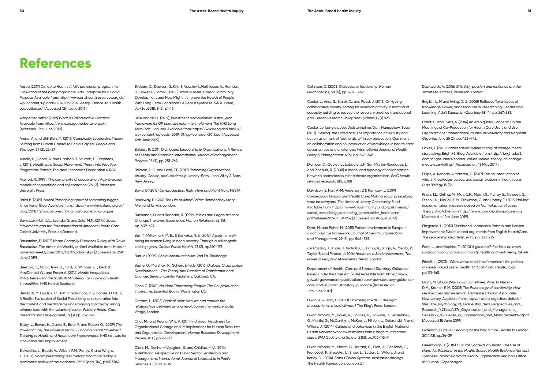Aesop (2017) Dance to Health, *A falls prevention programme. Evaluation of the pilot programme*, Arts Enterprise for a Social Purpose. Available from: http://www.artshealthresources.org.uk/ wp-content/uploads/2017/03/2017-Aesop-Dance-to-Healthevaluation.pdf [Accessed 12th June 2019].

Altogether Better (2019) *What is Collaborative Practice?*  Available from: https://www.altogetherbetter.org.uk/ [Accessed 12th June 2019].

Arena, A. and Uhl-Bien, M. (2016) Complexity Leadership Theory Shifting from Human Capital to Social Capital. *People and Strategy*, 39 (2), 22-27.

Arnold, S., Coote, A. and Harrison, T. Scurrah, E., Stephens, L. (2018) *Health as a Social Movement: Theory into Practice. Programme Report*, The New Economics Foundation & RSA.

Axelrod, R.,(1997). The complexity of cooperation: Agent-based models of competition and collaboration (Vol. 3). Princeton University Press.

Baird B. (2019). *Social Prescribing: apart of something bigger*. Kings Fund. Blog. Available from: https://www.kingsfund.org.uk/ blog/2018/12/social-prescribing-part-something-bigger

Banaszak-Holl, J.C., Levitsky, S. and Zald, M.N. (2010.) *Social Movements and the Transformation of American Health Care.* Oxford University Press on Demand.

Barsamian, D. (2012) *Noam Chomsky Discusses Turkey with David Barsamian*. The Armenian Weekly (online) Available from: https:// armenianweekly.com/2012/02/09/chomsky/ [Accessed on 24th June 2019].

Beeston, C., McCartney, G., Ford, J., Wimbush E., Beck S., MacDonald W., and Fraser A. (2014) *Health Inequalities Policy Review for the Scottish Ministerial Task Force on Health Inequalities*. NHS Health Scotland

Berototti, M. Frostick, C. Hutt, P. Sohanpal, R. & Carnes, D. (2017) A Realist Evaluation of Social Prescribing: an exploration into the context and mechanisms underpinning a pathway linking primary care with the voluntary sector. *Primary Health Care Research and Development*, 19 (3) pp. 232-245.

Bibby, J., Bevan, H., Carter E., Bate, P. and Robert G. (2009) *The Power of One, The Power of Many – Bringing Social Movement Thinking to Health and Healthcare Improvement*. NHS Institute for Innovation and Improvement.

Bickerdike, L., Booth, A., Wilson, P.M., Farley, K. and Wright, K., (2017). Social prescribing: less rhetoric and more reality. A systematic review of the evidence. *BMJ Open*, 7(4), p.e013384.

Blickem, C., Dawson, S.,Kirk, S. Vassilev, I.,Mathieson, A., Harrison, R., Bower, P., Lamb, J.(2018) What is Asset-Based Community Development and How Might It Improve the Health of People With Long-Term Conditions? A Realist Synthesis. *SAGE Open*, Jul-Sep2018, 8 (3), p1-13

BMA and NHSE (2019), *Investment and evolution: A five-year framework for GP contract reform to implement The NHS Long Term Plan*. January. Available from: https://www.england.nhs.uk/ wp-content/uploads/2019/01/gp-contract-2019.pdf [Accessed 12th June 2019].

Bolden, R. (2011) Distributed Leadership in Organizations: A Review of Theory and Research. *International Journal of Management Reviews*. 13 (3), pp. 251-269.

Bolman, L. G. and Deal, T.E. (2017) *Reframing Organizations: Artistry, Choice, and Leadership*. Jossey-Bass, John Wiley & Sons, New Jersey.

Boyle, D. (2013) *Co-production, Right Here and Right Now*, NESTA

Brockway, F. (1949) *The Life of Alfred Salter: Bermondsey Story*. Allen and Unwin, London.

Buchanan, D. and Badham, R. (1999) Politics and Organizational Change: The Lived Experience, *Human Relations*, 52, (5), pp. 609-629

Bull, T., Mittelmark, M. B., & Kanyeka, N. E. (2013). Assets for wellbeing for women living in deep poverty: Through a salutogenic looking-glass. *Critical Public Health*, 23 (2), pp.160-173.

Burr, V. (2003). *Social constructionism*. 2nd Ed. Routledge.

Bushe, G., Marshak, R., Schein, E. (eds) (2016) *Dialogic Organization Development – The Theory and Practice of Transformational Change*. Berrett-Koehler Publishers. Oakland, CA.

Cahn, E. (2001) *No More Throwaway People: The Co-production Imperative*. Essential Books. Washington DC:

Cottam, H. (2018) *Radical Help: How we can remake the relationships between us and revolutionise the welfare state*, Virago, London.

Choi, M., and Ruona, W. E. A. (2011) Individual Readiness for Organizational Change and Its Implications for Human Resource and Organization Development. *Human Resource Development Review*, 10 (1) pp. 46–73.

Clark, M., Denham-Vaughan, S. and Chidiac, M-A (2014) A Relational Perspective on Public Sector Leadership and Management. *International Journal of Leadership in Public* Services 10 (1) pp. 4-16.

### **References**

Collinson, C. (2005) Dialectics of leadership, *Human Relationships*, 58 (11), pp. 1419-1442.

Cooke, J., Ariss, S., Smith, C., and Read, J. (2015) On-going collaborative priority-setting for research activity: a method of capacity building to reduce the research-practice translational gap. *Health Research Policy and Systems*,13 (1) p25

Cooke, Jo; Langley, Joe; Wolstenholme, Dan; Hampshaw, Susan (2017). 'Seeing' the Difference: The Importance of visibility and action as a mark of "authenticity" in co-production. Comment on collaboration and co-production of knowledge in health care: opportunities and challenges, *International Journal of Health Policy & Management*. 6 (6), pp. 345-348.

D'amour, D., Goulet, L., Labadie, J.F., San Martín-Rodriguez, L. and Pineault, R. (2008) A model and typology of collaboration between professionals in healthcare organizations. *BMC health services research*, 8(1), p.188

Davidson, E. Hall, A-M. Anderson, Z & Parnaby, J. (2019) *Connecting Humans and Health Care: Making social prescribing work for everyone.* The National Lottery Community Fund. Available from: https://www.tnlcommunityfund.org.uk/media/ social\_prescribing\_connecting\_communities\_healthcare. pdf?mtime=20190715141932 [Accessed 3rd August 2019]

Dent, M. and Pahor, M. (2015) Patient Involvement in Europe – a comparative framework, *Journal of Health Organization and Management*, 29 (5), pp. 546–555.

del Castillo, J., Khan, H. Nicholas, L., Finnis, A., Singh, A., Mehta, P., Taylor, B. and Pearce, J.(2016) *Health as a Social Movement, The Power of People in Movements*. Nesta. London.

Department of Health, *Care and Support Statutory Guidance* Issued under the Care Act (2014) Available from: https://www. gov.uk/government/publications/care-act-statutory-guidance/ care-and-support-statutory-guidance [Accessed on: 12th June 2019].

Dixon, A. & Ham, C. (2010) *Liberating the NHS: The right prescription in a cold climate?* The King's Fund. London.

Dixon-Woods, M., Baker, R., Charles, K., Dawson, J., Jerzembek, G., Martin, G., McCarthy, I., McKee, L., Minion, J., Ozieranski, P. and Willars, J., (2014). Culture and behaviour in the English National Health Service: overview of lessons from a large multimethod study. *BMJ Quality and Safety*, 23(2), pp.106-115.(1)

Dixon-Woods, M., Martin, G., Tarrant, C., Bion, J., Goeschel, C., Pronovost, P., Brewster, L., Shaw, L., Sutton, L., Willars, J. and Ketley, D., (2014). *Safer Clinical Systems: evaluation findings*. The Health Foundation. London (2)

Duckworth, A. (2016) *Grit: Why passion and resilience are the secrets to success*, Vermillion. London

English, L. M and Irving, C. J. (2008) Reflexive Texts Issues of Knowledge, Power, and Discourse in Researching Gender and Learning, *Adult Education Quarterly* 58 (4), pp. 267-283.

Ewert, B. and Evers, A. (2014) An Ambiguous Concept: On the Meanings of Co-Production for Health Care Users and User Organizations? *International Journal of Voluntary and Nonprofit Organizations* 25 (2), pp. 425-442.

Fickes, T. (2011) S*hared values: where theory of change meets storytelling*. Bright+3. Blog. Available from: http://brightplus3. com/bright-ideas/shared-values-where-theory-of-changemeets-storytelling/ [Accessed on: 18 May 2019].

Fillipe, A. Renedo, A Marston, C. (2017) The co-production of what? Knowledge, values, and social relations in health care, *PLos Biology* 15 (5)

Finch, T.L., Girling, M., May, C.R., Mair, F.S., Murray, E., Treweek, S., Steen, I.N., McColl, E.M., Dickinson, C. and Rapley, T. (2015) NoMad: *Implementation measure based on Normalization Process Theory*. Available from: http://www.normalizationprocess.org [Accessed in 12th June 2019].

Fitzgerald, L. (2013) Distributed Leadership Pattern and Service Improvement: Evidence and arguments from English HealthCare, *The Leadership Quarterly*, 24 (1), pp. 227-239.

Foot, J., and Hopkins, T. (2010) *A glass half-full: How an asset approach can improve community health and well-being*. I&DeA

Friedli, L., (2013). 'What we've tried, hasn't worked': the politics of assets based public health. *Critical Public Health*, 23(2), pp.131-145.

Ganz, M. (2005) *Why David Sometimes Wins*. In Messick, D.M., Kramer, R.M. (2005) *The Psychology of Leadership. New Perspectives and Research*. Lawrence Erlbaum Associates. New Jersey. Available from: https://zodml.org/sites/default/ files/The\_Psychology\_of\_Leadership\_New\_Perspectives\_and\_ Research\_%28Lea%27s\_Organization\_and\_Management\_ Series%29\_%28Series\_in\_Organization\_and\_Management%29.pdf [Accessed 18 June 2019]

Goleman, D. (2014). Leading for the long future. *Leader to Leader*, 2014(72), pp.34-39

Greenhalgh, T. (2016) *Cultural Contexts of Health: The Use of Narrative Research in the Health Sector. Health Evidence Network Synthesis Report 49*. World Health Organisation Regional Office for Europe. Copenhagen.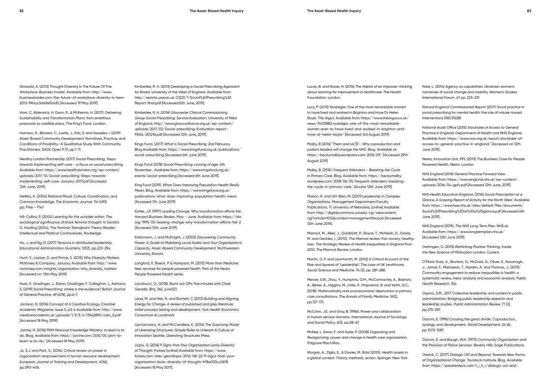Griswold, A. (2013) Thought Diversity Is The Future Of The Workplace. *Business Insider*, Available from: http://www. businessinsider.com/the-future-of-workplace-diversity-is-here-2013-9#ixzz3dsH60mdD [Accessed 19 May 2019]

Ham, C. Alderwick, H. Dunn, P., & McKenna, H. (2017). *Delivering Sustainability and Transformation Plans: from ambitious proposals to credible plans*. The King's Fund. London.

Harrison, R., Blickem, C., Lamb, J., Kirk, S. and Vasselev, I. (2019) Asset-Based Community Development: Narratives, Practice, and Conditions of Possibility—A Qualitative Study With Community Practitioners. SAGE Open 9 (1), pp.1-11.

Healthy London Partnership (2017) *Social Prescribing, Steps towards implementing self-care – a focus on social prescribing*. Available from: https://www.healthylondon.org/wp-content/ uploads/2017/10/Social-prescribing-Steps-towardsimplementing-self-care-January-2017.pdf [Accessed 12th June, 2019].

Heifetz, A. (2004) Rational Ritual: Culture, Coordination, and Common Knowledge, *The Economic Journal,* 114 (493) pp. F146 – F147

Hill-Collins, P. (2004) L*earning for the outsider within: The sociological significance of black feminist thought*. In Sandra G. Harding (2004). *The Feminist Standpoint Theory Reader: Intellectual and Political Controversies*, Routledge.

Ho, J. and Ng, D. (2017) Tensions in distributed leadership. *Educational Administration Quarterly*, 53(2), pp.223-254.

Hunt, V., Layton, D. and Prince, S. (2015) *Why Diversity Matters*. McKinsey & Company. January. Available from: http://www. mckinsey.com/insights/organization/why\_diversity\_matters [Accessed on: 13th May 2019]

Husk, K. Gradinger, J., Elston, Gradinger, F. Callaghan, L, Asthana, S. (2019) Social Prescribing: where is the evidence? B*ritish Journal of General Practice*, 69 (678), pp.6-7.

Jackson, N. (2016) Concept of a Creative Ecology. *Creative Academic Magazine*. Issue 5. p3-4 Available from: http://www. creativeacademic.uk/uploads/1/3/5/4/13542890/cam\_5.pdf [Accessed 18 May 2019].

Jarche, H. (2016) PKM *Personal Knowledge Mastery: to learn is to do*. Blog. Available from: https://jarche.com/2016/05/pkm-tolearn-is-to-do/ [Accessed 18 May 2019]

Jo, S.J. and Park, S., (2016). Critical review on power in organization: empowerment in human resource development. *European Journal of Training and Development*, 40(6), pp.390-406.

Kimberlee, R. H. (2013) *Developing a Social Prescribing Approach for Bristol*. University of the West of England. Available from: http://eprints.uwe.ac.uk/23221/1/Social%20Prescribing%20 Report-final.pdf [Accessed12th June, 2019].

Kimberlee, R. H. (2016) *Gloucester Clinical Commissioning Group Social Prescribing: Service Evaluation*. University of West of England, http://www.glosvcsalliance.org.uk/wp-content/ uploads/2017/02/Social-prescribing-Evaluation-report-FINAL-201216.pdf [Accessed 12th June, 2019].

Kings Fund, (2017) *What is Social Prescribing*. 2nd February. Blog Available from: https://www.kingsfund.org.uk/publications/ social-prescribing [Accessed 6th June 2019].

Kings Fund (2018) *Social Prescribing: coming of age*. 6th November . Available from: https://www.kingsfund.org.uk/ events/social-prescribing [Accessed 6th June 2019].

King Fund (2019). *What Does Improving Population Health Really Mea*n. Blog. Available from: https://www.kingsfund.org.uk/ publications/what-does-improving-population-health-mean [Accessed 7th June 2019]

Kotter, J.P. (1997) Leading Change: Why transformation efforts fail. *Harvard Business Review*. May – June. Available from: https://hbr. org/1995/05/leading-change-why-transformation-efforts-fail-2 [Accessed 12th June 2019].

Kretzmann, J. and McKnight, J. (2005) *Discovering Community Power: A Guide to Mobilizing Local Assets and Your Organization's Capacity*. *Asset-Based Community Development.* Northwestern University, Illanois.

Langford, K. Baeck, P & Hampson, M. (2013) *More than Medicine: New services for people powered health*. Part of the Nesta People Powered Health series.

Lacobucci, G., (2018). Burnt out GPs: five minutes with Clare Gerada. *Bmj,* 362, p.k4021.

Land, M. and Hex, N. and Bartlett, C (2013) *Building and Aligning Energy for Change. A review of published and grey literature, initial concept testing and development*. York Health Economics Consortium & Landmark.

Lipmanowicz, H. and McCandless, K. (2014) *The Surprising Power of Liberating Structures: Simple Rules to Unleash A Culture of Innovation* Seattle. Liberating Structures Press.

Llopis, G. (2016) 9 *Signs that Your Organization Lacks Diversity of Thought*. Forbes [online] Available from: https://www. forbes.com/sites/glennllopis/2016/08/22/9-signs-that-yourorganization-lacks-diversity-of-thought/#78a033cc5878 [Accessed 18 May 2017].

Lucas, B. and Nacer, H. (2015) *The Habits of an Improver: thinking about learning for improvement in healthcare*. The Health Foundation. London

Lucy, P. (2015) Nostalgia: One of the most remarkable women to have lived and worked in Brighton and Hove Dr Helen Boyle. The *Argus*. Available from: https://www.theargus.co.uk/ news/14031882.nostalgia-one-of-the-most-remarkablewomen-ever-to-have-lived-and-worked-in-brighton-andhove-dr-helen-boyle/ [Accessed 3rd August 2019]

Malby, B (2016) '*Them and Us'[1] – Why coproduction and patient leaders will change the NHS*. Blog. Available at https://beckymalby.wordpress.com/2016/09/ [Accessed 29th August 2019]

Malby, B. (2018 ) *Frequent Attenders – Breaking the Cycle in Primary Care*. Blog. Available from: https://beckymalby. wordpress.com/2018/06/05/frequent-attenders-breakingthe-cycle-in-primary-care/ [Access 12th June 2019].

Marion, R. and Uhl-Bien, M. (2001) L*eadership in Complex Organizations*. Management Department Faculty Publications. 11. University of Nebraska. [online] Available from: http://digitalcommons.unl.edu/cgi/viewcontent. cgi?article=1012&context=managementfacpub [Accessed 12th June 2019].

Marmot, M., Allen, J., Goldblatt, P., Boyce, T., McNeish, D., Grady, M. and Geddes, I., (2010). *The Marmot review: Fair society, healthy lives*. The Strategic Review of Health Inequalities in England Post-2010. The Marmot Review. London.

Martin, G. P. and Learmonth, M. (2012) A Critical Account of the Rise and Apread of 'Leadership': The case of UK healthcare, *Social Science and Medicine*. 74 (3), pp. 281-288.

Mercer, S.W., Zhou, Y., Humphris, G.M., McConnachie, A., Bakhshi, A., Bikker, A., Higgins, M., Little, P., Fitzpatrick, B. and Watt, G.C., (2018). Multimorbidity and socioeconomic deprivation in primary care consultations. *The Annals of Family Medicine*. 16(2), pp.127-131.

McCann, J.E. and Gray, B. (1986). Power and collaboration in human service domains. *International Journal of Sociology and Social Policy*, 6(3), pp.58-67.

McKee, L. Ewan, F. and Hyde, P. (2008) *Organizing and Reorganizing: power and change in health care organization*. Palgrave Macmillan.

Morgan, A., Ziglio, E., & Davies, M. (Eds) (2010). *Health assets in a global context: Theory, methods, action*. Springer. New York

Näre, L. (2014) Agency as capabilities: Ukrainian women's narratives of social change and mobility. *Women's Studies International Forum*, 47 pp. 223-231

Natural England Commissioned Report (2017) Good practice in social prescribing for mental health: the role of nature-based interventions (NECR228)

National Audit Office (2015) *Stocktake of Access to General Practice in England*. Department of Health and NHS England. Available from: https://www.nao.org.uk/report/stocktake-ofaccess-to-general-practice-in-england/ [Accessed on 12th June 2019].

Nesta, Innovation Unit, PPL (2013) *The Business Case for People Powered Health*, Nesta. London.

NHS England (2016) *General Practice Forward View*. Available from: https://www.england.nhs.uk/wp-content/ uploads/2016/04/gpfv.pdf [Accessed 12th June, 2019].

NHS Health Education England, (2016) *Social Prescription at a Glance, A Scoping Report of Activity for the North West*. Available from: https://www.hee.nhs.uk/sites/default/files/documents/ Social%20Prescribing%20at%20a%20glance.pdf [Accessed 6th June 2019].

NHS England (2019), *The NHS Long Term Plan*. NHS.uk. Available from: https://www.longtermplan.nhs.uk/ [Accessed 12th June 2019].

Oettingen, G. (2015) *Rethinking Positive Thinking: Inside the New Science of Motivation* London: Current.

O'Mara-Eves, A., Brunton, G., McDaid, G., Oliver, S., Kavanagh, J., Jamal, F., Matosevic, T., Harden, A. and Thomas, J., (2013). Community engagement to reduce inequalities in health: a systematic review, meta-analysis and economic analysis. *Public Health Research*, 1(4).

Ospina, S.M., 2017. Collective leadership and context in public administration: Bridging public leadership research and leadership studies. *Public Administration Review.* 77 (2), pp.275-287.

Ostrom, E. (1996) Crossing the great divide: Coproduction, synergy, and development, *World Development*. 24 (6), pp 1073-1087

Ostrom, E. and Baugh, W.H. (1973) *Community Organization and the Provision of Police Services*. Beverly Hills: Sage Publications.

Oswick, C. (2017) *Dialogic OD and Beyond: Towards New Forms of Organisational Change*. Tavistock Institute. Blog. Available from: https://speakerdeck.com/t\_i\_h\_r/dialogic-od-and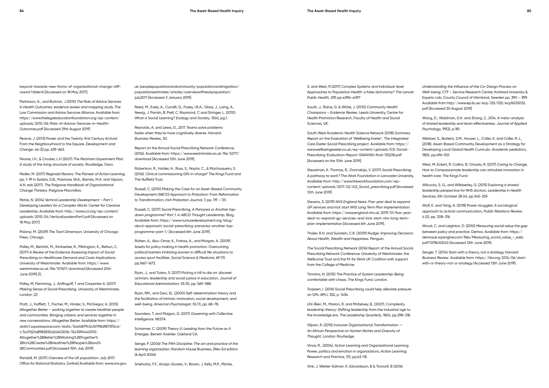beyond-towards-new-forms-of-organisational-change-cliffoswick?slide=6 [Accessed on 18 May 2017].

Parkinson, A., and Buttrick, J (2015) *The Role of Advice Services in Health Outcomes: evidence review and mapping study.* The Low Commission and Advise Services Alliance. Available from: https://www.thelegaleducationfoundation.org/wp-content/ uploads/2015/06/Role-of-Advice-Services-in-Health-Outcomes.pdf [Accessed 29th August 2019]

Pearce, J. (2013) Power and the Twenty-first Century Activist: From the Neighbourhood to the Square. *Development and Change*. 44 (3) pp. 639-663.

Pearse, I.H., & Crocker, L.H (2007) *The Peckham Experiment Pbd: A study of the living structure of society*. Routledge, Oxon.

Pedler, M. (2017) *Reginald Revans: The Pioneer of Action Learning*. pp. 1-19 in Szabla, D.B., Pasmore, W.A., Barnes, M.A. and Gipson, A.N. eds (2017). *The Palgrave Handbook of Organizational Change Thinkers*. Palgrave Macmillan.

Petrie, N. (2014) *Vertical Leadership Development – Part 1. Developing Leaders for a Complex World*. Center for Creative Leadership. Available from: http://www.ccl.org/wp-content/ uploads/2015/04/VerticalLeadersPart1.pdf [Accessed on 18 May 2017]

Polanyi, M. (2009) *The Tacit Dimension.* University of Chicago Press. Chicago.

Polley, M., Bertotti, M., Kimberlee, R., Pilklington, K., Refsun, C. (2017) *A Review of the Evidence Assessing Impact of Social Prescribing on Healthcare Demand and Costs Implications*. University of Westminster. Available from: https://www. westminster.ac.uk/file/107671/download [Accessed 20th June 2019].(1).

Polley, M, Flemming, J., Anfilogoff, T and Carpenter A. (2017) *Making Sense of Social Prescribing.* University of Westminster, London. (2)

Pratt, J., Hufflett, T., Fischer, M., Hinder, S., McGregor, A. (2015) *Altogether Better – working together to create healthier people and communities. Bringing citizens and services together in new conversations*. Altogether Better. Available from: https:// static1.squarespace.com/static/5ad4879c5cfd798df87393cd/ t/5c01521a8985835d2d403016/1543590440015/ Altogether%2BBetter%2BWorking%2BTogether% 2Bto%2BCreate%2BHealthier%2BPeople%2Band% 2BCommunities.pdf [Accessed 15th July 2019]

Randall, M. (2017) *Overview of the UK population: July 2017*. Office for National Statistics. [online] Available from: www.ons.gov. uk/peoplepopulationandcommunity/populationandmigration/ populationestimates/articles/overviewoftheukpopulation/ july2017 [Accessed 3 January 2019].

Reed, M., Evely, A., Cundill, G., Fazey, I.R.A., Glass, J., Laing, A., Newig, J. Parrish, B. Prell, C. Raymond, C and Stringer, L. (2010) What is Social Learning? *Ecology and Society*, 15(4), pg.1.

Reynolds, A. and Lewis, D., 2017. Teams solve problems faster when they're more cognitively diverse. *Harvard Business Review*, 30.

Report on the Annual Social Prescribing Network Conference, (2016). Available from: https://www.westminster.ac.uk/file/52171/ download [Accessed 12th June 2019].

Robertson, R., Holder, H., Ross, S., Naylor, C., & Machaqueiro, S. (2016). Clinical commissioning GPs in charge? The Kings Fund and The Nuffield Trust.

Russell, C. (2010) Making the Case for an Asset-Based Community Development (ABCD) Approach to Probation: From Reformation to Transformation, *Irish Probation Journal*, 7, pp. 119 – 131.

Russell, C. (2017) S*ocial Prescribing, A Panacea or Another topdown programme? Part 1. in ABCD Thought Leadership*. Blog. Available from: https://www.nurturedevelopment.org/blog/ abcd-approach/social-prescribing-panacea-another-topprogramme-part-1/ [Accessed 6th June 2019].

Rütten, A., Abu-Omar, K., Frahsa, A., and Morgan, A. (2009). Assets for policy making in health promotion: Overcoming political barriers inhibiting women in difficult life situations to access sport facilities. *Social Science & Medicine*, 69 (11) pp.1667-1673.

Ryan, J., and Tuters, S. (2017) Picking a hill to die on: discreet activism, leadership and social justice in education, J*ournal of Educational Administration*, 55 (5), pp. 569-588.

Ryan, RM., and Deci, EL. (2000) Self-determination theory and the facilitation of intrinsic motivation, social development, and well-being. *American Psychologist*. 55 (1), pp. 68–78.

Saunders, T. and Mulgan, G. (2017) *Governing with Collective Intelligence*. NESTA

Scharmer, C. (2009) *Theory U: Leading from the Future as It Emerges*. Berrett-Koehler. Oakland CA.

Senge, P. (2006) *The Fifth Discipline: The art and practice of the learning organization*. Random House Business; 2Rev Ed edition (6 April 2006)

Sniehotta, F.F., Araújo-Soares, V., Brown, J. Kelly, M.P., Michie,

S. and West, R (2017) Complex Systems and Individual-level Approaches to Population Health: a false dichotomy? *The Lancet Public Healt*h, 2(9) pp e396–e397

South, J., Raine, G. & White, J. (2010) *Community Health Champions – Evidence Review*, Leeds University, Centre for Health Promotion Research, Faculty of Health and Social Sciences, UK.

South West Academic Health Science Network (2018) *Summary Report on the Evaluation of 'Wellbeing Exeter', The Integrated Care Exeter Social Prescribing project*. Available from: https:// www.wellbeingexeter.co.uk/wp-content/uploads/ICE-Social-Prescribing-Evaluation-Report-SWAHSN-final-130218.pdf [Accessed on the 10th June 2019].

Steadman, K. Thomas, R., Donnaloja, V. (2017) *Social Prescribing: A pathway to work?* The Work Foundation in Lancaster University. Available from: http://www.theworkfoundation.com/wpcontent/uploads/2017/02/412\_Social\_prescribing.pdf [Accessed 12th June 2019]

Stevens, S. (2019) *NHS England News: Five-year deal to expand GP services and kick start NHS Long Term Plan implementation*. Available from: https://www.england.nhs.uk/2019/01/five-yeardeal-to-expand-gp-services-and-kick-start-nhs-long-termplan-implementation [Accessed 6th June 2019].

Thaler, R.H. and Sunstein, C.R. (2009) *Nudge: Improving Decisions About Health, Wealth and Happiness*. Penguin.

The Social Prescribing Network (2016) Report of the Annual Social Prescribing Network Conference. University of Westminster, the Wellcome Trust and the Fit for Work UK Coalition with support from the College of Medicine

Timmins, N. (2015) *The Practice of System Leadership: Being comfortable with chaos*. The Kings Fund. London.

Torjesen, I. (2016) Social Prescribing could help alleviate pressure on GPs. *BMJ*, 352, p. 1436.

Uhl-Bien, M., Marion, R. and McKelvey, B., (2007). Complexity leadership theory: Shifting leadership from the industrial age to the knowledge era. *The Leadership Quarterly*, 18(4), pp.298-318.

Viljoen, R. (2015) *Inclusive Organizational Transformation* – *An African Perspective on Human Niches and Diversity of Thought*, London: Routledge.

Vince, R., (2004). Action Learning and Organizational Learning: Power, politics and emotion in organizations. *Action Learning: Research and Practice*, 1(1), pp.63-78.

Vink, J. Wetter-Edman, K. Edvardsson, B & Tronvoll, B (2016)

*Understanding the Influence of the Co-Design Process on Well-being*. CTF – Service Research Center, Karlstad University & Experio Lab, County Council of Värmland, Sweden pp. 390 – 399. Available from http://www.ep.liu.se/ecp/125/032/ecp16125032. pdf [Accessed 30 August 2019]

Wang, D., Waldman, D.A. and Zhang, Z., 2014. A meta-analysis of shared leadership and team effectiveness. *Journal of Applied Psychology*, 99(2), p.181.

Webber, S., Butteris, S.M., Houser, L., Coller, K. and Coller, R.J., (2018). Asset-Based Community Development as a Strategy for Developing Local Global Health Curricula. *Academic pediatrics*, 18(5), pp.496-501.

West, M. Eckert, R. Collins, B. Chowla, R. (2017) *Caring to Change, How to Compassionate leadership can stimulate innovation in health care*. The Kings Fund

Wilcocks, S. G., and Wilbberley, G. (2015) Exploring a shared leadership perspective for NHS doctors. *Leadership in Health Services*, 5th October 28 (4), pp.345-255

Wolf, K. and Yang, A. (2018) Power struggles: A sociological approach to activist communication, *Public Relations Review*, 4 (2), pp. 308-316

Wood, C. and Leighton, D. (2010) *Measuring social value the gap between policy and practice*. Demos. Available from: https:// demosuk.wpengine.com/files/Measuring\_social\_value\_-\_web. pdf?1278410043 (Accessed 12th June 2019).

Zenger, T. (2014) Start with a theory, not a strategy, H*arvard Business Review*. Available from: https://hbr.org/2014/06/startwith-a-theory-not-a-strategy (Accessed 13th June 2019).